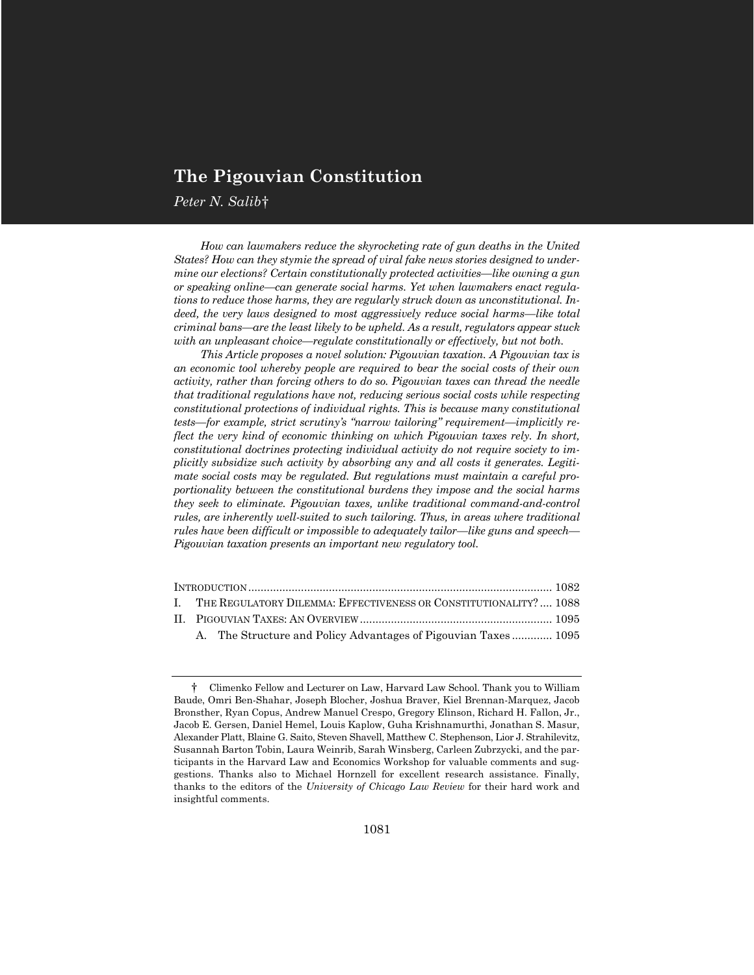# **The Pigouvian Constitution**

*Peter N. Salib*<sup>†</sup>

*How can lawmakers reduce the skyrocketing rate of gun deaths in the United States? How can they stymie the spread of viral fake news stories designed to undermine our elections? Certain constitutionally protected activities—like owning a gun or speaking online—can generate social harms. Yet when lawmakers enact regulations to reduce those harms, they are regularly struck down as unconstitutional. Indeed, the very laws designed to most aggressively reduce social harms—like total criminal bans—are the least likely to be upheld. As a result, regulators appear stuck with an unpleasant choice—regulate constitutionally or effectively, but not both.*

*This Article proposes a novel solution: Pigouvian taxation. A Pigouvian tax is an economic tool whereby people are required to bear the social costs of their own activity, rather than forcing others to do so. Pigouvian taxes can thread the needle that traditional regulations have not, reducing serious social costs while respecting constitutional protections of individual rights. This is because many constitutional tests—for example, strict scrutiny's "narrow tailoring" requirement—implicitly reflect the very kind of economic thinking on which Pigouvian taxes rely. In short, constitutional doctrines protecting individual activity do not require society to implicitly subsidize such activity by absorbing any and all costs it generates. Legitimate social costs may be regulated. But regulations must maintain a careful proportionality between the constitutional burdens they impose and the social harms they seek to eliminate. Pigouvian taxes, unlike traditional command-and-control rules, are inherently well-suited to such tailoring. Thus, in areas where traditional rules have been difficult or impossible to adequately tailor—like guns and speech— Pigouvian taxation presents an important new regulatory tool.*

| I. THE REGULATORY DILEMMA: EFFECTIVENESS OR CONSTITUTIONALITY?  1088 |  |
|----------------------------------------------------------------------|--|
|                                                                      |  |
| A. The Structure and Policy Advantages of Pigouvian Taxes 1095       |  |

<sup>†</sup> Climenko Fellow and Lecturer on Law, Harvard Law School. Thank you to William Baude, Omri Ben-Shahar, Joseph Blocher, Joshua Braver, Kiel Brennan-Marquez, Jacob Bronsther, Ryan Copus, Andrew Manuel Crespo, Gregory Elinson, Richard H. Fallon, Jr., Jacob E. Gersen, Daniel Hemel, Louis Kaplow, Guha Krishnamurthi, Jonathan S. Masur, Alexander Platt, Blaine G. Saito, Steven Shavell, Matthew C. Stephenson, Lior J. Strahilevitz, Susannah Barton Tobin, Laura Weinrib, Sarah Winsberg, Carleen Zubrzycki, and the participants in the Harvard Law and Economics Workshop for valuable comments and suggestions. Thanks also to Michael Hornzell for excellent research assistance. Finally, thanks to the editors of the *University of Chicago Law Review* for their hard work and insightful comments.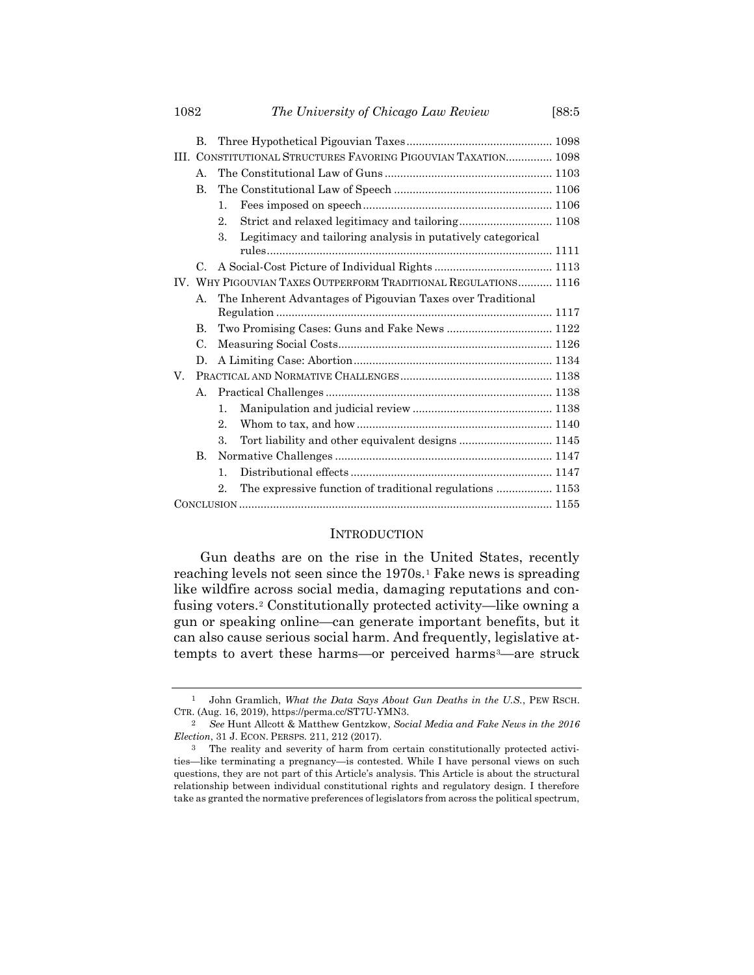|    | B.          |                                                                   |  |  |
|----|-------------|-------------------------------------------------------------------|--|--|
|    |             | III. CONSTITUTIONAL STRUCTURES FAVORING PIGOUVIAN TAXATION 1098   |  |  |
|    | A.          |                                                                   |  |  |
|    | <b>B.</b>   |                                                                   |  |  |
|    |             | $\mathbf{1}$ .                                                    |  |  |
|    |             | $\overline{2}$ .                                                  |  |  |
|    |             | Legitimacy and tailoring analysis in putatively categorical<br>3. |  |  |
|    |             |                                                                   |  |  |
|    | $C_{\cdot}$ |                                                                   |  |  |
|    |             | IV. WHY PIGOUVIAN TAXES OUTPERFORM TRADITIONAL REGULATIONS 1116   |  |  |
|    | А.          | The Inherent Advantages of Pigouvian Taxes over Traditional       |  |  |
|    |             |                                                                   |  |  |
|    | B.          |                                                                   |  |  |
|    | C.          |                                                                   |  |  |
|    | D.          |                                                                   |  |  |
| V. |             |                                                                   |  |  |
|    | А.          |                                                                   |  |  |
|    |             | $\mathbf{1}$ .                                                    |  |  |
|    |             | $2$ .                                                             |  |  |
|    |             | Tort liability and other equivalent designs  1145<br>3.           |  |  |
|    | $\bf{B}$    |                                                                   |  |  |
|    |             | $\mathbf{1}$ .                                                    |  |  |
|    |             | The expressive function of traditional regulations  1153<br>2     |  |  |
|    |             |                                                                   |  |  |

## **INTRODUCTION**

<span id="page-1-0"></span>Gun deaths are on the rise in the United States, recently reaching levels not seen since the 1970s.<sup>1</sup> Fake news is spreading like wildfire across social media, damaging reputations and confusing voters.<sup>2</sup> Constitutionally protected activity—like owning a gun or speaking online—can generate important benefits, but it can also cause serious social harm. And frequently, legislative attempts to avert these harms—or perceived harms<sup>3</sup>—are struck

<sup>1</sup> John Gramlich, *What the Data Says About Gun Deaths in the U.S.*, PEW RSCH. CTR. (Aug. 16, 2019), https://perma.cc/ST7U-YMN3.

<sup>2</sup> *See* Hunt Allcott & Matthew Gentzkow, *Social Media and Fake News in the 2016 Election*, 31 J. ECON. PERSPS. 211, 212 (2017).

<sup>3</sup> The reality and severity of harm from certain constitutionally protected activities—like terminating a pregnancy—is contested. While I have personal views on such questions, they are not part of this Article's analysis. This Article is about the structural relationship between individual constitutional rights and regulatory design. I therefore take as granted the normative preferences of legislators from across the political spectrum,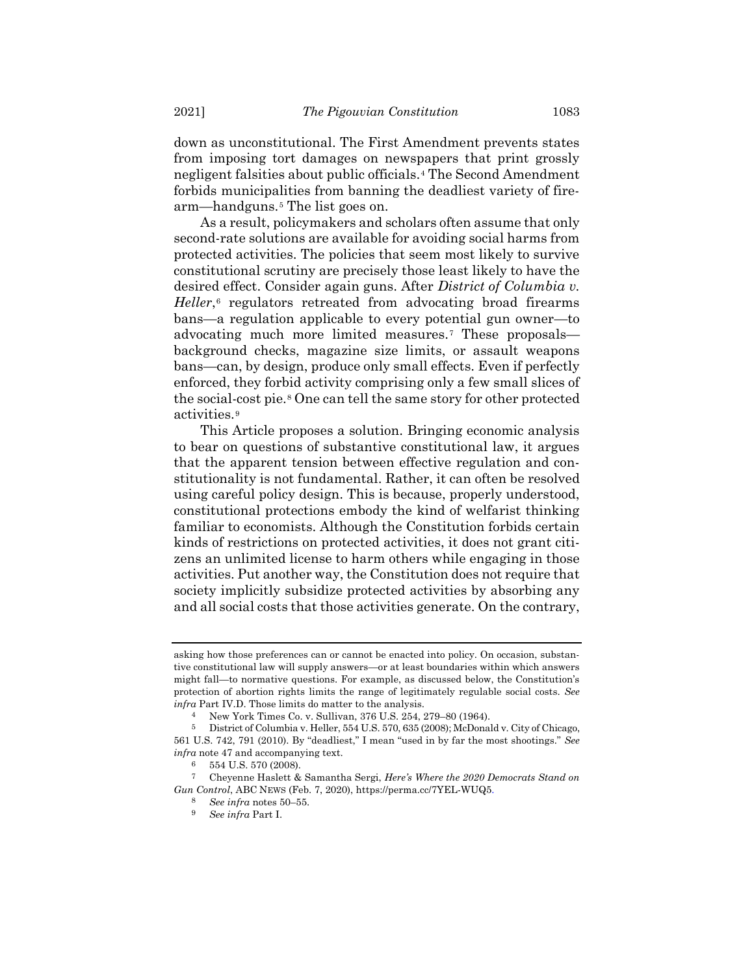down as unconstitutional. The First Amendment prevents states from imposing tort damages on newspapers that print grossly negligent falsities about public officials.*4F* <sup>4</sup> The Second Amendment forbids municipalities from banning the deadliest variety of firearm—handguns.<sup>5</sup> The list goes on.

As a result, policymakers and scholars often assume that only second-rate solutions are available for avoiding social harms from protected activities. The policies that seem most likely to survive constitutional scrutiny are precisely those least likely to have the desired effect. Consider again guns. After *District of Columbia v.*  Heller,<sup>6</sup> regulators retreated from advocating broad firearms bans—a regulation applicable to every potential gun owner—to advocating much more limited measures.<sup>7</sup> These proposals background checks, magazine size limits, or assault weapons bans—can, by design, produce only small effects. Even if perfectly enforced, they forbid activity comprising only a few small slices of the social-cost pie.<sup>8</sup> One can tell the same story for other protected activities.<sup>9</sup>

<span id="page-2-0"></span>This Article proposes a solution. Bringing economic analysis to bear on questions of substantive constitutional law, it argues that the apparent tension between effective regulation and constitutionality is not fundamental. Rather, it can often be resolved using careful policy design. This is because, properly understood, constitutional protections embody the kind of welfarist thinking familiar to economists. Although the Constitution forbids certain kinds of restrictions on protected activities, it does not grant citizens an unlimited license to harm others while engaging in those activities. Put another way, the Constitution does not require that society implicitly subsidize protected activities by absorbing any and all social costs that those activities generate. On the contrary,

asking how those preferences can or cannot be enacted into policy. On occasion, substantive constitutional law will supply answers—or at least boundaries within which answers might fall—to normative questions. For example, as discussed below, the Constitution's protection of abortion rights limits the range of legitimately regulable social costs. *See infra* Part IV.D. Those limits do matter to the analysis.

<sup>4</sup> New York Times Co. v. Sullivan, 376 U.S. 254, 279–80 (1964).

<sup>5</sup> District of Columbia v. Heller, 554 U.S. 570, 635 (2008); McDonald v. City of Chicago, 561 U.S. 742, 791 (2010). By "deadliest," I mean "used in by far the most shootings." *See infra* note [47](#page-10-0) and accompanying text.

<sup>6</sup> 554 U.S. 570 (2008).

<sup>7</sup> Cheyenne Haslett & Samantha Sergi, *Here's Where the 2020 Democrats Stand on Gun Control*, ABC NEWS (Feb. 7, 2020), https://perma.cc/7YEL-WUQ5.

<sup>8</sup> *See infra* notes [50](#page-10-1)–[55.](#page-11-0)

<sup>9</sup> *See infra* Part I.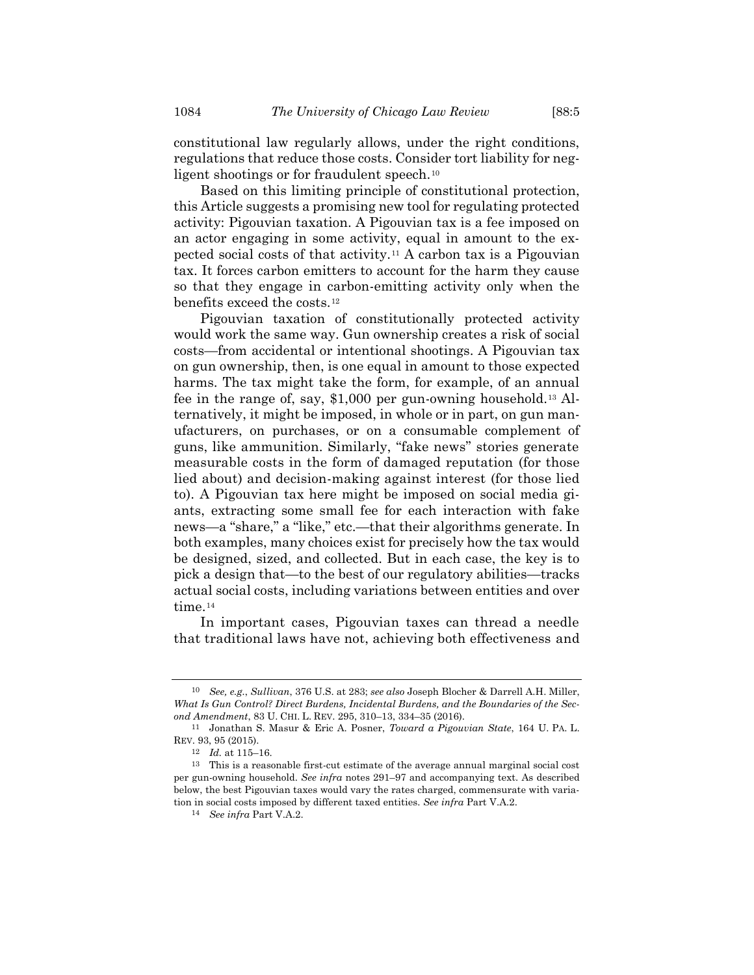<span id="page-3-1"></span><span id="page-3-0"></span>

constitutional law regularly allows, under the right conditions, regulations that reduce those costs. Consider tort liability for negligent shootings or for fraudulent speech.<sup>10</sup>

Based on this limiting principle of constitutional protection, this Article suggests a promising new tool for regulating protected activity: Pigouvian taxation. A Pigouvian tax is a fee imposed on an actor engaging in some activity, equal in amount to the expected social costs of that activity.<sup>11</sup> A carbon tax is a Pigouvian tax. It forces carbon emitters to account for the harm they cause so that they engage in carbon-emitting activity only when the benefits exceed the costs.<sup>12</sup>

Pigouvian taxation of constitutionally protected activity would work the same way. Gun ownership creates a risk of social costs—from accidental or intentional shootings. A Pigouvian tax on gun ownership, then, is one equal in amount to those expected harms. The tax might take the form, for example, of an annual fee in the range of, say, \$1,000 per gun-owning household.<sup>13</sup> Alternatively, it might be imposed, in whole or in part, on gun manufacturers, on purchases, or on a consumable complement of guns, like ammunition. Similarly, "fake news" stories generate measurable costs in the form of damaged reputation (for those lied about) and decision-making against interest (for those lied to). A Pigouvian tax here might be imposed on social media giants, extracting some small fee for each interaction with fake news—a "share," a "like," etc.—that their algorithms generate. In both examples, many choices exist for precisely how the tax would be designed, sized, and collected. But in each case, the key is to pick a design that—to the best of our regulatory abilities—tracks actual social costs, including variations between entities and over time.<sup>14</sup>

In important cases, Pigouvian taxes can thread a needle that traditional laws have not, achieving both effectiveness and

<sup>10</sup> *See, e.g.*, *Sullivan*, 376 U.S. at 283; *see also* Joseph Blocher & Darrell A.H. Miller, *What Is Gun Control? Direct Burdens, Incidental Burdens, and the Boundaries of the Second Amendment*, 83 U. CHI. L. REV. 295, 310–13, 334–35 (2016).

<sup>11</sup> Jonathan S. Masur & Eric A. Posner, *Toward a Pigouvian State*, 164 U. PA. L. REV. 93, 95 (2015).

<sup>12</sup> *Id.* at 115–16.

 $^{\rm 13}$  This is a reasonable first-cut estimate of the average annual marginal social cost per gun-owning household. *See infra* notes [291](#page-47-0)–97 and accompanying text. As described below, the best Pigouvian taxes would vary the rates charged, commensurate with variation in social costs imposed by different taxed entities. *See infra* Part V.A.2.

<sup>14</sup> *See infra* Part V.A.2.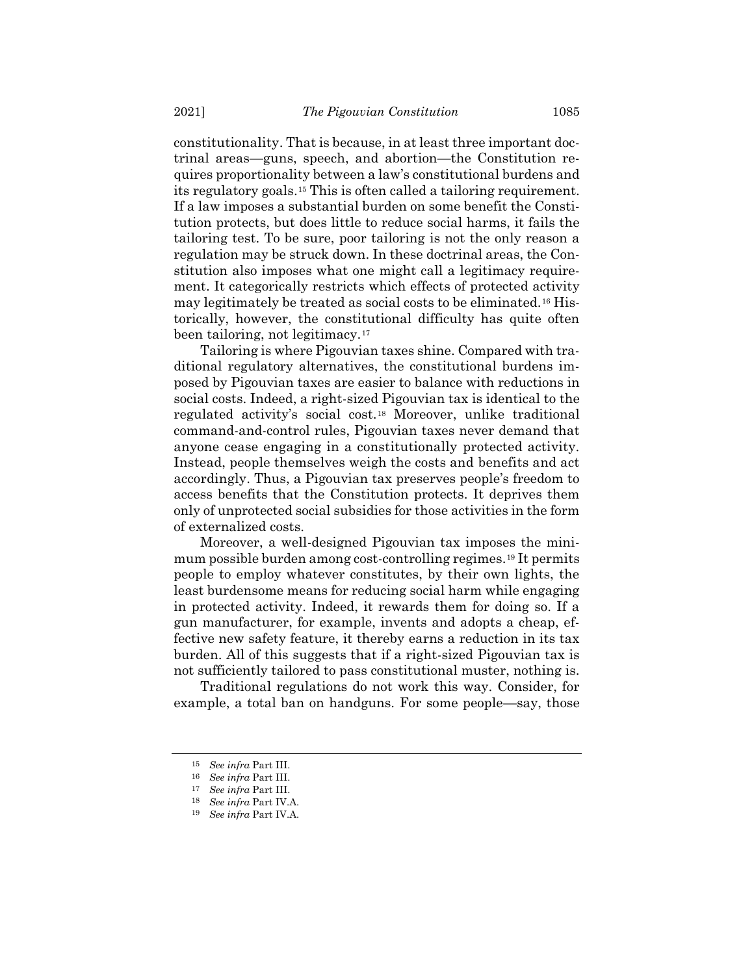constitutionality. That is because, in at least three important doctrinal areas—guns, speech, and abortion—the Constitution requires proportionality between a law's constitutional burdens and its regulatory goals.*15F* <sup>15</sup> This is often called a tailoring requirement. If a law imposes a substantial burden on some benefit the Constitution protects, but does little to reduce social harms, it fails the tailoring test. To be sure, poor tailoring is not the only reason a regulation may be struck down. In these doctrinal areas, the Constitution also imposes what one might call a legitimacy requirement. It categorically restricts which effects of protected activity may legitimately be treated as social costs to be eliminated.<sup>16</sup> Historically, however, the constitutional difficulty has quite often been tailoring, not legitimacy.<sup>17</sup>

Tailoring is where Pigouvian taxes shine. Compared with traditional regulatory alternatives, the constitutional burdens imposed by Pigouvian taxes are easier to balance with reductions in social costs. Indeed, a right-sized Pigouvian tax is identical to the regulated activity's social cost.<sup>18</sup> Moreover, unlike traditional command-and-control rules, Pigouvian taxes never demand that anyone cease engaging in a constitutionally protected activity. Instead, people themselves weigh the costs and benefits and act accordingly. Thus, a Pigouvian tax preserves people's freedom to access benefits that the Constitution protects. It deprives them only of unprotected social subsidies for those activities in the form of externalized costs.

Moreover, a well-designed Pigouvian tax imposes the minimum possible burden among cost-controlling regimes.<sup>19</sup> It permits people to employ whatever constitutes, by their own lights, the least burdensome means for reducing social harm while engaging in protected activity. Indeed, it rewards them for doing so. If a gun manufacturer, for example, invents and adopts a cheap, effective new safety feature, it thereby earns a reduction in its tax burden. All of this suggests that if a right-sized Pigouvian tax is not sufficiently tailored to pass constitutional muster, nothing is.

Traditional regulations do not work this way. Consider, for example, a total ban on handguns. For some people—say, those

<sup>15</sup> *See infra* Part III.

<sup>16</sup> *See infra* Part III.

<sup>17</sup> *See infra* Part III.

<sup>18</sup> *See infra* Part IV.A.

<sup>19</sup> *See infra* Part IV.A.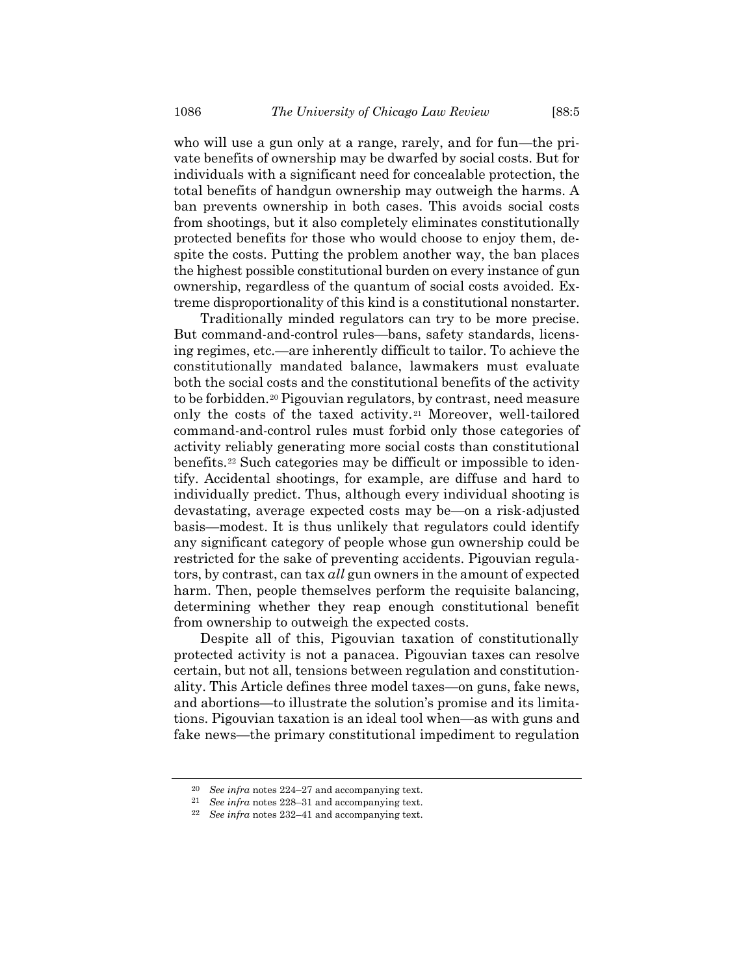who will use a gun only at a range, rarely, and for fun—the private benefits of ownership may be dwarfed by social costs. But for individuals with a significant need for concealable protection, the total benefits of handgun ownership may outweigh the harms. A ban prevents ownership in both cases. This avoids social costs from shootings, but it also completely eliminates constitutionally protected benefits for those who would choose to enjoy them, despite the costs. Putting the problem another way, the ban places the highest possible constitutional burden on every instance of gun ownership, regardless of the quantum of social costs avoided. Extreme disproportionality of this kind is a constitutional nonstarter.

Traditionally minded regulators can try to be more precise. But command-and-control rules—bans, safety standards, licensing regimes, etc.—are inherently difficult to tailor. To achieve the constitutionally mandated balance, lawmakers must evaluate both the social costs and the constitutional benefits of the activity to be forbidden.<sup>20</sup> Pigouvian regulators, by contrast, need measure only the costs of the taxed activity.<sup>21</sup> Moreover, well-tailored command-and-control rules must forbid only those categories of activity reliably generating more social costs than constitutional benefits.<sup>22</sup> Such categories may be difficult or impossible to identify. Accidental shootings, for example, are diffuse and hard to individually predict. Thus, although every individual shooting is devastating, average expected costs may be—on a risk-adjusted basis—modest. It is thus unlikely that regulators could identify any significant category of people whose gun ownership could be restricted for the sake of preventing accidents. Pigouvian regulators, by contrast, can tax *all* gun owners in the amount of expected harm. Then, people themselves perform the requisite balancing, determining whether they reap enough constitutional benefit from ownership to outweigh the expected costs.

Despite all of this, Pigouvian taxation of constitutionally protected activity is not a panacea. Pigouvian taxes can resolve certain, but not all, tensions between regulation and constitutionality. This Article defines three model taxes—on guns, fake news, and abortions—to illustrate the solution's promise and its limitations. Pigouvian taxation is an ideal tool when—as with guns and fake news—the primary constitutional impediment to regulation

<sup>20</sup> *See infra* notes [224](#page-36-0)–27 and accompanying text.

<sup>21</sup> *See infra* notes [228](#page-37-0)–31 and accompanying text.

<sup>22</sup> *See infra* notes [232](#page-37-1)–41 and accompanying text.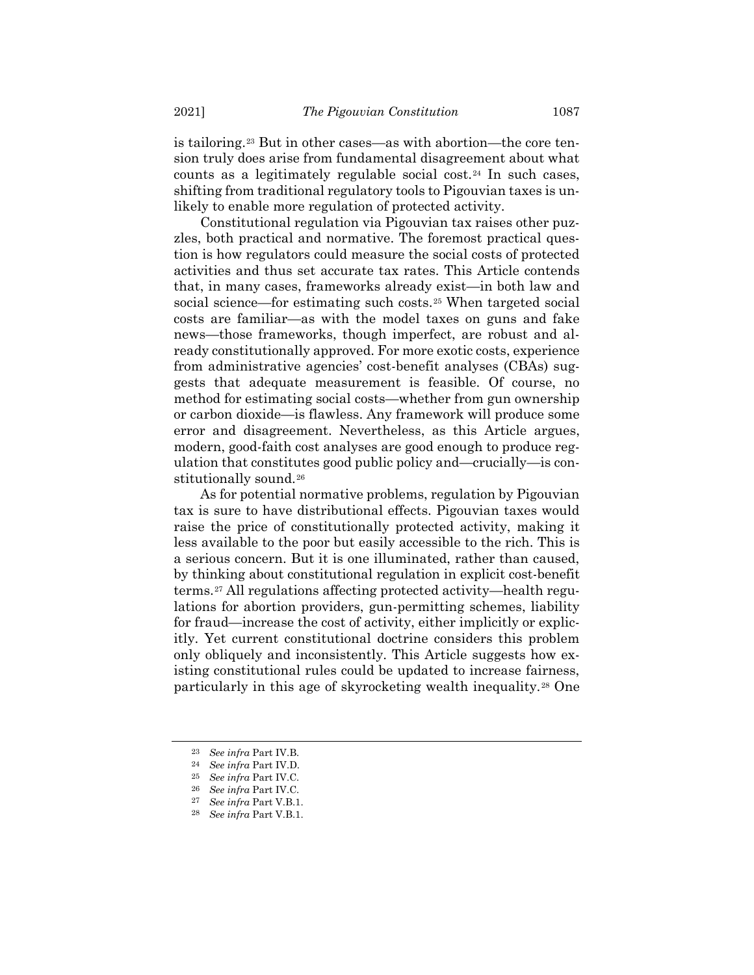is tailoring.<sup>23</sup> But in other cases—as with abortion—the core tension truly does arise from fundamental disagreement about what counts as a legitimately regulable social cost.<sup>24</sup> In such cases, shifting from traditional regulatory tools to Pigouvian taxes is unlikely to enable more regulation of protected activity.

Constitutional regulation via Pigouvian tax raises other puzzles, both practical and normative. The foremost practical question is how regulators could measure the social costs of protected activities and thus set accurate tax rates. This Article contends that, in many cases, frameworks already exist—in both law and social science—for estimating such costs.<sup>25</sup> When targeted social costs are familiar—as with the model taxes on guns and fake news—those frameworks, though imperfect, are robust and already constitutionally approved. For more exotic costs, experience from administrative agencies' cost-benefit analyses (CBAs) suggests that adequate measurement is feasible. Of course, no method for estimating social costs—whether from gun ownership or carbon dioxide—is flawless. Any framework will produce some error and disagreement. Nevertheless, as this Article argues, modern, good-faith cost analyses are good enough to produce regulation that constitutes good public policy and—crucially—is constitutionally sound.<sup>26</sup>

As for potential normative problems, regulation by Pigouvian tax is sure to have distributional effects. Pigouvian taxes would raise the price of constitutionally protected activity, making it less available to the poor but easily accessible to the rich. This is a serious concern. But it is one illuminated, rather than caused, by thinking about constitutional regulation in explicit cost-benefit terms.<sup>27</sup> All regulations affecting protected activity—health regulations for abortion providers, gun-permitting schemes, liability for fraud—increase the cost of activity, either implicitly or explicitly. Yet current constitutional doctrine considers this problem only obliquely and inconsistently. This Article suggests how existing constitutional rules could be updated to increase fairness, particularly in this age of skyrocketing wealth inequality.<sup>28</sup> One

<sup>23</sup> *See infra* Part IV.B.

<sup>24</sup> *See infra* Part IV.D.

<sup>25</sup> *See infra* Part IV.C.

<sup>26</sup> *See infra* Part IV.C.

<sup>27</sup> *See infra* Part V.B.1.

<sup>28</sup> *See infra* Part V.B.1.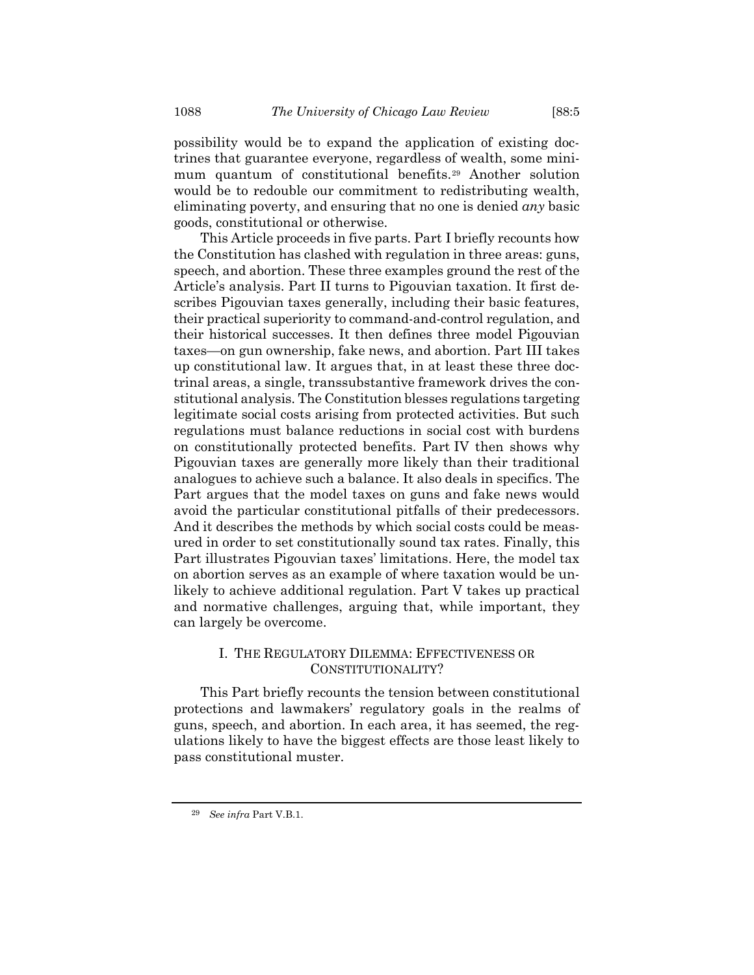possibility would be to expand the application of existing doctrines that guarantee everyone, regardless of wealth, some minimum quantum of constitutional benefits.<sup>29</sup> Another solution would be to redouble our commitment to redistributing wealth, eliminating poverty, and ensuring that no one is denied *any* basic goods, constitutional or otherwise.

This Article proceeds in five parts. Part I briefly recounts how the Constitution has clashed with regulation in three areas: guns, speech, and abortion. These three examples ground the rest of the Article's analysis. Part II turns to Pigouvian taxation. It first describes Pigouvian taxes generally, including their basic features, their practical superiority to command-and-control regulation, and their historical successes. It then defines three model Pigouvian taxes—on gun ownership, fake news, and abortion. Part III takes up constitutional law. It argues that, in at least these three doctrinal areas, a single, transsubstantive framework drives the constitutional analysis. The Constitution blesses regulations targeting legitimate social costs arising from protected activities. But such regulations must balance reductions in social cost with burdens on constitutionally protected benefits. Part IV then shows why Pigouvian taxes are generally more likely than their traditional analogues to achieve such a balance. It also deals in specifics. The Part argues that the model taxes on guns and fake news would avoid the particular constitutional pitfalls of their predecessors. And it describes the methods by which social costs could be measured in order to set constitutionally sound tax rates. Finally, this Part illustrates Pigouvian taxes' limitations. Here, the model tax on abortion serves as an example of where taxation would be unlikely to achieve additional regulation. Part V takes up practical and normative challenges, arguing that, while important, they can largely be overcome.

# I. THE REGULATORY DILEMMA: EFFECTIVENESS OR CONSTITUTIONALITY?

This Part briefly recounts the tension between constitutional protections and lawmakers' regulatory goals in the realms of guns, speech, and abortion. In each area, it has seemed, the regulations likely to have the biggest effects are those least likely to pass constitutional muster.

<sup>29</sup> *See infra* Part V.B.1.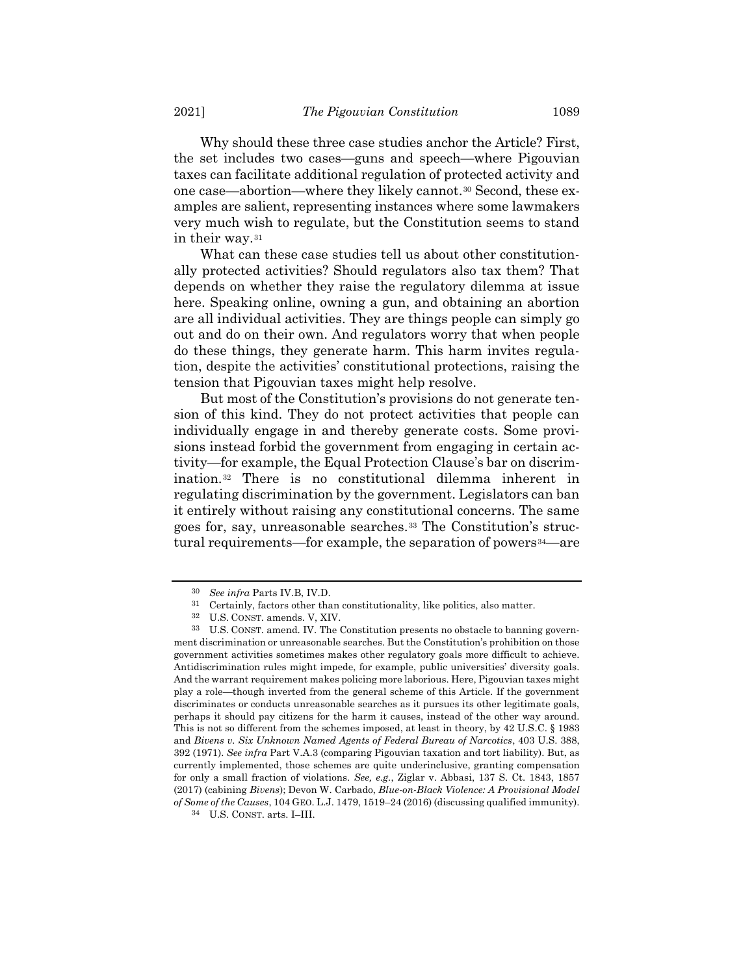Why should these three case studies anchor the Article? First, the set includes two cases—guns and speech—where Pigouvian taxes can facilitate additional regulation of protected activity and one case—abortion—where they likely cannot.<sup>30</sup> Second, these examples are salient, representing instances where some lawmakers very much wish to regulate, but the Constitution seems to stand in their way.<sup>31</sup>

What can these case studies tell us about other constitutionally protected activities? Should regulators also tax them? That depends on whether they raise the regulatory dilemma at issue here. Speaking online, owning a gun, and obtaining an abortion are all individual activities. They are things people can simply go out and do on their own. And regulators worry that when people do these things, they generate harm. This harm invites regulation, despite the activities' constitutional protections, raising the tension that Pigouvian taxes might help resolve.

But most of the Constitution's provisions do not generate tension of this kind. They do not protect activities that people can individually engage in and thereby generate costs. Some provisions instead forbid the government from engaging in certain activity—for example, the Equal Protection Clause's bar on discrimination.<sup>32</sup> There is no constitutional dilemma inherent in regulating discrimination by the government. Legislators can ban it entirely without raising any constitutional concerns. The same goes for, say, unreasonable searches.<sup>33</sup> The Constitution's structural requirements—for example, the separation of powers<sup>34</sup>—are

<sup>30</sup> *See infra* Parts IV.B, IV.D.

<sup>31</sup> Certainly, factors other than constitutionality, like politics, also matter.

<sup>32</sup> U.S. CONST. amends. V, XIV.

<sup>33</sup> U.S. CONST. amend. IV. The Constitution presents no obstacle to banning government discrimination or unreasonable searches. But the Constitution's prohibition on those government activities sometimes makes other regulatory goals more difficult to achieve. Antidiscrimination rules might impede, for example, public universities' diversity goals. And the warrant requirement makes policing more laborious. Here, Pigouvian taxes might play a role—though inverted from the general scheme of this Article. If the government discriminates or conducts unreasonable searches as it pursues its other legitimate goals, perhaps it should pay citizens for the harm it causes, instead of the other way around. This is not so different from the schemes imposed, at least in theory, by 42 U.S.C. § 1983 and *Bivens v. Six Unknown Named Agents of Federal Bureau of Narcotics*, 403 U.S. 388, 392 (1971). *See infra* Part V.A.3 (comparing Pigouvian taxation and tort liability). But, as currently implemented, those schemes are quite underinclusive, granting compensation for only a small fraction of violations. *See, e.g.*, Ziglar v. Abbasi, 137 S. Ct. 1843, 1857 (2017) (cabining *Bivens*); Devon W. Carbado, *Blue-on-Black Violence: A Provisional Model of Some of the Causes*, 104 GEO. L.J. 1479, 1519–24 (2016) (discussing qualified immunity).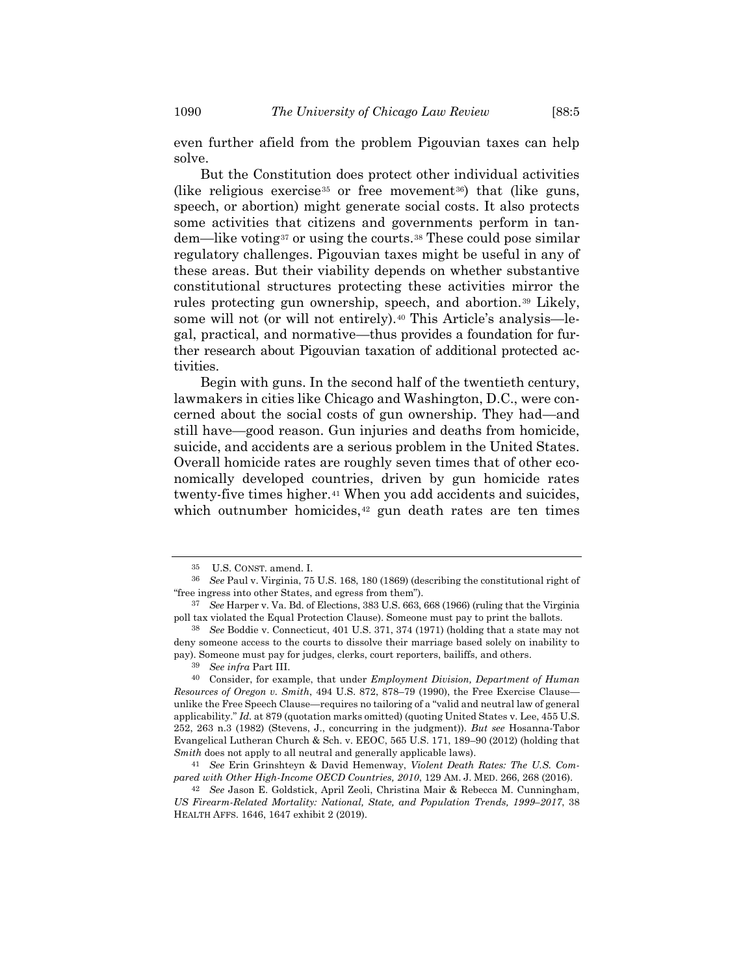even further afield from the problem Pigouvian taxes can help

But the Constitution does protect other individual activities (like religious exercise<sup>35</sup> or free movement<sup>36</sup>) that (like guns, speech, or abortion) might generate social costs. It also protects some activities that citizens and governments perform in tandem—like voting<sup>37</sup> or using the courts.<sup>38</sup> These could pose similar regulatory challenges. Pigouvian taxes might be useful in any of these areas. But their viability depends on whether substantive constitutional structures protecting these activities mirror the rules protecting gun ownership, speech, and abortion.<sup>39</sup> Likely, some will not (or will not entirely).<sup>40</sup> This Article's analysis—legal, practical, and normative—thus provides a foundation for further research about Pigouvian taxation of additional protected activities.

Begin with guns. In the second half of the twentieth century, lawmakers in cities like Chicago and Washington, D.C., were concerned about the social costs of gun ownership. They had—and still have—good reason. Gun injuries and deaths from homicide, suicide, and accidents are a serious problem in the United States. Overall homicide rates are roughly seven times that of other economically developed countries, driven by gun homicide rates twenty-five times higher.<sup>41</sup> When you add accidents and suicides, which outnumber homicides,<sup>42</sup> gun death rates are ten times

solve.

<span id="page-9-1"></span><span id="page-9-0"></span><sup>35</sup> U.S. CONST. amend. I.

<sup>36</sup> *See* Paul v. Virginia, 75 U.S. 168, 180 (1869) (describing the constitutional right of "free ingress into other States, and egress from them").

<sup>37</sup> *See* Harper v. Va. Bd. of Elections, 383 U.S. 663, 668 (1966) (ruling that the Virginia poll tax violated the Equal Protection Clause). Someone must pay to print the ballots.

<sup>38</sup> *See* Boddie v. Connecticut, 401 U.S. 371, 374 (1971) (holding that a state may not deny someone access to the courts to dissolve their marriage based solely on inability to pay). Someone must pay for judges, clerks, court reporters, bailiffs, and others.

<sup>39</sup> *See infra* Part III.

<sup>40</sup> Consider, for example, that under *Employment Division, Department of Human Resources of Oregon v. Smith*, 494 U.S. 872, 878–79 (1990), the Free Exercise Clause unlike the Free Speech Clause—requires no tailoring of a "valid and neutral law of general applicability." *Id.* at 879 (quotation marks omitted) (quoting United States v. Lee, 455 U.S. 252, 263 n.3 (1982) (Stevens, J., concurring in the judgment)). *But see* Hosanna-Tabor Evangelical Lutheran Church & Sch. v. EEOC, 565 U.S. 171, 189–90 (2012) (holding that *Smith* does not apply to all neutral and generally applicable laws).

<sup>41</sup> *See* Erin Grinshteyn & David Hemenway, *Violent Death Rates: The U.S. Compared with Other High-Income OECD Countries, 2010*, 129 AM. J. MED. 266, 268 (2016).

<sup>42</sup> *See* Jason E. Goldstick, April Zeoli, Christina Mair & Rebecca M. Cunningham, *US Firearm-Related Mortality: National, State, and Population Trends, 1999–2017*, 38 HEALTH AFFS. 1646, 1647 exhibit 2 (2019).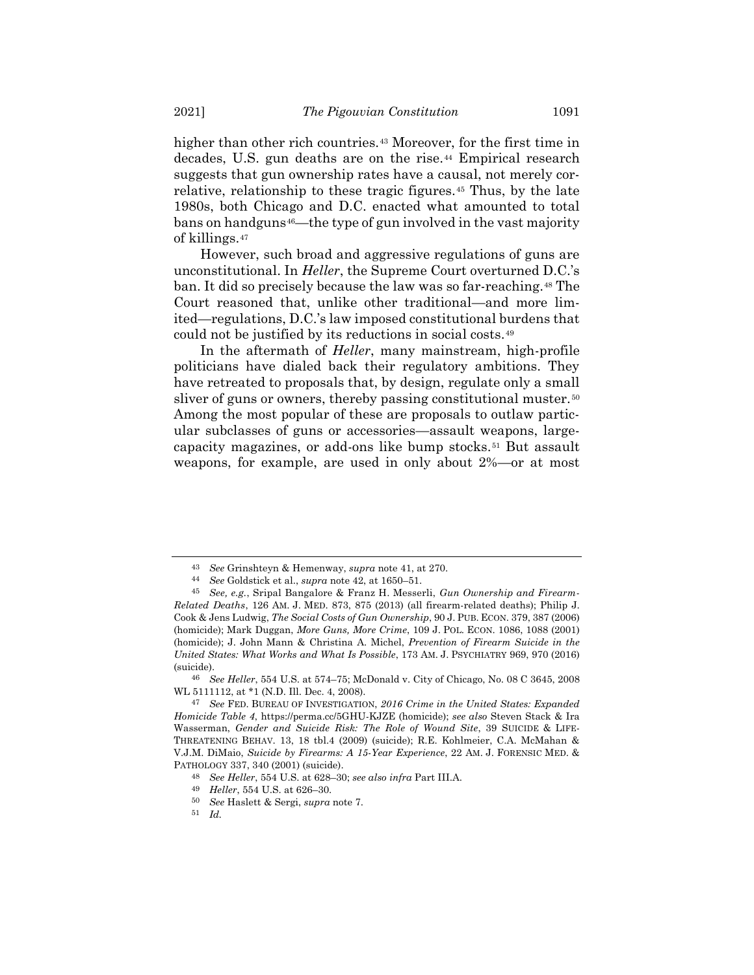higher than other rich countries.<sup>43</sup> Moreover, for the first time in decades, U.S. gun deaths are on the rise.<sup>44</sup> Empirical research suggests that gun ownership rates have a causal, not merely correlative, relationship to these tragic figures.<sup>45</sup> Thus, by the late 1980s, both Chicago and D.C. enacted what amounted to total bans on handguns<sup>46</sup>—the type of gun involved in the vast majority of killings.<sup>47</sup>

<span id="page-10-0"></span>However, such broad and aggressive regulations of guns are unconstitutional. In *Heller*, the Supreme Court overturned D.C.'s ban. It did so precisely because the law was so far-reaching.<sup>48</sup> The Court reasoned that, unlike other traditional—and more limited—regulations, D.C.'s law imposed constitutional burdens that could not be justified by its reductions in social costs.<sup>49</sup>

<span id="page-10-1"></span>In the aftermath of *Heller*, many mainstream, high-profile politicians have dialed back their regulatory ambitions. They have retreated to proposals that, by design, regulate only a small sliver of guns or owners, thereby passing constitutional muster.<sup>50</sup> Among the most popular of these are proposals to outlaw particular subclasses of guns or accessories—assault weapons, largecapacity magazines, or add-ons like bump stocks.<sup>51</sup> But assault weapons, for example, are used in only about 2%—or at most

<sup>43</sup> *See* Grinshteyn & Hemenway, *supra* not[e 41,](#page-9-0) at 270.

<sup>44</sup> *See* Goldstick et al., *supra* not[e 42,](#page-9-1) at 1650–51.

<sup>45</sup> *See, e.g.*, Sripal Bangalore & Franz H. Messerli, *Gun Ownership and Firearm-Related Deaths*, 126 AM. J. MED. 873, 875 (2013) (all firearm-related deaths); Philip J. Cook & Jens Ludwig, *The Social Costs of Gun Ownership*, 90 J. PUB. ECON. 379, 387 (2006) (homicide); Mark Duggan, *More Guns, More Crime*, 109 J. POL. ECON. 1086, 1088 (2001) (homicide); J. John Mann & Christina A. Michel, *Prevention of Firearm Suicide in the United States: What Works and What Is Possible*, 173 AM. J. PSYCHIATRY 969, 970 (2016) (suicide).

<sup>46</sup> *See Heller*, 554 U.S. at 574–75; McDonald v. City of Chicago, No. 08 C 3645, 2008 WL 5111112, at \*1 (N.D. Ill. Dec. 4, 2008).

<sup>47</sup> *See* FED. BUREAU OF INVESTIGATION, *2016 Crime in the United States: Expanded Homicide Table 4*, https://perma.cc/5GHU-KJZE (homicide); *see also* Steven Stack & Ira Wasserman, *Gender and Suicide Risk: The Role of Wound Site*, 39 SUICIDE & LIFE-THREATENING BEHAV. 13, 18 tbl.4 (2009) (suicide); R.E. Kohlmeier, C.A. McMahan & V.J.M. DiMaio, *Suicide by Firearms: A 15-Year Experience*, 22 AM. J. FORENSIC MED. & PATHOLOGY 337, 340 (2001) (suicide).

<sup>48</sup> *See Heller*, 554 U.S. at 628–30; *see also infra* Part III.A.

<sup>49</sup> *Heller*, 554 U.S. at 626–30.

<sup>50</sup> *See* Haslett & Sergi, *supra* not[e 7.](#page-2-0)

<sup>51</sup> *Id.*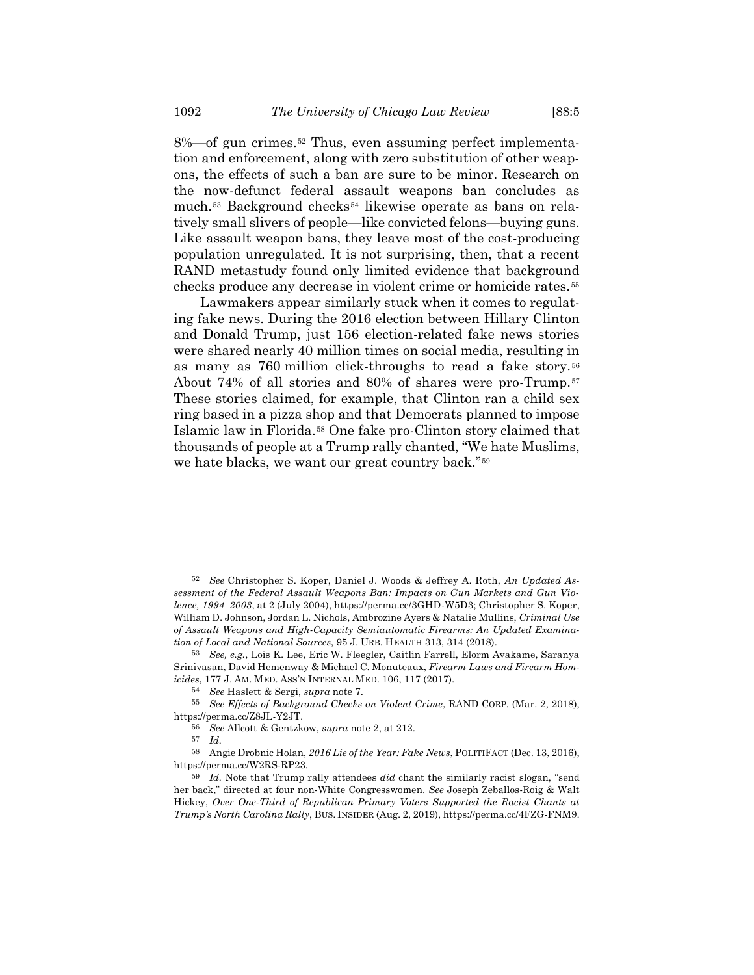8%—of gun crimes.<sup>52</sup> Thus, even assuming perfect implementation and enforcement, along with zero substitution of other weapons, the effects of such a ban are sure to be minor. Research on the now-defunct federal assault weapons ban concludes as much.<sup>53</sup> Background checks<sup>54</sup> likewise operate as bans on relatively small slivers of people—like convicted felons—buying guns. Like assault weapon bans, they leave most of the cost-producing population unregulated. It is not surprising, then, that a recent RAND metastudy found only limited evidence that background checks produce any decrease in violent crime or homicide rates.*5F* 55

<span id="page-11-0"></span>Lawmakers appear similarly stuck when it comes to regulating fake news. During the 2016 election between Hillary Clinton and Donald Trump, just 156 election-related fake news stories were shared nearly 40 million times on social media, resulting in as many as 760 million click-throughs to read a fake story.<sup>56</sup> About 74% of all stories and 80% of shares were pro-Trump.<sup>57</sup> These stories claimed, for example, that Clinton ran a child sex ring based in a pizza shop and that Democrats planned to impose Islamic law in Florida.<sup>58</sup> One fake pro-Clinton story claimed that thousands of people at a Trump rally chanted, "We hate Muslims, we hate blacks, we want our great country back."<sup>59</sup>

<sup>52</sup> *See* Christopher S. Koper, Daniel J. Woods & Jeffrey A. Roth, *An Updated Assessment of the Federal Assault Weapons Ban: Impacts on Gun Markets and Gun Violence, 1994–2003*, at 2 (July 2004), https://perma.cc/3GHD-W5D3; Christopher S. Koper, William D. Johnson, Jordan L. Nichols, Ambrozine Ayers & Natalie Mullins, *Criminal Use of Assault Weapons and High-Capacity Semiautomatic Firearms: An Updated Examination of Local and National Sources*, 95 J. URB. HEALTH 313, 314 (2018).

<sup>53</sup> *See, e.g.*, Lois K. Lee, Eric W. Fleegler, Caitlin Farrell, Elorm Avakame, Saranya Srinivasan, David Hemenway & Michael C. Monuteaux, *Firearm Laws and Firearm Homicides*, 177 J. AM. MED. ASS'N INTERNAL MED. 106, 117 (2017).

<sup>54</sup> *See* Haslett & Sergi, *supra* note [7.](#page-2-0)

<sup>55</sup> *See Effects of Background Checks on Violent Crime*, RAND CORP. (Mar. 2, 2018), https://perma.cc/Z8JL-Y2JT.

<sup>56</sup> *See* Allcott & Gentzkow, *supra* note [2,](#page-1-0) at 212.

<sup>57</sup> *Id.*

<sup>58</sup> Angie Drobnic Holan, *2016 Lie of the Year: Fake News*, POLITIFACT (Dec. 13, 2016), https://perma.cc/W2RS-RP23.

<sup>59</sup> *Id.* Note that Trump rally attendees *did* chant the similarly racist slogan, "send her back," directed at four non-White Congresswomen. *See* Joseph Zeballos-Roig & Walt Hickey, *Over One-Third of Republican Primary Voters Supported the Racist Chants at Trump's North Carolina Rally*, BUS. INSIDER (Aug. 2, 2019), https://perma.cc/4FZG-FNM9.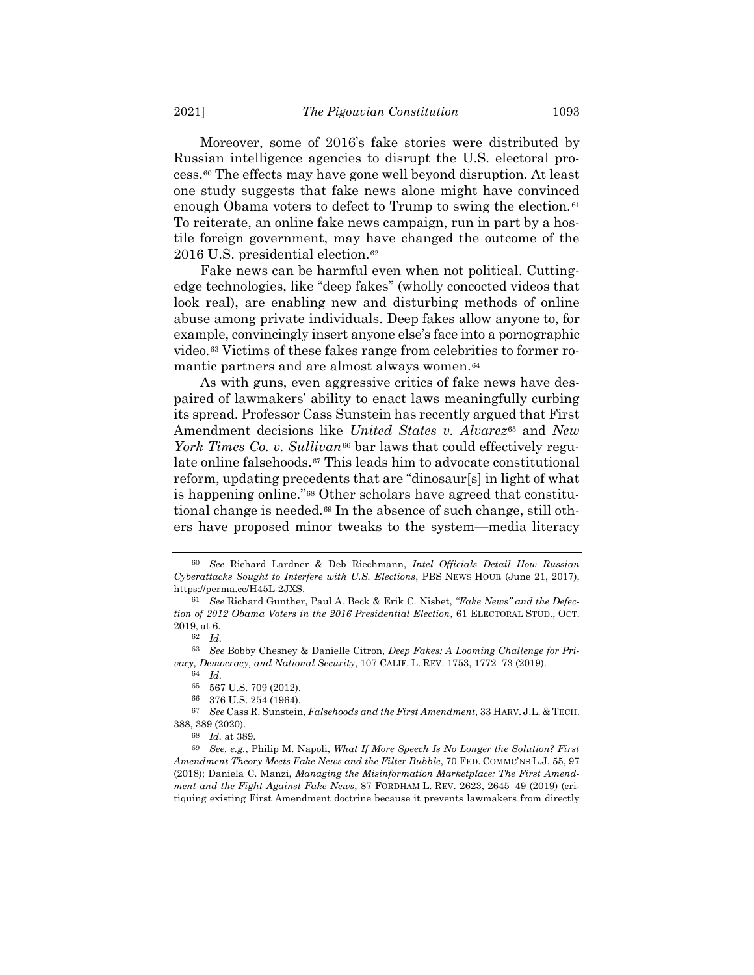Moreover, some of 2016's fake stories were distributed by Russian intelligence agencies to disrupt the U.S. electoral process.<sup>60</sup> The effects may have gone well beyond disruption. At least one study suggests that fake news alone might have convinced enough Obama voters to defect to Trump to swing the election.<sup>61</sup> To reiterate, an online fake news campaign, run in part by a hostile foreign government, may have changed the outcome of the 2016 U.S. presidential election.<sup>62</sup>

Fake news can be harmful even when not political. Cuttingedge technologies, like "deep fakes" (wholly concocted videos that look real), are enabling new and disturbing methods of online abuse among private individuals. Deep fakes allow anyone to, for example, convincingly insert anyone else's face into a pornographic video.<sup>63</sup> Victims of these fakes range from celebrities to former romantic partners and are almost always women.<sup>64</sup>

As with guns, even aggressive critics of fake news have despaired of lawmakers' ability to enact laws meaningfully curbing its spread. Professor Cass Sunstein has recently argued that First Amendment decisions like *United States v. Alvarez*<sup>65</sup> and *New York Times Co. v. Sullivan*<sup>66</sup> bar laws that could effectively regulate online falsehoods.<sup>67</sup> This leads him to advocate constitutional reform, updating precedents that are "dinosaur[s] in light of what is happening online."<sup>68</sup> Other scholars have agreed that constitutional change is needed.<sup>69</sup> In the absence of such change, still others have proposed minor tweaks to the system—media literacy

<span id="page-12-0"></span><sup>60</sup> *See* Richard Lardner & Deb Riechmann, *Intel Officials Detail How Russian Cyberattacks Sought to Interfere with U.S. Elections*, PBS NEWS HOUR (June 21, 2017), https://perma.cc/H45L-2JXS.

<sup>61</sup> *See* Richard Gunther, Paul A. Beck & Erik C. Nisbet, *"Fake News" and the Defection of 2012 Obama Voters in the 2016 Presidential Election*, 61 ELECTORAL STUD., OCT. 2019, at 6.

<sup>62</sup> *Id.*

<sup>63</sup> *See* Bobby Chesney & Danielle Citron, *Deep Fakes: A Looming Challenge for Privacy, Democracy, and National Security*, 107 CALIF. L. REV. 1753, 1772–73 (2019).

<sup>64</sup> *Id.*

<sup>65</sup> 567 U.S. 709 (2012).

<sup>66</sup> 376 U.S. 254 (1964).

<sup>67</sup> *See* Cass R. Sunstein, *Falsehoods and the First Amendment*, 33 HARV. J.L. & TECH. 388, 389 (2020).

<sup>68</sup> *Id.* at 389.

<sup>69</sup> *See, e.g.*, Philip M. Napoli, *What If More Speech Is No Longer the Solution? First Amendment Theory Meets Fake News and the Filter Bubble*, 70 FED. COMMC'NS L.J. 55, 97 (2018); Daniela C. Manzi, *Managing the Misinformation Marketplace: The First Amendment and the Fight Against Fake News*, 87 FORDHAM L. REV. 2623, 2645–49 (2019) (critiquing existing First Amendment doctrine because it prevents lawmakers from directly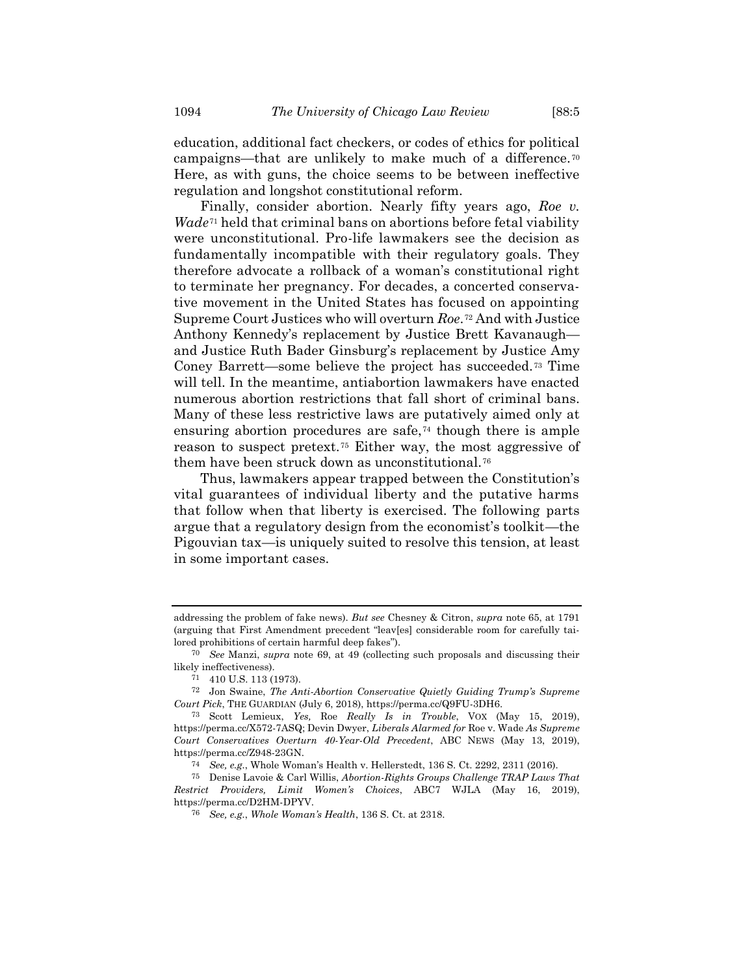education, additional fact checkers, or codes of ethics for political campaigns—that are unlikely to make much of a difference.<sup>70</sup> Here, as with guns, the choice seems to be between ineffective regulation and longshot constitutional reform.

Finally, consider abortion. Nearly fifty years ago, *Roe v.*   $Wade^{71}$  held that criminal bans on abortions before fetal viability were unconstitutional. Pro-life lawmakers see the decision as fundamentally incompatible with their regulatory goals. They therefore advocate a rollback of a woman's constitutional right to terminate her pregnancy. For decades, a concerted conservative movement in the United States has focused on appointing Supreme Court Justices who will overturn *Roe*.<sup>72</sup> And with Justice Anthony Kennedy's replacement by Justice Brett Kavanaugh and Justice Ruth Bader Ginsburg's replacement by Justice Amy Coney Barrett—some believe the project has succeeded.<sup>73</sup> Time will tell. In the meantime, antiabortion lawmakers have enacted numerous abortion restrictions that fall short of criminal bans. Many of these less restrictive laws are putatively aimed only at ensuring abortion procedures are safe,<sup>74</sup> though there is ample reason to suspect pretext.<sup>75</sup> Either way, the most aggressive of them have been struck down as unconstitutional.<sup>76</sup>

Thus, lawmakers appear trapped between the Constitution's vital guarantees of individual liberty and the putative harms that follow when that liberty is exercised. The following parts argue that a regulatory design from the economist's toolkit—the Pigouvian tax—is uniquely suited to resolve this tension, at least in some important cases.

addressing the problem of fake news). *But see* Chesney & Citron, *supra* note 65, at 1791 (arguing that First Amendment precedent "leav[es] considerable room for carefully tailored prohibitions of certain harmful deep fakes").

<sup>70</sup> *See* Manzi, *supra* note [69,](#page-12-0) at 49 (collecting such proposals and discussing their likely ineffectiveness).

<sup>71</sup> 410 U.S. 113 (1973).

<sup>72</sup> Jon Swaine, *The Anti-Abortion Conservative Quietly Guiding Trump's Supreme Court Pick*, THE GUARDIAN (July 6, 2018), https://perma.cc/Q9FU-3DH6.

<sup>73</sup> Scott Lemieux, *Yes,* Roe *Really Is in Trouble*, VOX (May 15, 2019), https://perma.cc/X572-7ASQ; Devin Dwyer, *Liberals Alarmed for* Roe v. Wade *As Supreme Court Conservatives Overturn 40-Year-Old Precedent*, ABC NEWS (May 13, 2019), https://perma.cc/Z948-23GN.

<sup>74</sup> *See, e.g.*, Whole Woman's Health v. Hellerstedt, 136 S. Ct. 2292, 2311 (2016).

<sup>75</sup> Denise Lavoie & Carl Willis, *Abortion-Rights Groups Challenge TRAP Laws That Restrict Providers, Limit Women's Choices*, ABC7 WJLA (May 16, 2019), https://perma.cc/D2HM-DPYV.

<sup>76</sup> *See, e.g.*, *Whole Woman's Health*, 136 S. Ct. at 2318.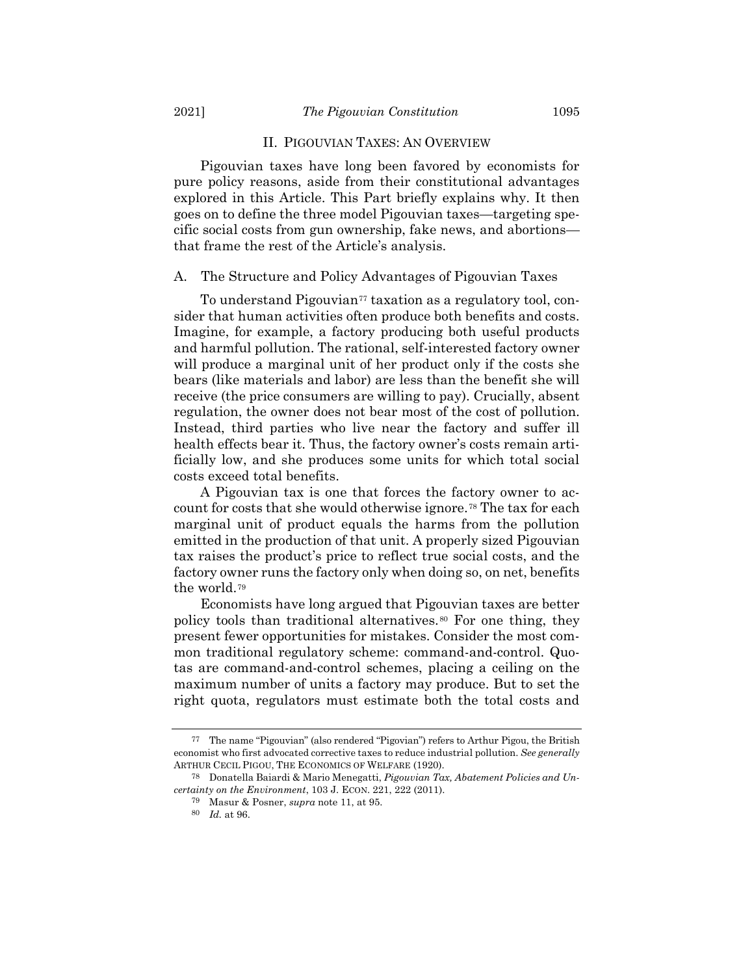#### II. PIGOUVIAN TAXES: AN OVERVIEW

Pigouvian taxes have long been favored by economists for pure policy reasons, aside from their constitutional advantages explored in this Article. This Part briefly explains why. It then goes on to define the three model Pigouvian taxes—targeting specific social costs from gun ownership, fake news, and abortions that frame the rest of the Article's analysis.

## A. The Structure and Policy Advantages of Pigouvian Taxes

To understand Pigouvian<sup>77</sup> taxation as a regulatory tool, consider that human activities often produce both benefits and costs. Imagine, for example, a factory producing both useful products and harmful pollution. The rational, self-interested factory owner will produce a marginal unit of her product only if the costs she bears (like materials and labor) are less than the benefit she will receive (the price consumers are willing to pay). Crucially, absent regulation, the owner does not bear most of the cost of pollution. Instead, third parties who live near the factory and suffer ill health effects bear it. Thus, the factory owner's costs remain artificially low, and she produces some units for which total social costs exceed total benefits.

A Pigouvian tax is one that forces the factory owner to account for costs that she would otherwise ignore.<sup>78</sup> The tax for each marginal unit of product equals the harms from the pollution emitted in the production of that unit. A properly sized Pigouvian tax raises the product's price to reflect true social costs, and the factory owner runs the factory only when doing so, on net, benefits the world.<sup>79</sup>

Economists have long argued that Pigouvian taxes are better policy tools than traditional alternatives.<sup>80</sup> For one thing, they present fewer opportunities for mistakes. Consider the most common traditional regulatory scheme: command-and-control. Quotas are command-and-control schemes, placing a ceiling on the maximum number of units a factory may produce. But to set the right quota, regulators must estimate both the total costs and

<sup>77</sup> The name "Pigouvian" (also rendered "Pigovian") refers to Arthur Pigou, the British economist who first advocated corrective taxes to reduce industrial pollution. *See generally* ARTHUR CECIL PIGOU, THE ECONOMICS OF WELFARE (1920).

<sup>78</sup> Donatella Baiardi & Mario Menegatti, *Pigouvian Tax, Abatement Policies and Uncertainty on the Environment*, 103 J. ECON. 221, 222 (2011).

<sup>79</sup> Masur & Posner, *supra* note [11,](#page-3-0) at 95.

<sup>80</sup> *Id.* at 96.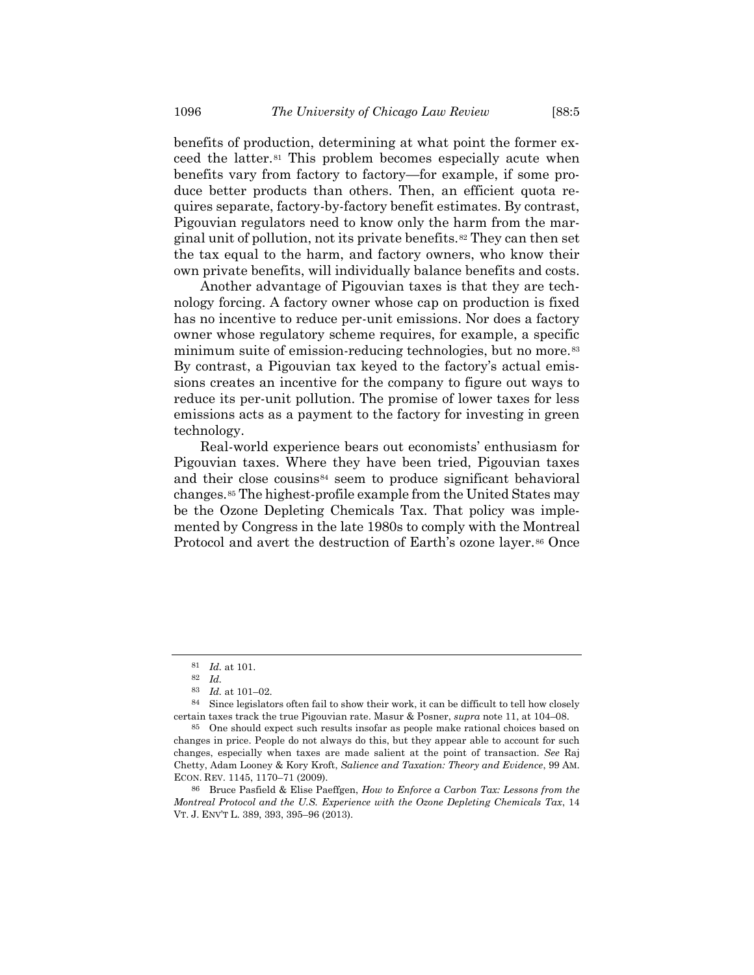benefits of production, determining at what point the former exceed the latter.<sup>81</sup> This problem becomes especially acute when benefits vary from factory to factory—for example, if some produce better products than others. Then, an efficient quota requires separate, factory-by-factory benefit estimates. By contrast, Pigouvian regulators need to know only the harm from the marginal unit of pollution, not its private benefits.*82F* <sup>82</sup> They can then set the tax equal to the harm, and factory owners, who know their own private benefits, will individually balance benefits and costs.

Another advantage of Pigouvian taxes is that they are technology forcing. A factory owner whose cap on production is fixed has no incentive to reduce per-unit emissions. Nor does a factory owner whose regulatory scheme requires, for example, a specific minimum suite of emission-reducing technologies, but no more.<sup>83</sup> By contrast, a Pigouvian tax keyed to the factory's actual emissions creates an incentive for the company to figure out ways to reduce its per-unit pollution. The promise of lower taxes for less emissions acts as a payment to the factory for investing in green technology.

Real-world experience bears out economists' enthusiasm for Pigouvian taxes. Where they have been tried, Pigouvian taxes and their close cousins<sup>84</sup> seem to produce significant behavioral changes.*85F* <sup>85</sup> The highest-profile example from the United States may be the Ozone Depleting Chemicals Tax. That policy was implemented by Congress in the late 1980s to comply with the Montreal Protocol and avert the destruction of Earth's ozone layer.<sup>86</sup> Once

<sup>81</sup> *Id.* at 101.

<sup>82</sup> *Id.*

<sup>83</sup> *Id.* at 101–02.

Since legislators often fail to show their work, it can be difficult to tell how closely certain taxes track the true Pigouvian rate. Masur & Posner, *supra* note [11,](#page-3-0) at 104–08.

<sup>85</sup> One should expect such results insofar as people make rational choices based on changes in price. People do not always do this, but they appear able to account for such changes, especially when taxes are made salient at the point of transaction. *See* Raj Chetty, Adam Looney & Kory Kroft, *Salience and Taxation: Theory and Evidence*, 99 AM. ECON. REV. 1145, 1170–71 (2009).

<sup>86</sup> Bruce Pasfield & Elise Paeffgen, *How to Enforce a Carbon Tax: Lessons from the Montreal Protocol and the U.S. Experience with the Ozone Depleting Chemicals Tax*, 14 VT. J. ENV'T L. 389, 393, 395–96 (2013).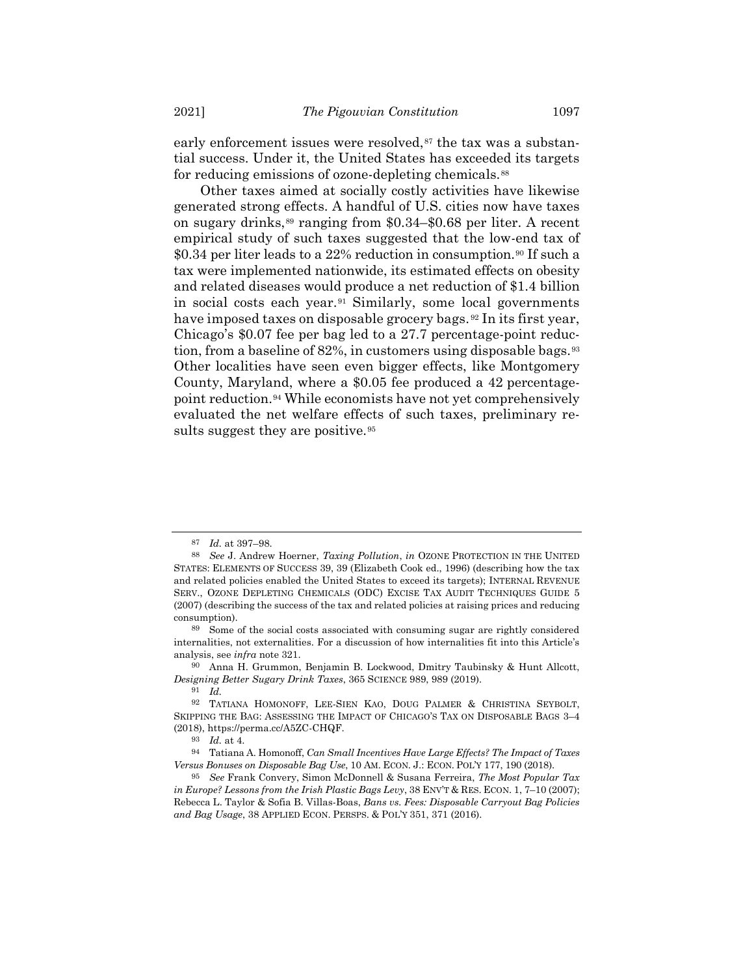early enforcement issues were resolved,<sup>87</sup> the tax was a substantial success. Under it, the United States has exceeded its targets for reducing emissions of ozone-depleting chemicals.<sup>88</sup>

Other taxes aimed at socially costly activities have likewise generated strong effects. A handful of U.S. cities now have taxes on sugary drinks,<sup>89</sup> ranging from \$0.34–\$0.68 per liter. A recent empirical study of such taxes suggested that the low-end tax of \$0.34 per liter leads to a 22% reduction in consumption.<sup>90</sup> If such a tax were implemented nationwide, its estimated effects on obesity and related diseases would produce a net reduction of \$1.4 billion in social costs each year.<sup>91</sup> Similarly, some local governments have imposed taxes on disposable grocery bags.<sup>92</sup> In its first year, Chicago's \$0.07 fee per bag led to a 27.7 percentage-point reduction, from a baseline of 82%, in customers using disposable bags.<sup>93</sup> Other localities have seen even bigger effects, like Montgomery County, Maryland, where a \$0.05 fee produced a 42 percentagepoint reduction.<sup>94</sup> While economists have not yet comprehensively evaluated the net welfare effects of such taxes, preliminary results suggest they are positive.<sup>95</sup>

<sup>87</sup> *Id.* at 397–98.

<sup>88</sup> *See* J. Andrew Hoerner, *Taxing Pollution*, *in* OZONE PROTECTION IN THE UNITED STATES: ELEMENTS OF SUCCESS 39, 39 (Elizabeth Cook ed., 1996) (describing how the tax and related policies enabled the United States to exceed its targets); INTERNAL REVENUE SERV., OZONE DEPLETING CHEMICALS (ODC) EXCISE TAX AUDIT TECHNIQUES GUIDE 5 (2007) (describing the success of the tax and related policies at raising prices and reducing consumption).

<sup>89</sup> Some of the social costs associated with consuming sugar are rightly considered internalities, not externalities. For a discussion of how internalities fit into this Article's analysis, see *infra* note [321.](#page-50-0)

<sup>90</sup> Anna H. Grummon, Benjamin B. Lockwood, Dmitry Taubinsky & Hunt Allcott, *Designing Better Sugary Drink Taxes*, 365 SCIENCE 989, 989 (2019).

<sup>91</sup> *Id.*

<sup>92</sup> TATIANA HOMONOFF, LEE-SIEN KAO, DOUG PALMER & CHRISTINA SEYBOLT, SKIPPING THE BAG: ASSESSING THE IMPACT OF CHICAGO'S TAX ON DISPOSABLE BAGS 3–4 (2018), https://perma.cc/A5ZC-CHQF.

<sup>93</sup> *Id.* at 4.

<sup>94</sup> Tatiana A. Homonoff, *Can Small Incentives Have Large Effects? The Impact of Taxes Versus Bonuses on Disposable Bag Use*, 10 AM. ECON. J.: ECON. POL'Y 177, 190 (2018).

<sup>95</sup> *See* Frank Convery, Simon McDonnell & Susana Ferreira, *The Most Popular Tax in Europe? Lessons from the Irish Plastic Bags Levy*, 38 ENV'T & RES. ECON. 1, 7–10 (2007); Rebecca L. Taylor & Sofia B. Villas-Boas, *Bans vs. Fees: Disposable Carryout Bag Policies and Bag Usage*, 38 APPLIED ECON. PERSPS. & POL'Y 351, 371 (2016).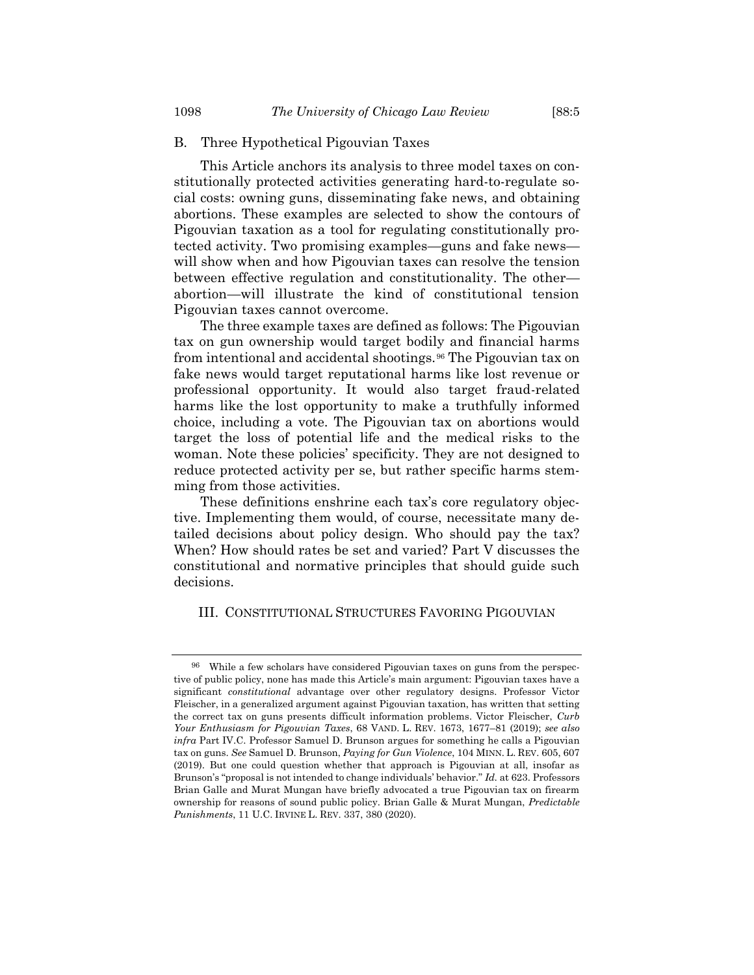#### B. Three Hypothetical Pigouvian Taxes

This Article anchors its analysis to three model taxes on constitutionally protected activities generating hard-to-regulate social costs: owning guns, disseminating fake news, and obtaining abortions. These examples are selected to show the contours of Pigouvian taxation as a tool for regulating constitutionally protected activity. Two promising examples—guns and fake news will show when and how Pigouvian taxes can resolve the tension between effective regulation and constitutionality. The other abortion—will illustrate the kind of constitutional tension Pigouvian taxes cannot overcome.

The three example taxes are defined as follows: The Pigouvian tax on gun ownership would target bodily and financial harms from intentional and accidental shootings.<sup>96</sup> The Pigouvian tax on fake news would target reputational harms like lost revenue or professional opportunity. It would also target fraud-related harms like the lost opportunity to make a truthfully informed choice, including a vote. The Pigouvian tax on abortions would target the loss of potential life and the medical risks to the woman. Note these policies' specificity. They are not designed to reduce protected activity per se, but rather specific harms stemming from those activities.

These definitions enshrine each tax's core regulatory objective. Implementing them would, of course, necessitate many detailed decisions about policy design. Who should pay the tax? When? How should rates be set and varied? Part V discusses the constitutional and normative principles that should guide such decisions.

#### III. CONSTITUTIONAL STRUCTURES FAVORING PIGOUVIAN

<sup>96</sup> While a few scholars have considered Pigouvian taxes on guns from the perspective of public policy, none has made this Article's main argument: Pigouvian taxes have a significant *constitutional* advantage over other regulatory designs. Professor Victor Fleischer, in a generalized argument against Pigouvian taxation, has written that setting the correct tax on guns presents difficult information problems. Victor Fleischer, *Curb Your Enthusiasm for Pigouvian Taxes*, 68 VAND. L. REV. 1673, 1677–81 (2019); *see also infra* Part IV.C. Professor Samuel D. Brunson argues for something he calls a Pigouvian tax on guns. *See* Samuel D. Brunson, *Paying for Gun Violence*, 104 MINN. L. REV. 605, 607 (2019). But one could question whether that approach is Pigouvian at all, insofar as Brunson's "proposal is not intended to change individuals' behavior." *Id.* at 623. Professors Brian Galle and Murat Mungan have briefly advocated a true Pigouvian tax on firearm ownership for reasons of sound public policy. Brian Galle & Murat Mungan, *Predictable Punishments*, 11 U.C. IRVINE L. REV. 337, 380 (2020).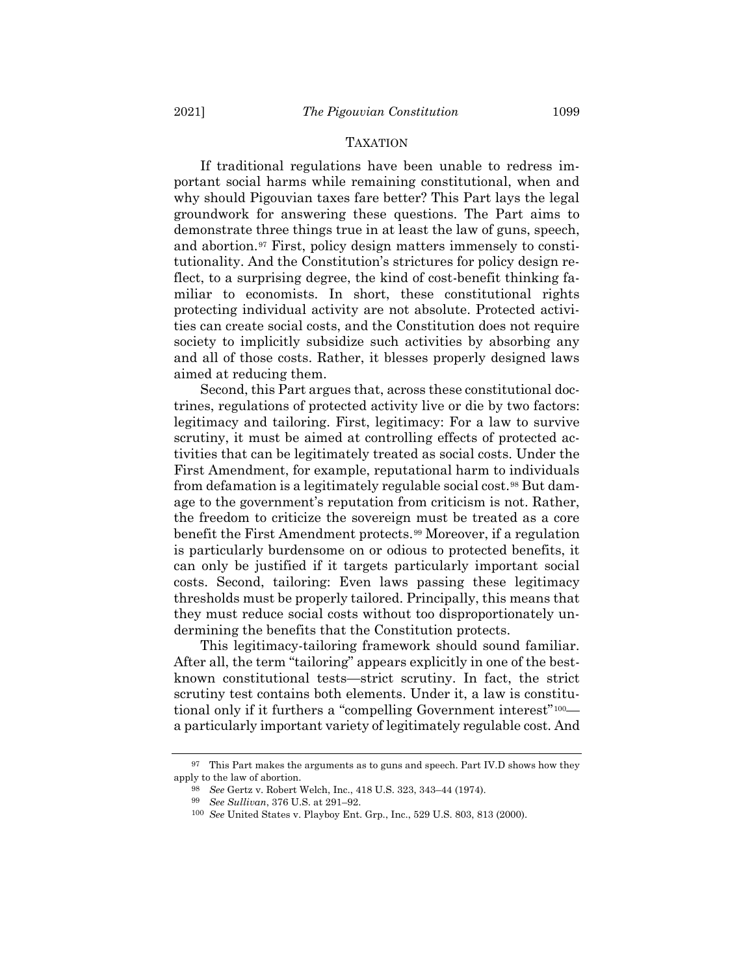If traditional regulations have been unable to redress important social harms while remaining constitutional, when and why should Pigouvian taxes fare better? This Part lays the legal groundwork for answering these questions. The Part aims to demonstrate three things true in at least the law of guns, speech, and abortion.<sup>97</sup> First, policy design matters immensely to constitutionality. And the Constitution's strictures for policy design reflect, to a surprising degree, the kind of cost-benefit thinking familiar to economists. In short, these constitutional rights protecting individual activity are not absolute. Protected activities can create social costs, and the Constitution does not require society to implicitly subsidize such activities by absorbing any and all of those costs. Rather, it blesses properly designed laws aimed at reducing them.

Second, this Part argues that, across these constitutional doctrines, regulations of protected activity live or die by two factors: legitimacy and tailoring. First, legitimacy: For a law to survive scrutiny, it must be aimed at controlling effects of protected activities that can be legitimately treated as social costs. Under the First Amendment, for example, reputational harm to individuals from defamation is a legitimately regulable social cost.<sup>98</sup> But damage to the government's reputation from criticism is not. Rather, the freedom to criticize the sovereign must be treated as a core benefit the First Amendment protects.<sup>99</sup> Moreover, if a regulation is particularly burdensome on or odious to protected benefits, it can only be justified if it targets particularly important social costs. Second, tailoring: Even laws passing these legitimacy thresholds must be properly tailored. Principally, this means that they must reduce social costs without too disproportionately undermining the benefits that the Constitution protects.

This legitimacy-tailoring framework should sound familiar. After all, the term "tailoring" appears explicitly in one of the bestknown constitutional tests—strict scrutiny. In fact, the strict scrutiny test contains both elements. Under it, a law is constitutional only if it furthers a "compelling Government interest"<sup>100</sup> a particularly important variety of legitimately regulable cost. And

 $^{97}$  This Part makes the arguments as to guns and speech. Part IV.D shows how they apply to the law of abortion.

<sup>98</sup> *See* Gertz v. Robert Welch, Inc., 418 U.S. 323, 343–44 (1974).

<sup>99</sup> *See Sullivan*, 376 U.S. at 291–92.

<sup>100</sup> *See* United States v. Playboy Ent. Grp., Inc., 529 U.S. 803, 813 (2000).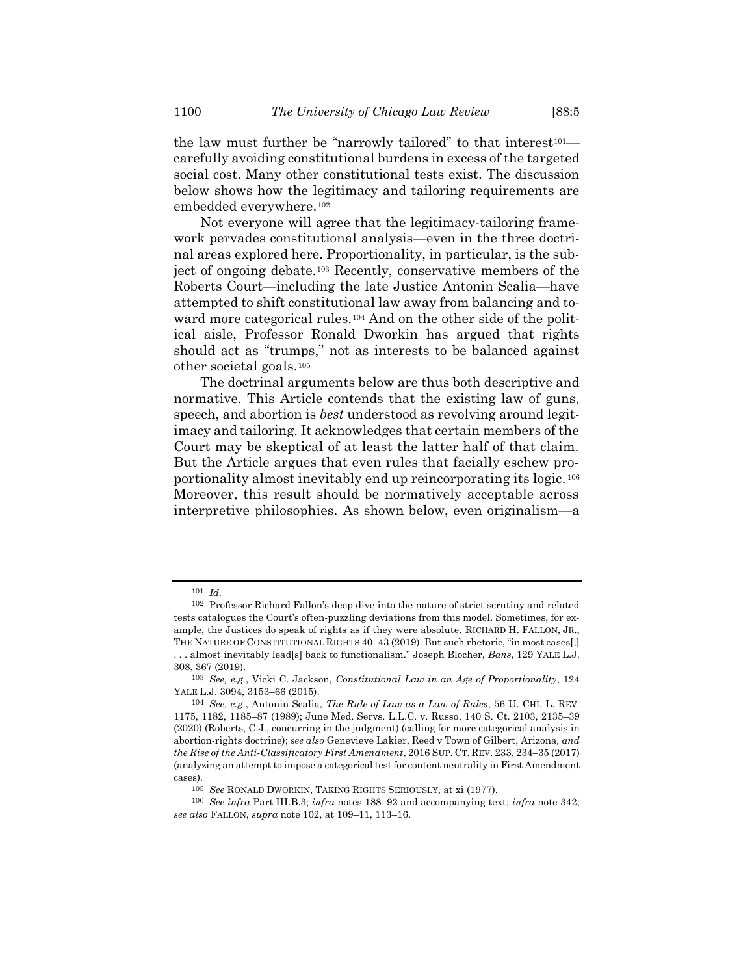the law must further be "narrowly tailored" to that interest<sup>101</sup> carefully avoiding constitutional burdens in excess of the targeted social cost. Many other constitutional tests exist. The discussion below shows how the legitimacy and tailoring requirements are embedded everywhere.<sup>102</sup>

<span id="page-19-1"></span><span id="page-19-0"></span>Not everyone will agree that the legitimacy-tailoring framework pervades constitutional analysis—even in the three doctrinal areas explored here. Proportionality, in particular, is the subject of ongoing debate.<sup>103</sup> Recently, conservative members of the Roberts Court—including the late Justice Antonin Scalia—have attempted to shift constitutional law away from balancing and toward more categorical rules.<sup>104</sup> And on the other side of the political aisle, Professor Ronald Dworkin has argued that rights should act as "trumps," not as interests to be balanced against other societal goals.<sup>105</sup>

<span id="page-19-2"></span>The doctrinal arguments below are thus both descriptive and normative. This Article contends that the existing law of guns, speech, and abortion is *best* understood as revolving around legitimacy and tailoring. It acknowledges that certain members of the Court may be skeptical of at least the latter half of that claim. But the Article argues that even rules that facially eschew proportionality almost inevitably end up reincorporating its logic.<sup>106</sup> Moreover, this result should be normatively acceptable across interpretive philosophies. As shown below, even originalism—a

<sup>101</sup> *Id.*

<sup>102</sup> Professor Richard Fallon's deep dive into the nature of strict scrutiny and related tests catalogues the Court's often-puzzling deviations from this model. Sometimes, for example, the Justices do speak of rights as if they were absolute. RICHARD H. FALLON, JR., THE NATURE OF CONSTITUTIONAL RIGHTS 40-43 (2019). But such rhetoric, "in most cases[,] . . . almost inevitably lead[s] back to functionalism." Joseph Blocher, *Bans*, 129 YALE L.J. 308, 367 (2019).

<sup>103</sup> *See, e.g.*, Vicki C. Jackson, *Constitutional Law in an Age of Proportionality*, 124 YALE L.J. 3094, 3153–66 (2015).

<sup>104</sup> *See, e.g.*, Antonin Scalia, *The Rule of Law as a Law of Rules*, 56 U. CHI. L. REV. 1175, 1182, 1185–87 (1989); June Med. Servs. L.L.C. v. Russo, 140 S. Ct. 2103, 2135–39 (2020) (Roberts, C.J., concurring in the judgment) (calling for more categorical analysis in abortion-rights doctrine); *see also* Genevieve Lakier, Reed v Town of Gilbert, Arizona*, and the Rise of the Anti-Classificatory First Amendment*, 2016 SUP. CT. REV. 233, 234–35 (2017) (analyzing an attempt to impose a categorical test for content neutrality in First Amendment cases).

<sup>105</sup> *See* RONALD DWORKIN, TAKING RIGHTS SERIOUSLY, at xi (1977).

<sup>106</sup> *See infra* Part III.B.3; *infra* notes [188](#page-30-0)–92 and accompanying text; *infra* note [342;](#page-54-0)  *see also* FALLON, *supra* note [102,](#page-19-0) at 109–11, 113–16.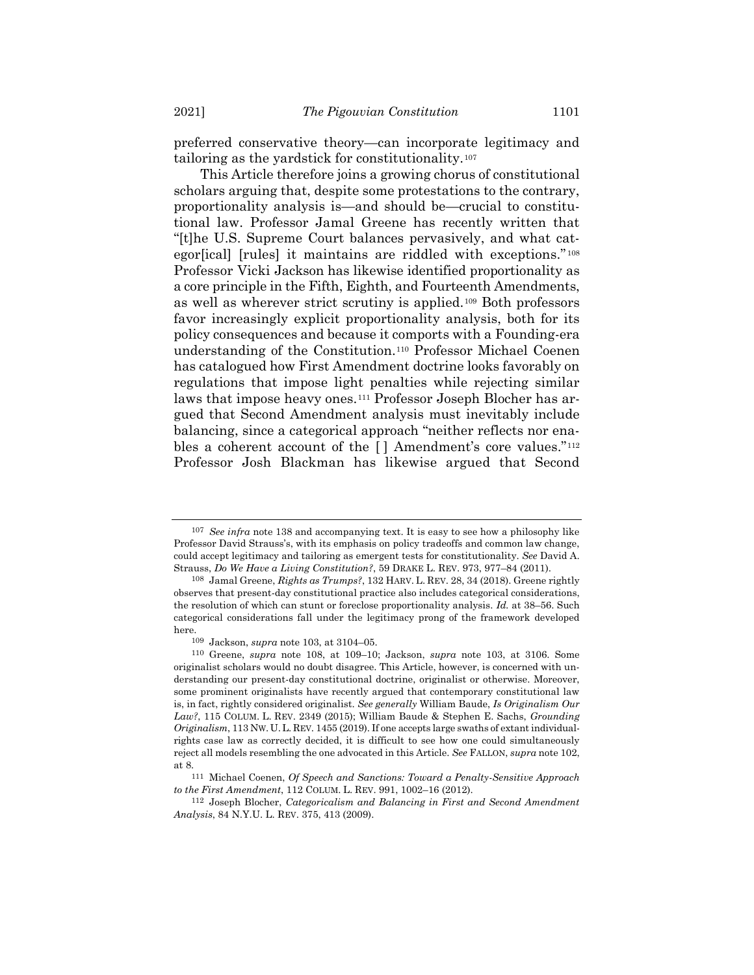preferred conservative theory—can incorporate legitimacy and tailoring as the yardstick for constitutionality.<sup>107</sup>

<span id="page-20-0"></span>This Article therefore joins a growing chorus of constitutional scholars arguing that, despite some protestations to the contrary, proportionality analysis is—and should be—crucial to constitutional law. Professor Jamal Greene has recently written that "[t]he U.S. Supreme Court balances pervasively, and what categor[ical] [rules] it maintains are riddled with exceptions."<sup>108</sup> Professor Vicki Jackson has likewise identified proportionality as a core principle in the Fifth, Eighth, and Fourteenth Amendments, as well as wherever strict scrutiny is applied.<sup>109</sup> Both professors favor increasingly explicit proportionality analysis, both for its policy consequences and because it comports with a Founding-era understanding of the Constitution.<sup>110</sup> Professor Michael Coenen has catalogued how First Amendment doctrine looks favorably on regulations that impose light penalties while rejecting similar laws that impose heavy ones.<sup>111</sup> Professor Joseph Blocher has argued that Second Amendment analysis must inevitably include balancing, since a categorical approach "neither reflects nor enables a coherent account of the [] Amendment's core values."<sup>112</sup> Professor Josh Blackman has likewise argued that Second

<span id="page-20-1"></span><sup>107</sup> *See infra* note [138](#page-24-0) and accompanying text. It is easy to see how a philosophy like Professor David Strauss's, with its emphasis on policy tradeoffs and common law change, could accept legitimacy and tailoring as emergent tests for constitutionality. *See* David A. Strauss, *Do We Have a Living Constitution?*, 59 DRAKE L. REV. 973, 977–84 (2011).

<sup>108</sup> Jamal Greene, *Rights as Trumps?*, 132 HARV. L. REV. 28, 34 (2018). Greene rightly observes that present-day constitutional practice also includes categorical considerations, the resolution of which can stunt or foreclose proportionality analysis. *Id.* at 38–56. Such categorical considerations fall under the legitimacy prong of the framework developed here.

<sup>109</sup> Jackson, *supra* note [103,](#page-19-1) at 3104–05.

<sup>110</sup> Greene, *supra* note [108,](#page-20-0) at 109–10; Jackson, *supra* note [103,](#page-19-1) at 3106. Some originalist scholars would no doubt disagree. This Article, however, is concerned with understanding our present-day constitutional doctrine, originalist or otherwise. Moreover, some prominent originalists have recently argued that contemporary constitutional law is, in fact, rightly considered originalist. *See generally* William Baude, *Is Originalism Our Law?*, 115 COLUM. L. REV. 2349 (2015); William Baude & Stephen E. Sachs, *Grounding Originalism*, 113 NW. U.L. REV. 1455 (2019). If one accepts large swaths of extant individualrights case law as correctly decided, it is difficult to see how one could simultaneously reject all models resembling the one advocated in this Article. *See* FALLON, *supra* not[e 102,](#page-19-0)  at 8.

<sup>111</sup> Michael Coenen, *Of Speech and Sanctions: Toward a Penalty-Sensitive Approach to the First Amendment*, 112 COLUM. L. REV. 991, 1002–16 (2012).

<sup>112</sup> Joseph Blocher, *Categoricalism and Balancing in First and Second Amendment Analysis*, 84 N.Y.U. L. REV. 375, 413 (2009).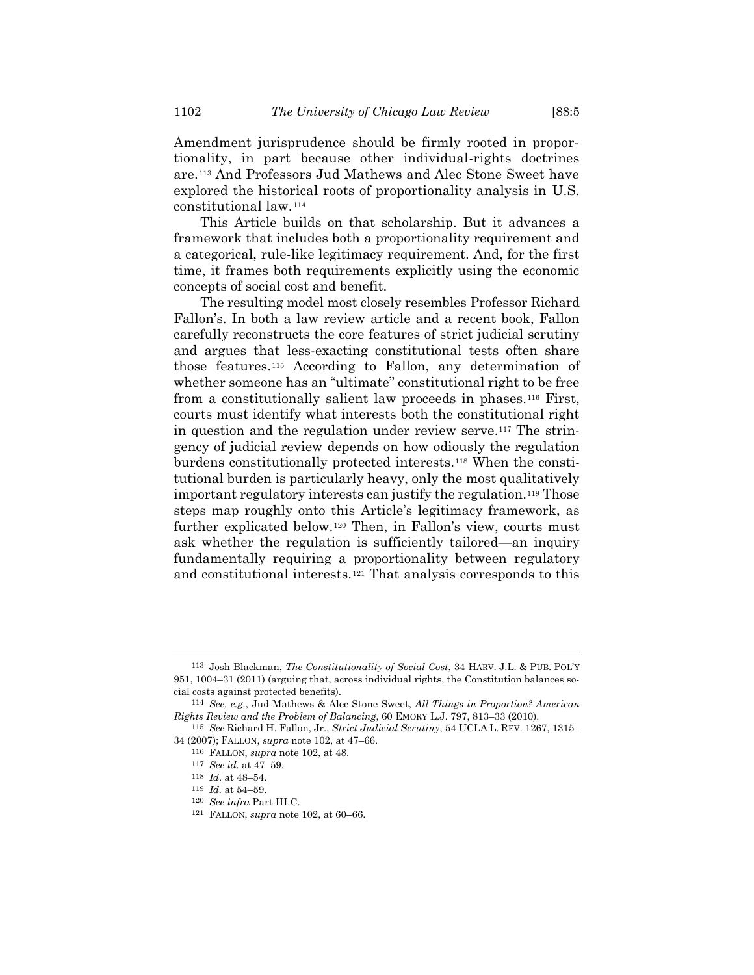Amendment jurisprudence should be firmly rooted in proportionality, in part because other individual-rights doctrines are.<sup>113</sup> And Professors Jud Mathews and Alec Stone Sweet have explored the historical roots of proportionality analysis in U.S. constitutional law.<sup>114</sup>

<span id="page-21-0"></span>This Article builds on that scholarship. But it advances a framework that includes both a proportionality requirement and a categorical, rule-like legitimacy requirement. And, for the first time, it frames both requirements explicitly using the economic concepts of social cost and benefit.

The resulting model most closely resembles Professor Richard Fallon's. In both a law review article and a recent book, Fallon carefully reconstructs the core features of strict judicial scrutiny and argues that less-exacting constitutional tests often share those features.<sup>115</sup> According to Fallon, any determination of whether someone has an "ultimate" constitutional right to be free from a constitutionally salient law proceeds in phases.*16F* <sup>116</sup> First, courts must identify what interests both the constitutional right in question and the regulation under review serve.<sup>117</sup> The stringency of judicial review depends on how odiously the regulation burdens constitutionally protected interests.<sup>118</sup> When the constitutional burden is particularly heavy, only the most qualitatively important regulatory interests can justify the regulation.*19F* <sup>119</sup> Those steps map roughly onto this Article's legitimacy framework, as further explicated below.<sup>120</sup> Then, in Fallon's view, courts must ask whether the regulation is sufficiently tailored—an inquiry fundamentally requiring a proportionality between regulatory and constitutional interests.<sup>121</sup> That analysis corresponds to this

<sup>113</sup> Josh Blackman, *The Constitutionality of Social Cost*, 34 HARV. J.L. & PUB. POL'Y 951, 1004–31 (2011) (arguing that, across individual rights, the Constitution balances social costs against protected benefits).

<sup>114</sup> *See, e.g.*, Jud Mathews & Alec Stone Sweet, *All Things in Proportion? American Rights Review and the Problem of Balancing*, 60 EMORY L.J. 797, 813–33 (2010).

<sup>115</sup> *See* Richard H. Fallon, Jr., *Strict Judicial Scrutiny*, 54 UCLA L. REV. 1267, 1315– 34 (2007); FALLON, *supra* note [102,](#page-19-0) at 47–66.

<sup>116</sup> FALLON, *supra* note [102,](#page-19-0) at 48.

<sup>117</sup> *See id.* at 47–59.

<sup>118</sup> *Id*. at 48–54.

<sup>119</sup> *Id.* at 54–59.

<sup>120</sup> *See infra* Part III.C.

<sup>121</sup> FALLON, *supra* note [102,](#page-19-0) at 60–66.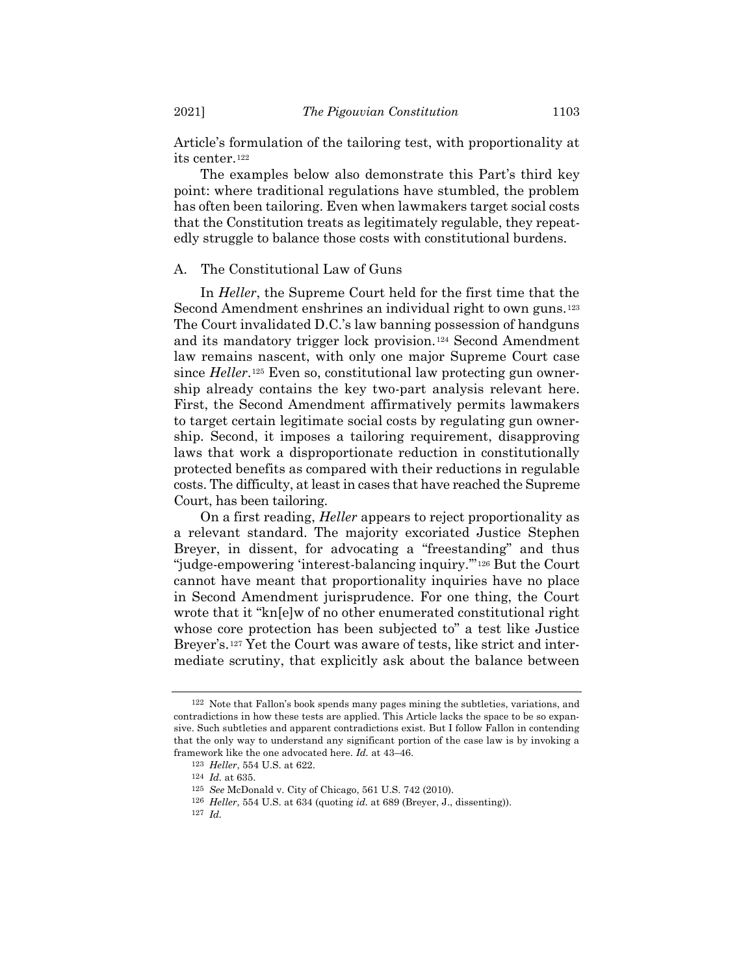Article's formulation of the tailoring test, with proportionality at its center.<sup>122</sup>

The examples below also demonstrate this Part's third key point: where traditional regulations have stumbled, the problem has often been tailoring. Even when lawmakers target social costs that the Constitution treats as legitimately regulable, they repeatedly struggle to balance those costs with constitutional burdens.

#### A. The Constitutional Law of Guns

In *Heller*, the Supreme Court held for the first time that the Second Amendment enshrines an individual right to own guns.<sup>123</sup> The Court invalidated D.C.'s law banning possession of handguns and its mandatory trigger lock provision.<sup>124</sup> Second Amendment law remains nascent, with only one major Supreme Court case since *Heller*.<sup>125</sup> Even so, constitutional law protecting gun ownership already contains the key two-part analysis relevant here. First, the Second Amendment affirmatively permits lawmakers to target certain legitimate social costs by regulating gun ownership. Second, it imposes a tailoring requirement, disapproving laws that work a disproportionate reduction in constitutionally protected benefits as compared with their reductions in regulable costs. The difficulty, at least in cases that have reached the Supreme Court, has been tailoring.

On a first reading, *Heller* appears to reject proportionality as a relevant standard. The majority excoriated Justice Stephen Breyer, in dissent, for advocating a "freestanding" and thus "judge-empowering 'interest-balancing inquiry."<sup>126</sup> But the Court cannot have meant that proportionality inquiries have no place in Second Amendment jurisprudence. For one thing, the Court wrote that it "kn[e]w of no other enumerated constitutional right whose core protection has been subjected to" a test like Justice Breyer's.<sup>127</sup> Yet the Court was aware of tests, like strict and intermediate scrutiny, that explicitly ask about the balance between

<sup>122</sup> Note that Fallon's book spends many pages mining the subtleties, variations, and contradictions in how these tests are applied. This Article lacks the space to be so expansive. Such subtleties and apparent contradictions exist. But I follow Fallon in contending that the only way to understand any significant portion of the case law is by invoking a framework like the one advocated here. *Id.* at 43–46.

<sup>123</sup> *Heller*, 554 U.S. at 622.

<sup>124</sup> *Id.* at 635.

<sup>125</sup> *See* McDonald v. City of Chicago, 561 U.S. 742 (2010).

<sup>126</sup> *Heller*, 554 U.S. at 634 (quoting *id.* at 689 (Breyer, J., dissenting)).

<sup>127</sup> *Id.*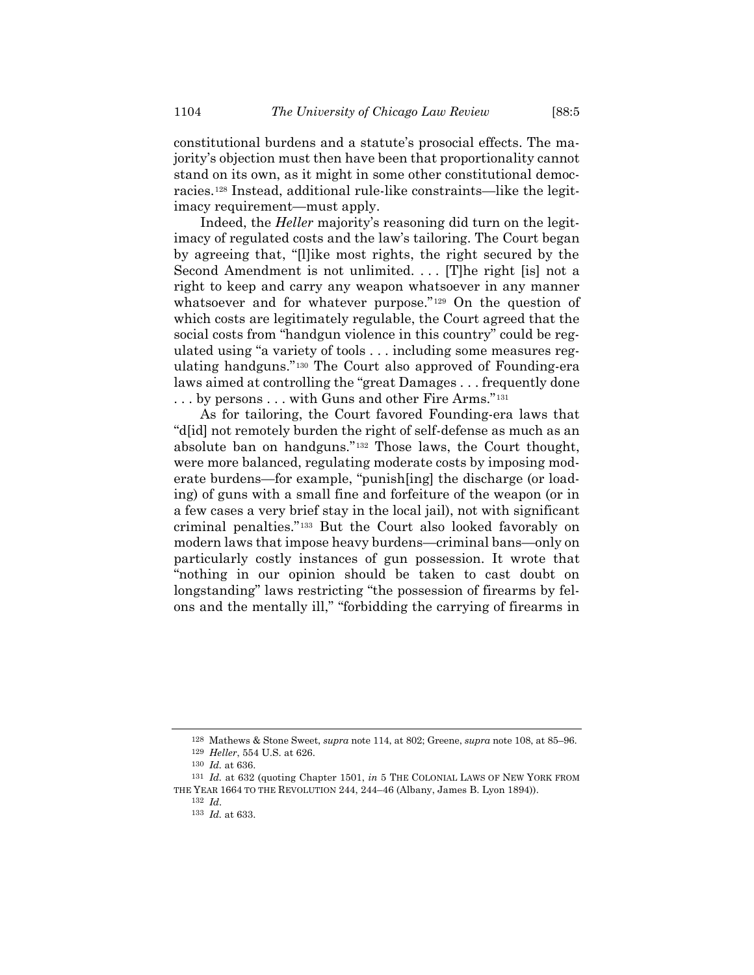constitutional burdens and a statute's prosocial effects. The majority's objection must then have been that proportionality cannot stand on its own, as it might in some other constitutional democracies.<sup>128</sup> Instead, additional rule-like constraints—like the legitimacy requirement—must apply.

Indeed, the *Heller* majority's reasoning did turn on the legitimacy of regulated costs and the law's tailoring. The Court began by agreeing that, "[l]ike most rights, the right secured by the Second Amendment is not unlimited. ... [T]he right [is] not a right to keep and carry any weapon whatsoever in any manner whatsoever and for whatever purpose."<sup>129</sup> On the question of which costs are legitimately regulable, the Court agreed that the social costs from "handgun violence in this country" could be regulated using "a variety of tools . . . including some measures regulating handguns."<sup>130</sup> The Court also approved of Founding-era laws aimed at controlling the "great Damages . . . frequently done ... by persons ... with Guns and other Fire Arms."<sup>131</sup>

As for tailoring, the Court favored Founding-era laws that "d[id] not remotely burden the right of self-defense as much as an absolute ban on handguns."<sup>132</sup> Those laws, the Court thought, were more balanced, regulating moderate costs by imposing moderate burdens—for example, "punish[ing] the discharge (or loading) of guns with a small fine and forfeiture of the weapon (or in a few cases a very brief stay in the local jail), not with significant criminal penalties."*13F* <sup>133</sup> But the Court also looked favorably on modern laws that impose heavy burdens—criminal bans—only on particularly costly instances of gun possession. It wrote that "nothing in our opinion should be taken to cast doubt on longstanding" laws restricting "the possession of firearms by felons and the mentally ill," "forbidding the carrying of firearms in

<sup>128</sup> Mathews & Stone Sweet, *supra* not[e 114,](#page-21-0) at 802; Greene, *supra* note [108,](#page-20-0) at 85–96. 129 *Heller*, 554 U.S. at 626.

<sup>130</sup> *Id.* at 636.

<sup>131</sup> *Id.* at 632 (quoting Chapter 1501, *in* 5 THE COLONIAL LAWS OF NEW YORK FROM THE YEAR 1664 TO THE REVOLUTION 244, 244–46 (Albany, James B. Lyon 1894)).

<sup>132</sup> *Id*.

<sup>133</sup> *Id.* at 633.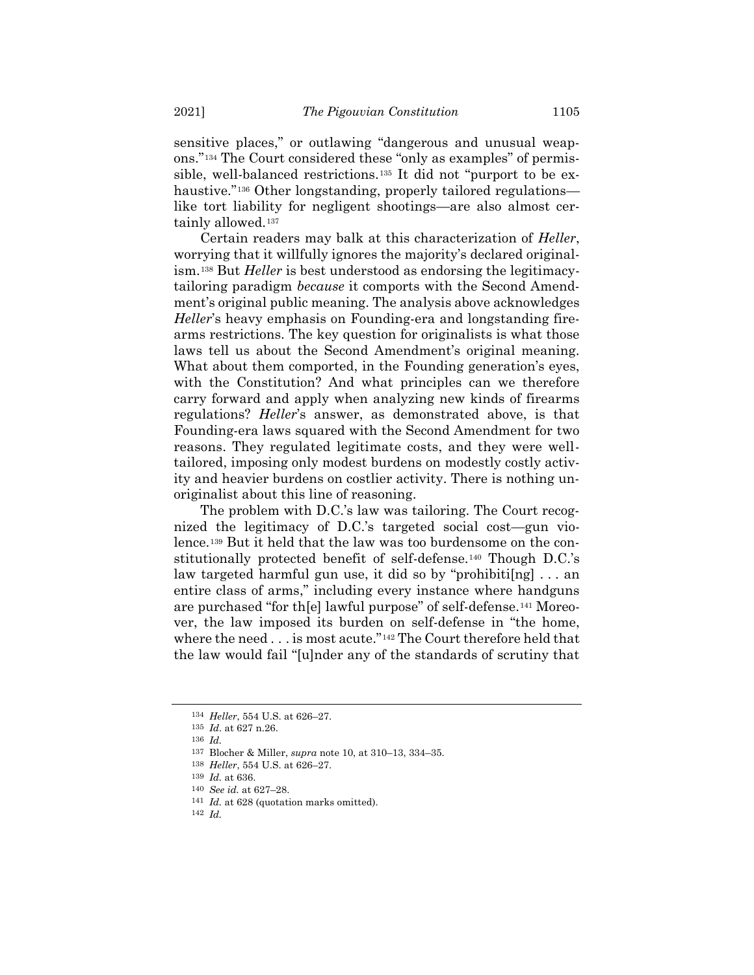sensitive places," or outlawing "dangerous and unusual weapons."<sup>134</sup> The Court considered these "only as examples" of permissible, well-balanced restrictions.<sup>135</sup> It did not "purport to be exhaustive."<sup>136</sup> Other longstanding, properly tailored regulations like tort liability for negligent shootings—are also almost certainly allowed.<sup>137</sup>

<span id="page-24-0"></span>Certain readers may balk at this characterization of *Heller*, worrying that it willfully ignores the majority's declared originalism.<sup>138</sup> But *Heller* is best understood as endorsing the legitimacytailoring paradigm *because* it comports with the Second Amendment's original public meaning. The analysis above acknowledges *Heller*'s heavy emphasis on Founding-era and longstanding firearms restrictions. The key question for originalists is what those laws tell us about the Second Amendment's original meaning. What about them comported, in the Founding generation's eyes, with the Constitution? And what principles can we therefore carry forward and apply when analyzing new kinds of firearms regulations? *Heller*'s answer, as demonstrated above, is that Founding-era laws squared with the Second Amendment for two reasons. They regulated legitimate costs, and they were welltailored, imposing only modest burdens on modestly costly activity and heavier burdens on costlier activity. There is nothing unoriginalist about this line of reasoning.

The problem with D.C.'s law was tailoring. The Court recognized the legitimacy of D.C.'s targeted social cost—gun violence.<sup>139</sup> But it held that the law was too burdensome on the constitutionally protected benefit of self-defense.<sup>140</sup> Though D.C.'s law targeted harmful gun use, it did so by "prohibiti[ng]  $\ldots$  an entire class of arms," including every instance where handguns are purchased "for th<sup>[e]</sup> lawful purpose" of self-defense.<sup>141</sup> Moreover, the law imposed its burden on self-defense in "the home, where the need . . . is most acute."<sup>142</sup> The Court therefore held that the law would fail "[u]nder any of the standards of scrutiny that

<sup>134</sup> *Heller*, 554 U.S. at 626–27.

<sup>135</sup> *Id*. at 627 n.26.

<sup>136</sup> *Id.*

<sup>137</sup> Blocher & Miller, *supra* note [10,](#page-3-1) at 310–13, 334–35.

<sup>138</sup> *Heller*, 554 U.S. at 626–27.

<sup>139</sup> *Id.* at 636.

<sup>140</sup> *See id.* at 627–28.

<sup>141</sup> *Id.* at 628 (quotation marks omitted).

<sup>142</sup> *Id.*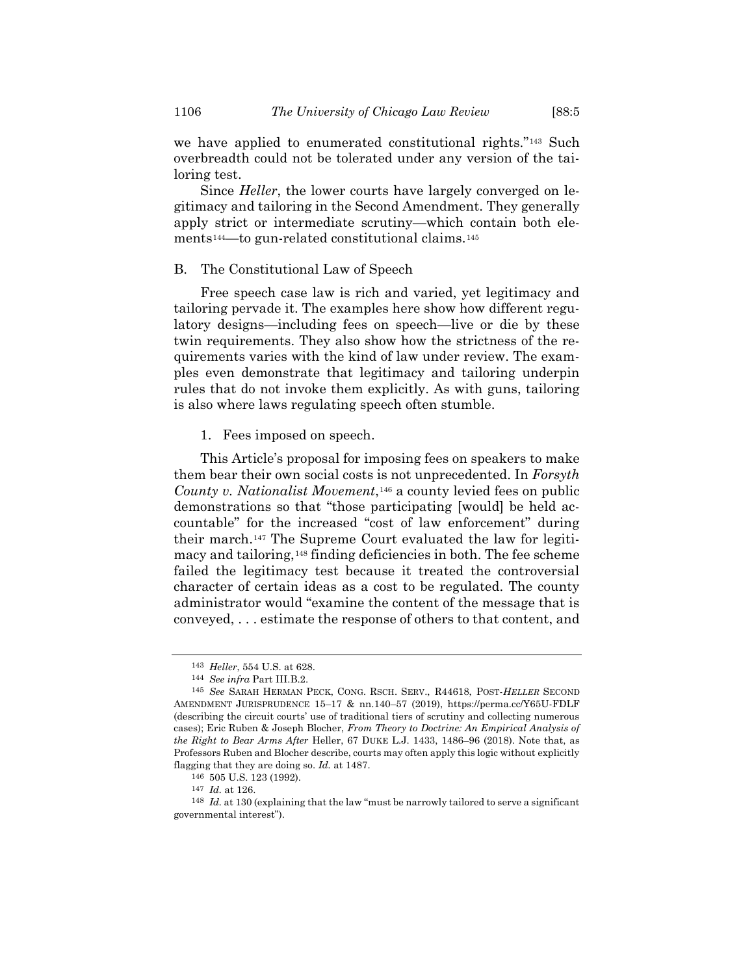we have applied to enumerated constitutional rights."<sup>143</sup> Such overbreadth could not be tolerated under any version of the tailoring test.

Since *Heller*, the lower courts have largely converged on legitimacy and tailoring in the Second Amendment. They generally apply strict or intermediate scrutiny—which contain both elements<sup>144</sup>—to gun-related constitutional claims.<sup>145</sup>

#### B. The Constitutional Law of Speech

Free speech case law is rich and varied, yet legitimacy and tailoring pervade it. The examples here show how different regulatory designs—including fees on speech—live or die by these twin requirements. They also show how the strictness of the requirements varies with the kind of law under review. The examples even demonstrate that legitimacy and tailoring underpin rules that do not invoke them explicitly. As with guns, tailoring is also where laws regulating speech often stumble.

1. Fees imposed on speech.

This Article's proposal for imposing fees on speakers to make them bear their own social costs is not unprecedented. In *Forsyth County v. Nationalist Movement*,<sup>146</sup> a county levied fees on public demonstrations so that "those participating [would] be held accountable" for the increased "cost of law enforcement" during their march.<sup>147</sup> The Supreme Court evaluated the law for legitimacy and tailoring,<sup>148</sup> finding deficiencies in both. The fee scheme failed the legitimacy test because it treated the controversial character of certain ideas as a cost to be regulated. The county administrator would "examine the content of the message that is conveyed, . . . estimate the response of others to that content, and

<sup>143</sup> *Heller*, 554 U.S. at 628.

<sup>144</sup> *See infra* Part III.B.2.

<sup>145</sup> *See* SARAH HERMAN PECK, CONG. RSCH. SERV., R44618, POST-*HELLER* SECOND AMENDMENT JURISPRUDENCE 15–17 & nn.140–57 (2019), https://perma.cc/Y65U-FDLF (describing the circuit courts' use of traditional tiers of scrutiny and collecting numerous cases); Eric Ruben & Joseph Blocher, *From Theory to Doctrine: An Empirical Analysis of the Right to Bear Arms After* Heller, 67 DUKE L.J. 1433, 1486–96 (2018). Note that, as Professors Ruben and Blocher describe, courts may often apply this logic without explicitly flagging that they are doing so. *Id.* at 1487.

<sup>146</sup> 505 U.S. 123 (1992).

<sup>147</sup> *Id.* at 126.

<sup>148</sup> *Id.* at 130 (explaining that the law "must be narrowly tailored to serve a significant governmental interest").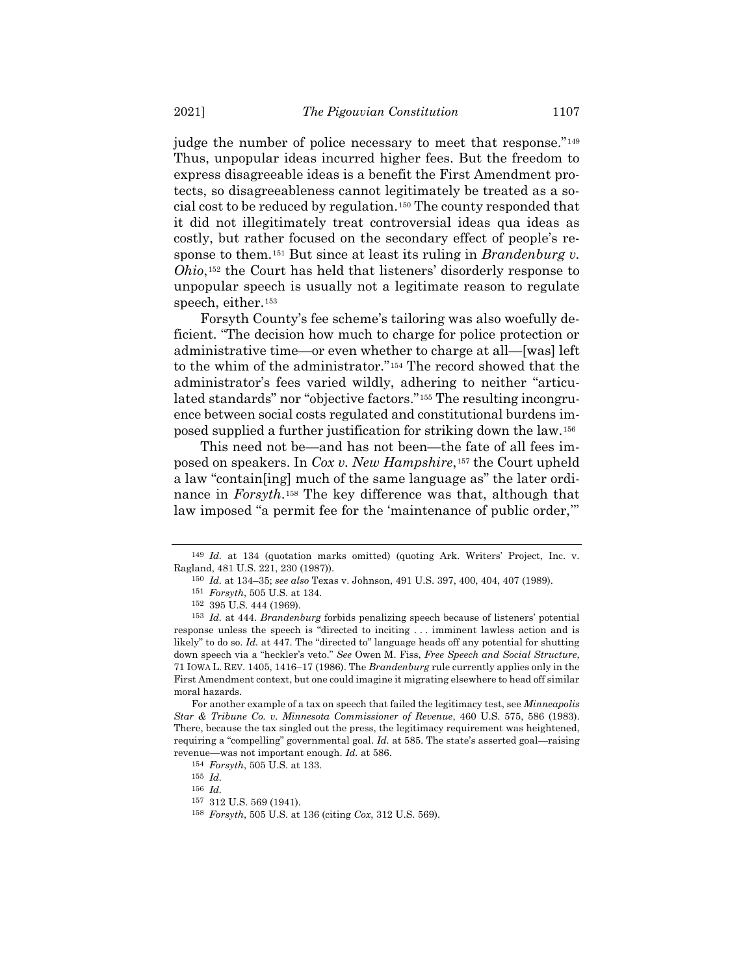judge the number of police necessary to meet that response."<sup>149</sup> Thus, unpopular ideas incurred higher fees. But the freedom to express disagreeable ideas is a benefit the First Amendment protects, so disagreeableness cannot legitimately be treated as a social cost to be reduced by regulation.*150F* <sup>150</sup> The county responded that it did not illegitimately treat controversial ideas qua ideas as costly, but rather focused on the secondary effect of people's response to them.<sup>151</sup> But since at least its ruling in *Brandenburg v*. *Ohio*,<sup>152</sup> the Court has held that listeners' disorderly response to unpopular speech is usually not a legitimate reason to regulate speech, either.<sup>153</sup>

Forsyth County's fee scheme's tailoring was also woefully deficient. "The decision how much to charge for police protection or administrative time—or even whether to charge at all—[was] left to the whim of the administrator."<sup>154</sup> The record showed that the administrator's fees varied wildly, adhering to neither "articulated standards" nor "objective factors."<sup>155</sup> The resulting incongruence between social costs regulated and constitutional burdens imposed supplied a further justification for striking down the law.<sup>156</sup>

This need not be—and has not been—the fate of all fees imposed on speakers. In *Cox v. New Hampshire*,<sup>157</sup> the Court upheld a law "contain[ing] much of the same language as" the later ordinance in *Forsyth*.<sup>158</sup> The key difference was that, although that law imposed "a permit fee for the 'maintenance of public order,'"

For another example of a tax on speech that failed the legitimacy test, see *Minneapolis Star & Tribune Co. v. Minnesota Commissioner of Revenue*, 460 U.S. 575, 586 (1983). There, because the tax singled out the press, the legitimacy requirement was heightened, requiring a "compelling" governmental goal. *Id.* at 585. The state's asserted goal—raising revenue—was not important enough. *Id.* at 586.

<sup>149</sup> *Id.* at 134 (quotation marks omitted) (quoting Ark. Writers' Project, Inc. v. Ragland, 481 U.S. 221, 230 (1987)).

<sup>150</sup> *Id.* at 134–35; *see also* Texas v. Johnson, 491 U.S. 397, 400, 404, 407 (1989).

<sup>151</sup> *Forsyth*, 505 U.S. at 134.

<sup>152</sup> 395 U.S. 444 (1969).

<sup>153</sup> *Id.* at 444. *Brandenburg* forbids penalizing speech because of listeners' potential response unless the speech is "directed to inciting . . . imminent lawless action and is likely" to do so. *Id.* at 447. The "directed to" language heads off any potential for shutting down speech via a "heckler's veto." *See* Owen M. Fiss, *Free Speech and Social Structure*, 71 IOWA L. REV. 1405, 1416–17 (1986). The *Brandenburg* rule currently applies only in the First Amendment context, but one could imagine it migrating elsewhere to head off similar moral hazards.

<sup>154</sup> *Forsyth*, 505 U.S. at 133.

<sup>155</sup> *Id.*

<sup>156</sup> *Id.*

<sup>157</sup> 312 U.S. 569 (1941).

<sup>158</sup> *Forsyth*, 505 U.S. at 136 (citing *Cox*, 312 U.S. 569).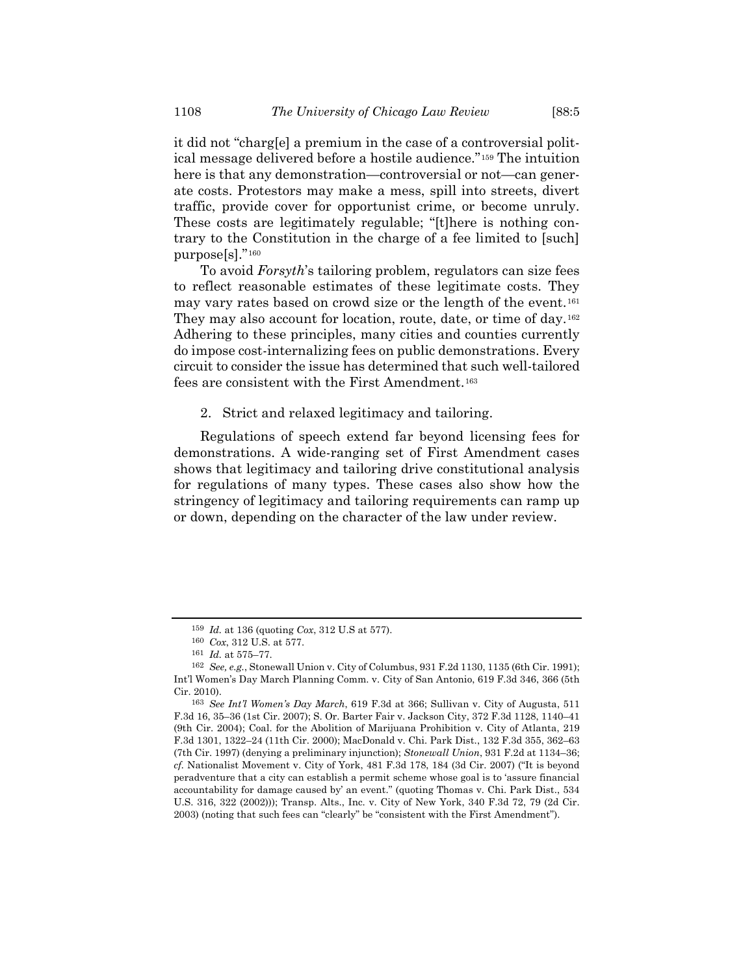it did not "charg[e] a premium in the case of a controversial political message delivered before a hostile audience."<sup>159</sup> The intuition here is that any demonstration—controversial or not—can generate costs. Protestors may make a mess, spill into streets, divert traffic, provide cover for opportunist crime, or become unruly. These costs are legitimately regulable; "[t]here is nothing contrary to the Constitution in the charge of a fee limited to [such] purpose[s]."<sup>160</sup>

To avoid *Forsyth*'s tailoring problem, regulators can size fees to reflect reasonable estimates of these legitimate costs. They may vary rates based on crowd size or the length of the event.<sup>161</sup> They may also account for location, route, date, or time of day.<sup>162</sup> Adhering to these principles, many cities and counties currently do impose cost-internalizing fees on public demonstrations. Every circuit to consider the issue has determined that such well-tailored fees are consistent with the First Amendment.<sup>163</sup>

## 2. Strict and relaxed legitimacy and tailoring.

Regulations of speech extend far beyond licensing fees for demonstrations. A wide-ranging set of First Amendment cases shows that legitimacy and tailoring drive constitutional analysis for regulations of many types. These cases also show how the stringency of legitimacy and tailoring requirements can ramp up or down, depending on the character of the law under review.

<sup>159</sup> *Id.* at 136 (quoting *Cox*, 312 U.S at 577).

<sup>160</sup> *Cox*, 312 U.S. at 577.

<sup>161</sup> *Id.* at 575–77.

<sup>162</sup> *See, e.g.*, Stonewall Union v. City of Columbus, 931 F.2d 1130, 1135 (6th Cir. 1991); Int'l Women's Day March Planning Comm. v. City of San Antonio, 619 F.3d 346, 366 (5th Cir. 2010).

<sup>163</sup> *See Int'l Women's Day March*, 619 F.3d at 366; Sullivan v. City of Augusta, 511 F.3d 16, 35–36 (1st Cir. 2007); S. Or. Barter Fair v. Jackson City, 372 F.3d 1128, 1140–41 (9th Cir. 2004); Coal. for the Abolition of Marijuana Prohibition v. City of Atlanta, 219 F.3d 1301, 1322–24 (11th Cir. 2000); MacDonald v. Chi. Park Dist., 132 F.3d 355, 362–63 (7th Cir. 1997) (denying a preliminary injunction); *Stonewall Union*, 931 F.2d at 1134–36; *cf.* Nationalist Movement v. City of York, 481 F.3d 178, 184 (3d Cir. 2007) ("It is beyond peradventure that a city can establish a permit scheme whose goal is to 'assure financial accountability for damage caused by' an event." (quoting Thomas v. Chi. Park Dist., 534 U.S. 316, 322 (2002))); Transp. Alts., Inc. v. City of New York, 340 F.3d 72, 79 (2d Cir. 2003) (noting that such fees can "clearly" be "consistent with the First Amendment").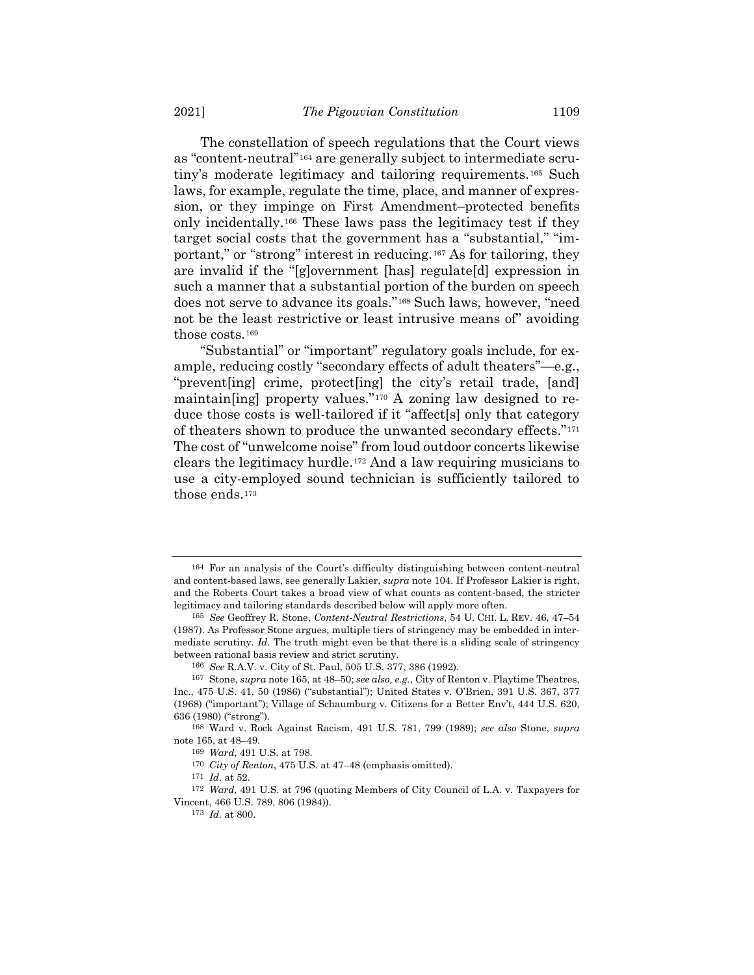<span id="page-28-0"></span>The constellation of speech regulations that the Court views as "content-neutral"<sup>164</sup> are generally subject to intermediate scrutiny's moderate legitimacy and tailoring requirements.<sup>165</sup> Such laws, for example, regulate the time, place, and manner of expression, or they impinge on First Amendment–protected benefits only incidentally.<sup>166</sup> These laws pass the legitimacy test if they target social costs that the government has a "substantial," "important," or "strong" interest in reducing.<sup>167</sup> As for tailoring, they are invalid if the "[g]overnment [has] regulate[d] expression in such a manner that a substantial portion of the burden on speech does not serve to advance its goals."<sup>168</sup> Such laws, however, "need not be the least restrictive or least intrusive means of" avoiding those costs.<sup>169</sup>

"Substantial" or "important" regulatory goals include, for example, reducing costly "secondary effects of adult theaters"—e.g., "prevent[ing] crime, protect[ing] the city's retail trade, [and] maintain[ing] property values."<sup>170</sup> A zoning law designed to reduce those costs is well-tailored if it "affect[s] only that category of theaters shown to produce the unwanted secondary effects."<sup>171</sup> The cost of "unwelcome noise" from loud outdoor concerts likewise clears the legitimacy hurdle.<sup>172</sup> And a law requiring musicians to use a city-employed sound technician is sufficiently tailored to those ends.<sup>173</sup>

<sup>164</sup> For an analysis of the Court's difficulty distinguishing between content-neutral and content-based laws, see generally Lakier, *supra* note [104.](#page-19-2) If Professor Lakier is right, and the Roberts Court takes a broad view of what counts as content-based, the stricter legitimacy and tailoring standards described below will apply more often.

<sup>165</sup> *See* Geoffrey R. Stone, *Content-Neutral Restrictions*, 54 U. CHI. L. REV. 46, 47–54 (1987). As Professor Stone argues, multiple tiers of stringency may be embedded in intermediate scrutiny. *Id*. The truth might even be that there is a sliding scale of stringency between rational basis review and strict scrutiny.

<sup>166</sup> *See* R.A.V. v. City of St. Paul, 505 U.S. 377, 386 (1992).

<sup>167</sup> Stone, *supra* not[e 165,](#page-28-0) at 48–50; *see also, e.g.*, City of Renton v. Playtime Theatres, Inc., 475 U.S. 41, 50 (1986) ("substantial"); United States v. O'Brien, 391 U.S. 367, 377 (1968) ("important"); Village of Schaumburg v. Citizens for a Better Env't, 444 U.S. 620, 636 (1980) ("strong").

<sup>168</sup> Ward v. Rock Against Racism, 491 U.S. 781, 799 (1989); *see also* Stone, *supra*  note [165,](#page-28-0) at 48–49.

<sup>169</sup> *Ward*, 491 U.S. at 798.

<sup>170</sup> *City of Renton*, 475 U.S. at 47–48 (emphasis omitted).

<sup>171</sup> *Id.* at 52.

<sup>172</sup> *Ward*, 491 U.S. at 796 (quoting Members of City Council of L.A. v. Taxpayers for Vincent, 466 U.S. 789, 806 (1984)).

<sup>173</sup> *Id.* at 800.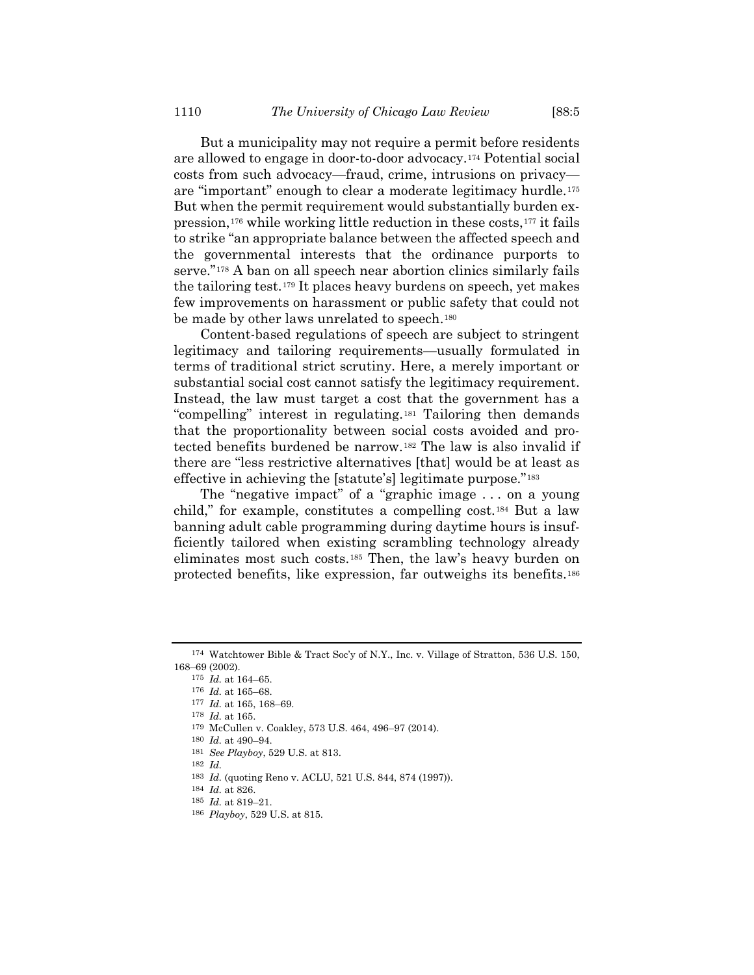But a municipality may not require a permit before residents are allowed to engage in door-to-door advocacy.<sup>174</sup> Potential social costs from such advocacy—fraud, crime, intrusions on privacy are "important" enough to clear a moderate legitimacy hurdle.<sup>175</sup> But when the permit requirement would substantially burden expression,<sup>176</sup> while working little reduction in these costs,<sup>177</sup> it fails to strike "an appropriate balance between the affected speech and the governmental interests that the ordinance purports to serve."<sup>178</sup> A ban on all speech near abortion clinics similarly fails the tailoring test.<sup>179</sup> It places heavy burdens on speech, yet makes few improvements on harassment or public safety that could not be made by other laws unrelated to speech.<sup>180</sup>

Content-based regulations of speech are subject to stringent legitimacy and tailoring requirements—usually formulated in terms of traditional strict scrutiny. Here, a merely important or substantial social cost cannot satisfy the legitimacy requirement. Instead, the law must target a cost that the government has a "compelling" interest in regulating.<sup>181</sup> Tailoring then demands that the proportionality between social costs avoided and protected benefits burdened be narrow.<sup>182</sup> The law is also invalid if there are "less restrictive alternatives [that] would be at least as effective in achieving the [statute's] legitimate purpose."<sup>183</sup>

The "negative impact" of a "graphic image . . . on a young child," for example, constitutes a compelling cost.<sup>184</sup> But a law banning adult cable programming during daytime hours is insufficiently tailored when existing scrambling technology already eliminates most such costs.<sup>185</sup> Then, the law's heavy burden on protected benefits, like expression, far outweighs its benefits.<sup>186</sup>

<sup>174</sup> Watchtower Bible & Tract Soc'y of N.Y., Inc. v. Village of Stratton, 536 U.S. 150, 168–69 (2002).

<sup>175</sup> *Id.* at 164–65.

<sup>176</sup> *Id.* at 165–68.

<sup>177</sup> *Id.* at 165, 168–69.

<sup>178</sup> *Id.* at 165.

<sup>179</sup> McCullen v. Coakley, 573 U.S. 464, 496–97 (2014).

<sup>180</sup> *Id.* at 490–94.

<sup>181</sup> *See Playboy*, 529 U.S. at 813.

<sup>182</sup> *Id.*

<sup>183</sup> *Id.* (quoting Reno v. ACLU, 521 U.S. 844, 874 (1997)).

<sup>184</sup> *Id.* at 826.

<sup>185</sup> *Id.* at 819–21.

<sup>186</sup> *Playboy*, 529 U.S. at 815.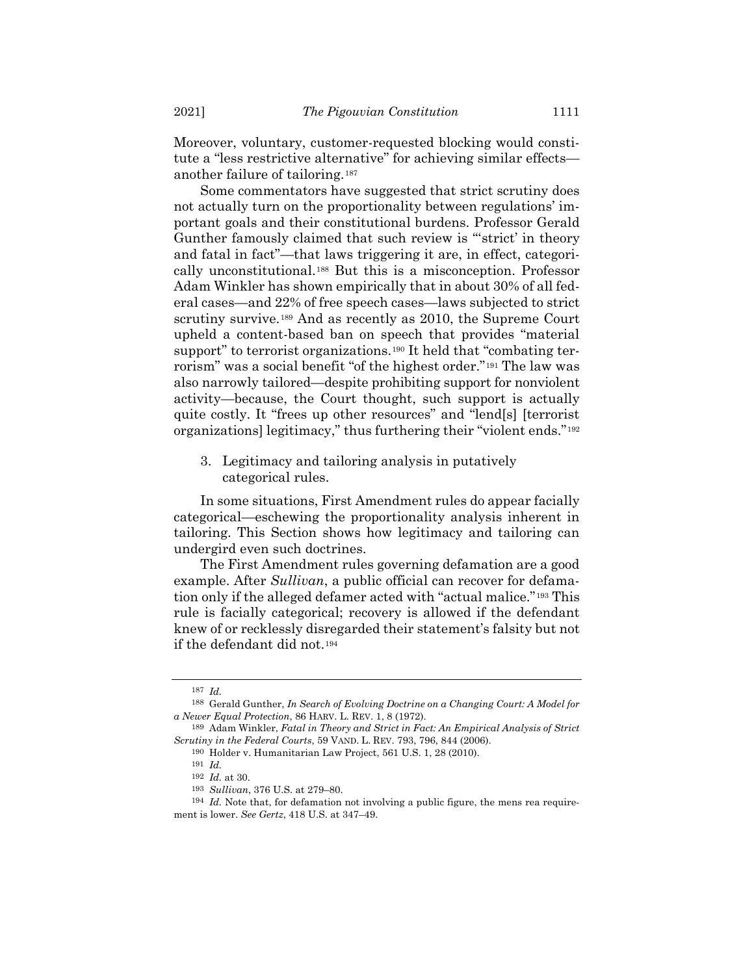Moreover, voluntary, customer-requested blocking would constitute a "less restrictive alternative" for achieving similar effects another failure of tailoring.<sup>187</sup>

<span id="page-30-0"></span>Some commentators have suggested that strict scrutiny does not actually turn on the proportionality between regulations' important goals and their constitutional burdens. Professor Gerald Gunther famously claimed that such review is "'strict' in theory and fatal in fact"—that laws triggering it are, in effect, categorically unconstitutional.<sup>188</sup> But this is a misconception. Professor Adam Winkler has shown empirically that in about 30% of all federal cases—and 22% of free speech cases—laws subjected to strict scrutiny survive.<sup>189</sup> And as recently as 2010, the Supreme Court upheld a content-based ban on speech that provides "material support" to terrorist organizations.<sup>190</sup> It held that "combating terrorism" was a social benefit "of the highest order."<sup>191</sup> The law was also narrowly tailored—despite prohibiting support for nonviolent activity—because, the Court thought, such support is actually quite costly. It "frees up other resources" and "lend[s] [terrorist organizations] legitimacy," thus furthering their "violent ends."<sup>192</sup>

3. Legitimacy and tailoring analysis in putatively categorical rules.

In some situations, First Amendment rules do appear facially categorical—eschewing the proportionality analysis inherent in tailoring. This Section shows how legitimacy and tailoring can undergird even such doctrines.

The First Amendment rules governing defamation are a good example. After *Sullivan*, a public official can recover for defamation only if the alleged defamer acted with "actual malice."<sup>193</sup> This rule is facially categorical; recovery is allowed if the defendant knew of or recklessly disregarded their statement's falsity but not if the defendant did not.<sup>194</sup>

<sup>187</sup> *Id.*

<sup>188</sup> Gerald Gunther, *In Search of Evolving Doctrine on a Changing Court: A Model for a Newer Equal Protection*, 86 HARV. L. REV. 1, 8 (1972).

<sup>189</sup> Adam Winkler, *Fatal in Theory and Strict in Fact: An Empirical Analysis of Strict Scrutiny in the Federal Courts*, 59 VAND. L. REV. 793, 796, 844 (2006).

<sup>190</sup> Holder v. Humanitarian Law Project, 561 U.S. 1, 28 (2010).

<sup>191</sup> *Id.*

<sup>192</sup> *Id.* at 30.

<sup>193</sup> *Sullivan*, 376 U.S. at 279–80.

<sup>194</sup> *Id.* Note that, for defamation not involving a public figure, the mens rea requirement is lower. *See Gertz*, 418 U.S. at 347–49.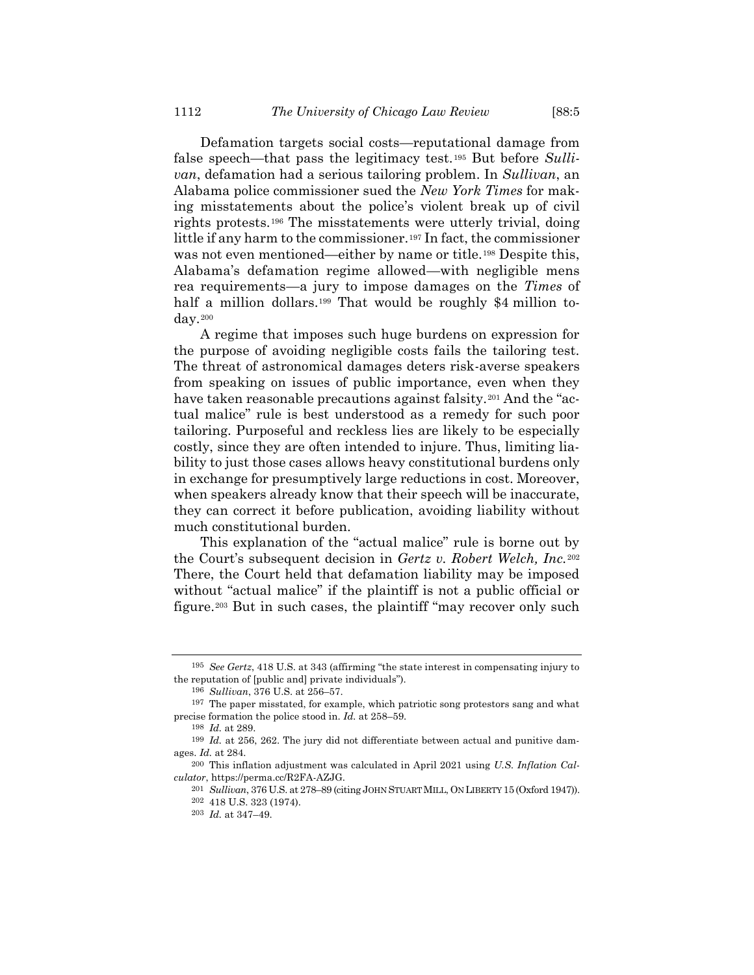Defamation targets social costs—reputational damage from false speech—that pass the legitimacy test.<sup>195</sup> But before Sulli*van*, defamation had a serious tailoring problem. In *Sullivan*, an Alabama police commissioner sued the *New York Times* for making misstatements about the police's violent break up of civil rights protests.<sup>196</sup> The misstatements were utterly trivial, doing little if any harm to the commissioner.<sup>197</sup> In fact, the commissioner was not even mentioned—either by name or title.<sup>198</sup> Despite this, Alabama's defamation regime allowed—with negligible mens rea requirements—a jury to impose damages on the *Times* of half a million dollars.<sup>199</sup> That would be roughly \$4 million today.<sup>200</sup>

<span id="page-31-0"></span>A regime that imposes such huge burdens on expression for the purpose of avoiding negligible costs fails the tailoring test. The threat of astronomical damages deters risk-averse speakers from speaking on issues of public importance, even when they have taken reasonable precautions against falsity.<sup>201</sup> And the "actual malice" rule is best understood as a remedy for such poor tailoring. Purposeful and reckless lies are likely to be especially costly, since they are often intended to injure. Thus, limiting liability to just those cases allows heavy constitutional burdens only in exchange for presumptively large reductions in cost. Moreover, when speakers already know that their speech will be inaccurate, they can correct it before publication, avoiding liability without much constitutional burden.

This explanation of the "actual malice" rule is borne out by the Court's subsequent decision in *Gertz v. Robert Welch, Inc.*<sup>202</sup> There, the Court held that defamation liability may be imposed without "actual malice" if the plaintiff is not a public official or figure.<sup>203</sup> But in such cases, the plaintiff "may recover only such

<sup>195</sup> *See Gertz*, 418 U.S. at 343 (affirming "the state interest in compensating injury to the reputation of [public and] private individuals").

<sup>196</sup> *Sullivan*, 376 U.S. at 256–57.

<sup>197</sup> The paper misstated, for example, which patriotic song protestors sang and what precise formation the police stood in. *Id.* at 258–59.

<sup>198</sup> *Id.* at 289.

<sup>199</sup> *Id.* at 256, 262. The jury did not differentiate between actual and punitive damages. *Id.* at 284.

<sup>200</sup> This inflation adjustment was calculated in April 2021 using *U.S. Inflation Calculator*, https://perma.cc/R2FA-AZJG.

<sup>201</sup> *Sullivan*, 376 U.S. at 278–89 (citing JOHN STUART MILL, ON LIBERTY 15 (Oxford 1947)).

<sup>202</sup> 418 U.S. 323 (1974).

<sup>203</sup> *Id.* at 347–49.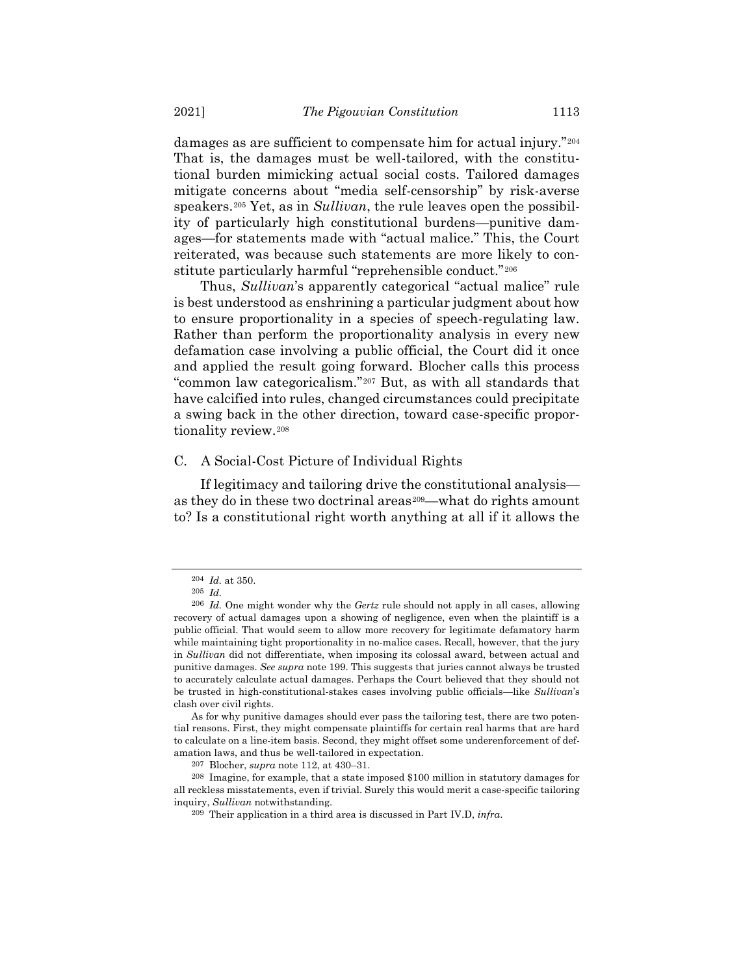damages as are sufficient to compensate him for actual injury."<sup>204</sup> That is, the damages must be well-tailored, with the constitutional burden mimicking actual social costs. Tailored damages mitigate concerns about "media self-censorship" by risk-averse speakers.<sup>205</sup> Yet, as in *Sullivan*, the rule leaves open the possibility of particularly high constitutional burdens—punitive damages—for statements made with "actual malice." This, the Court reiterated, was because such statements are more likely to constitute particularly harmful "reprehensible conduct."<sup>206</sup>

Thus, *Sullivan*'s apparently categorical "actual malice" rule is best understood as enshrining a particular judgment about how to ensure proportionality in a species of speech-regulating law. Rather than perform the proportionality analysis in every new defamation case involving a public official, the Court did it once and applied the result going forward. Blocher calls this process "common law categoricalism."<sup>207</sup> But, as with all standards that have calcified into rules, changed circumstances could precipitate a swing back in the other direction, toward case-specific proportionality review.<sup>208</sup>

#### C. A Social-Cost Picture of Individual Rights

If legitimacy and tailoring drive the constitutional analysis as they do in these two doctrinal areas<sup>209</sup>—what do rights amount to? Is a constitutional right worth anything at all if it allows the

<sup>204</sup> *Id.* at 350.

<sup>205</sup> *Id.*

<sup>206</sup> *Id.* One might wonder why the *Gertz* rule should not apply in all cases, allowing recovery of actual damages upon a showing of negligence, even when the plaintiff is a public official. That would seem to allow more recovery for legitimate defamatory harm while maintaining tight proportionality in no-malice cases. Recall, however, that the jury in *Sullivan* did not differentiate, when imposing its colossal award, between actual and punitive damages. *See supra* not[e 199.](#page-31-0) This suggests that juries cannot always be trusted to accurately calculate actual damages. Perhaps the Court believed that they should not be trusted in high-constitutional-stakes cases involving public officials—like *Sullivan*'s clash over civil rights.

As for why punitive damages should ever pass the tailoring test, there are two potential reasons. First, they might compensate plaintiffs for certain real harms that are hard to calculate on a line-item basis. Second, they might offset some underenforcement of defamation laws, and thus be well-tailored in expectation.

<sup>207</sup> Blocher, *supra* not[e 112,](#page-20-1) at 430–31.

<sup>208</sup> Imagine, for example, that a state imposed \$100 million in statutory damages for all reckless misstatements, even if trivial. Surely this would merit a case-specific tailoring inquiry, *Sullivan* notwithstanding.

<sup>209</sup> Their application in a third area is discussed in Part IV.D, *infra*.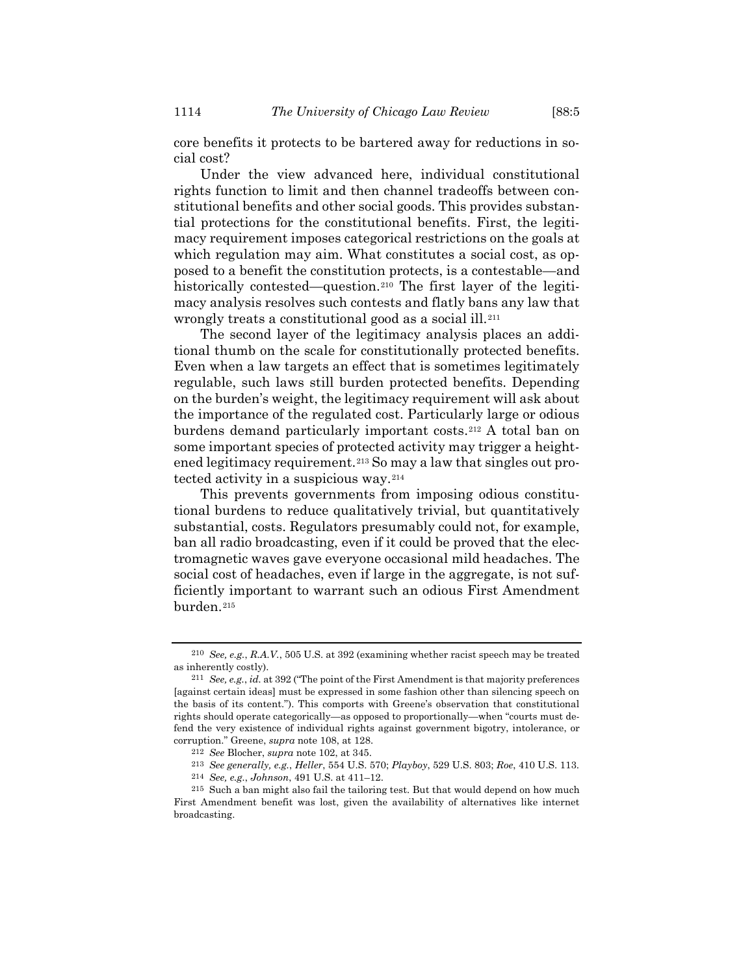core benefits it protects to be bartered away for reductions in social cost?

Under the view advanced here, individual constitutional rights function to limit and then channel tradeoffs between constitutional benefits and other social goods. This provides substantial protections for the constitutional benefits. First, the legitimacy requirement imposes categorical restrictions on the goals at which regulation may aim. What constitutes a social cost, as opposed to a benefit the constitution protects, is a contestable—and historically contested—question.<sup>210</sup> The first layer of the legitimacy analysis resolves such contests and flatly bans any law that wrongly treats a constitutional good as a social ill.<sup>211</sup>

The second layer of the legitimacy analysis places an additional thumb on the scale for constitutionally protected benefits. Even when a law targets an effect that is sometimes legitimately regulable, such laws still burden protected benefits. Depending on the burden's weight, the legitimacy requirement will ask about the importance of the regulated cost. Particularly large or odious burdens demand particularly important costs.<sup>212</sup> A total ban on some important species of protected activity may trigger a heightened legitimacy requirement.<sup>213</sup> So may a law that singles out protected activity in a suspicious way.<sup>214</sup>

This prevents governments from imposing odious constitutional burdens to reduce qualitatively trivial, but quantitatively substantial, costs. Regulators presumably could not, for example, ban all radio broadcasting, even if it could be proved that the electromagnetic waves gave everyone occasional mild headaches. The social cost of headaches, even if large in the aggregate, is not sufficiently important to warrant such an odious First Amendment burden.<sup>215</sup>

<sup>210</sup> *See, e.g.*, *R.A.V.*, 505 U.S. at 392 (examining whether racist speech may be treated as inherently costly).

<sup>211</sup> *See, e.g.*, *id.* at 392 ("The point of the First Amendment is that majority preferences [against certain ideas] must be expressed in some fashion other than silencing speech on the basis of its content."). This comports with Greene's observation that constitutional rights should operate categorically—as opposed to proportionally—when "courts must defend the very existence of individual rights against government bigotry, intolerance, or corruption." Greene, *supra* note [108,](#page-20-0) at 128.

<sup>212</sup> *See* Blocher, *supra* note [102,](#page-19-0) at 345.

<sup>213</sup> *See generally, e.g.*, *Heller*, 554 U.S. 570; *Playboy*, 529 U.S. 803; *Roe*, 410 U.S. 113.

<sup>214</sup> *See, e.g.*, *Johnson*, 491 U.S. at 411–12.

<sup>215</sup> Such a ban might also fail the tailoring test. But that would depend on how much First Amendment benefit was lost, given the availability of alternatives like internet broadcasting.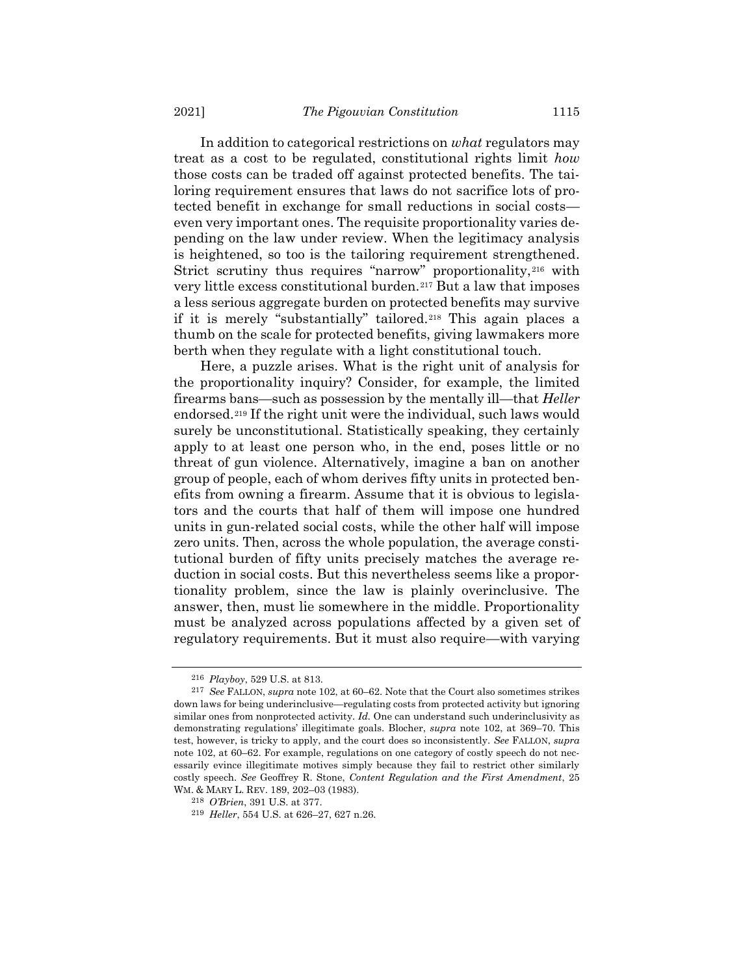In addition to categorical restrictions on *what* regulators may treat as a cost to be regulated, constitutional rights limit *how* those costs can be traded off against protected benefits. The tailoring requirement ensures that laws do not sacrifice lots of protected benefit in exchange for small reductions in social costs even very important ones. The requisite proportionality varies depending on the law under review. When the legitimacy analysis is heightened, so too is the tailoring requirement strengthened. Strict scrutiny thus requires "narrow" proportionality,<sup>216</sup> with very little excess constitutional burden.<sup>217</sup> But a law that imposes a less serious aggregate burden on protected benefits may survive if it is merely "substantially" tailored.<sup>218</sup> This again places a thumb on the scale for protected benefits, giving lawmakers more berth when they regulate with a light constitutional touch.

Here, a puzzle arises. What is the right unit of analysis for the proportionality inquiry? Consider, for example, the limited firearms bans—such as possession by the mentally ill—that *Heller* endorsed.<sup>219</sup> If the right unit were the individual, such laws would surely be unconstitutional. Statistically speaking, they certainly apply to at least one person who, in the end, poses little or no threat of gun violence. Alternatively, imagine a ban on another group of people, each of whom derives fifty units in protected benefits from owning a firearm. Assume that it is obvious to legislators and the courts that half of them will impose one hundred units in gun-related social costs, while the other half will impose zero units. Then, across the whole population, the average constitutional burden of fifty units precisely matches the average reduction in social costs. But this nevertheless seems like a proportionality problem, since the law is plainly overinclusive. The answer, then, must lie somewhere in the middle. Proportionality must be analyzed across populations affected by a given set of regulatory requirements. But it must also require—with varying

<sup>216</sup> *Playboy*, 529 U.S. at 813.

<sup>217</sup> *See* FALLON, *supra* note [102,](#page-19-0) at 60–62. Note that the Court also sometimes strikes down laws for being underinclusive—regulating costs from protected activity but ignoring similar ones from nonprotected activity. *Id.* One can understand such underinclusivity as demonstrating regulations' illegitimate goals. Blocher, *supra* note [102,](#page-19-0) at 369–70. This test, however, is tricky to apply, and the court does so inconsistently. *See* FALLON, *supra* not[e 102,](#page-19-0) at 60–62. For example, regulations on one category of costly speech do not necessarily evince illegitimate motives simply because they fail to restrict other similarly costly speech. *See* Geoffrey R. Stone, *Content Regulation and the First Amendment*, 25 WM. & MARY L. REV. 189, 202–03 (1983).

<sup>218</sup> *O'Brien*, 391 U.S. at 377.

<sup>219</sup> *Heller*, 554 U.S. at 626–27, 627 n.26.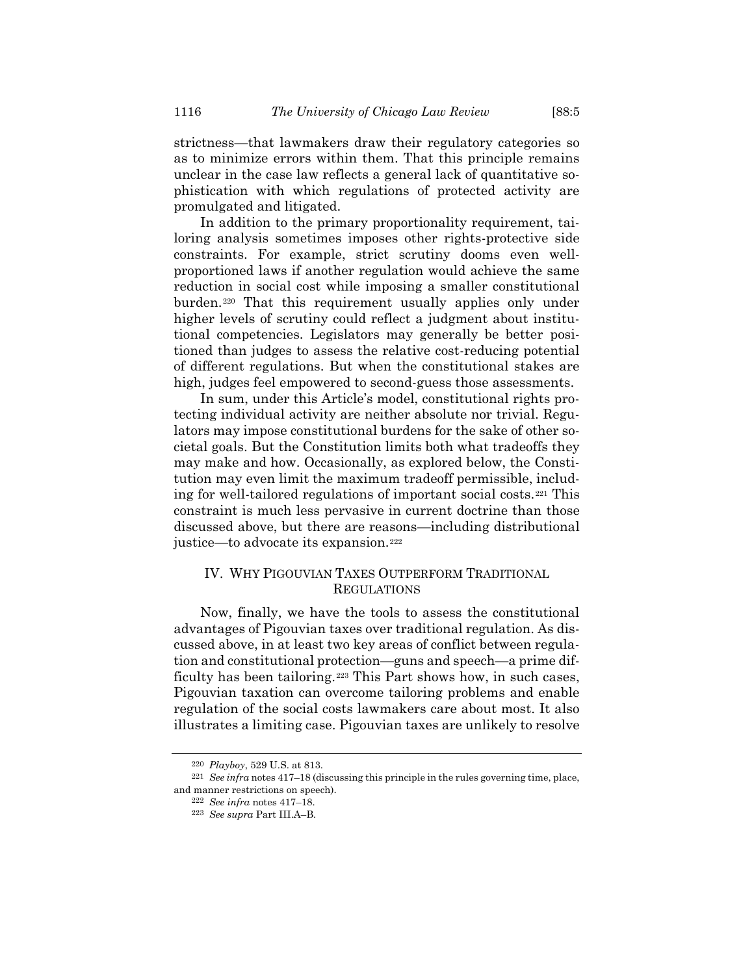strictness—that lawmakers draw their regulatory categories so as to minimize errors within them. That this principle remains unclear in the case law reflects a general lack of quantitative sophistication with which regulations of protected activity are promulgated and litigated.

In addition to the primary proportionality requirement, tailoring analysis sometimes imposes other rights-protective side constraints. For example, strict scrutiny dooms even wellproportioned laws if another regulation would achieve the same reduction in social cost while imposing a smaller constitutional burden.<sup>220</sup> That this requirement usually applies only under higher levels of scrutiny could reflect a judgment about institutional competencies. Legislators may generally be better positioned than judges to assess the relative cost-reducing potential of different regulations. But when the constitutional stakes are high, judges feel empowered to second-guess those assessments.

In sum, under this Article's model, constitutional rights protecting individual activity are neither absolute nor trivial. Regulators may impose constitutional burdens for the sake of other societal goals. But the Constitution limits both what tradeoffs they may make and how. Occasionally, as explored below, the Constitution may even limit the maximum tradeoff permissible, including for well-tailored regulations of important social costs.*21F* <sup>221</sup> This constraint is much less pervasive in current doctrine than those discussed above, but there are reasons—including distributional justice—to advocate its expansion.<sup>222</sup>

# IV. WHY PIGOUVIAN TAXES OUTPERFORM TRADITIONAL **REGULATIONS**

Now, finally, we have the tools to assess the constitutional advantages of Pigouvian taxes over traditional regulation. As discussed above, in at least two key areas of conflict between regulation and constitutional protection—guns and speech—a prime difficulty has been tailoring.<sup>223</sup> This Part shows how, in such cases, Pigouvian taxation can overcome tailoring problems and enable regulation of the social costs lawmakers care about most. It also illustrates a limiting case. Pigouvian taxes are unlikely to resolve

<sup>220</sup> *Playboy*, 529 U.S. at 813.

<sup>221</sup> *See infra* note[s 417](#page-69-0)–18 (discussing this principle in the rules governing time, place, and manner restrictions on speech).

<sup>222</sup> *See infra* notes [417](#page-69-0)–18.

<sup>223</sup> *See supra* Part III.A–B.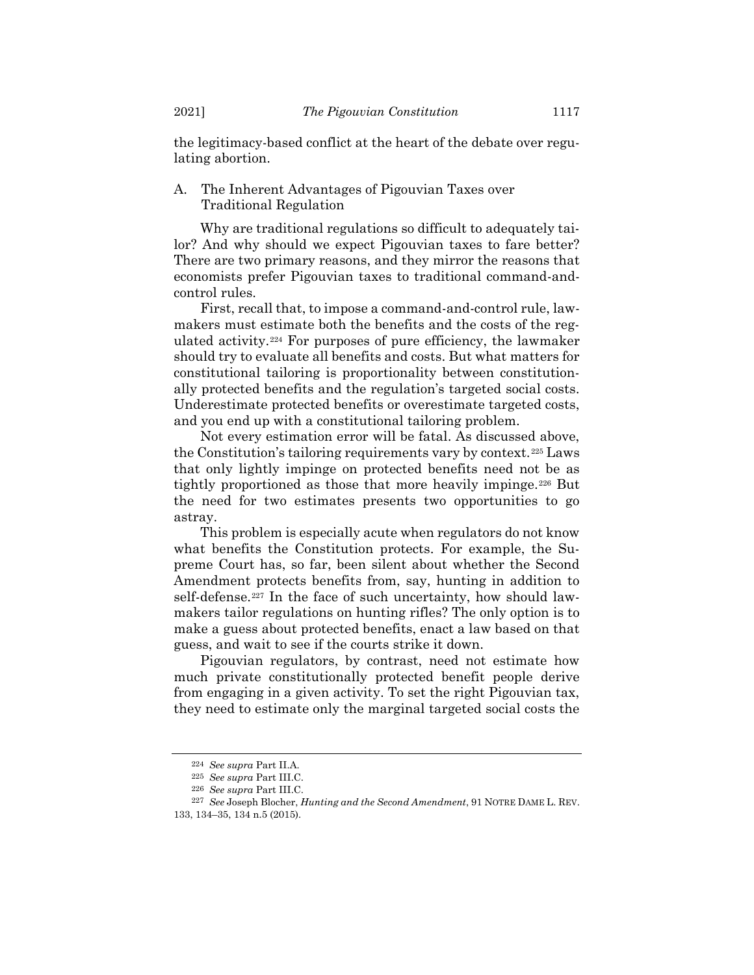the legitimacy-based conflict at the heart of the debate over regulating abortion.

# A. The Inherent Advantages of Pigouvian Taxes over Traditional Regulation

Why are traditional regulations so difficult to adequately tailor? And why should we expect Pigouvian taxes to fare better? There are two primary reasons, and they mirror the reasons that economists prefer Pigouvian taxes to traditional command-andcontrol rules.

First, recall that, to impose a command-and-control rule, lawmakers must estimate both the benefits and the costs of the regulated activity.<sup>224</sup> For purposes of pure efficiency, the lawmaker should try to evaluate all benefits and costs. But what matters for constitutional tailoring is proportionality between constitutionally protected benefits and the regulation's targeted social costs. Underestimate protected benefits or overestimate targeted costs, and you end up with a constitutional tailoring problem.

Not every estimation error will be fatal. As discussed above, the Constitution's tailoring requirements vary by context.<sup>225</sup> Laws that only lightly impinge on protected benefits need not be as tightly proportioned as those that more heavily impinge.<sup>226</sup> But the need for two estimates presents two opportunities to go astray.

This problem is especially acute when regulators do not know what benefits the Constitution protects. For example, the Supreme Court has, so far, been silent about whether the Second Amendment protects benefits from, say, hunting in addition to self-defense.<sup>227</sup> In the face of such uncertainty, how should lawmakers tailor regulations on hunting rifles? The only option is to make a guess about protected benefits, enact a law based on that guess, and wait to see if the courts strike it down.

Pigouvian regulators, by contrast, need not estimate how much private constitutionally protected benefit people derive from engaging in a given activity. To set the right Pigouvian tax, they need to estimate only the marginal targeted social costs the

<sup>224</sup> *See supra* Part II.A.

<sup>225</sup> *See supra* Part III.C.

<sup>226</sup> *See supra* Part III.C.

<sup>227</sup> *See* Joseph Blocher, *Hunting and the Second Amendment*, 91 NOTRE DAME L. REV. 133, 134–35, 134 n.5 (2015).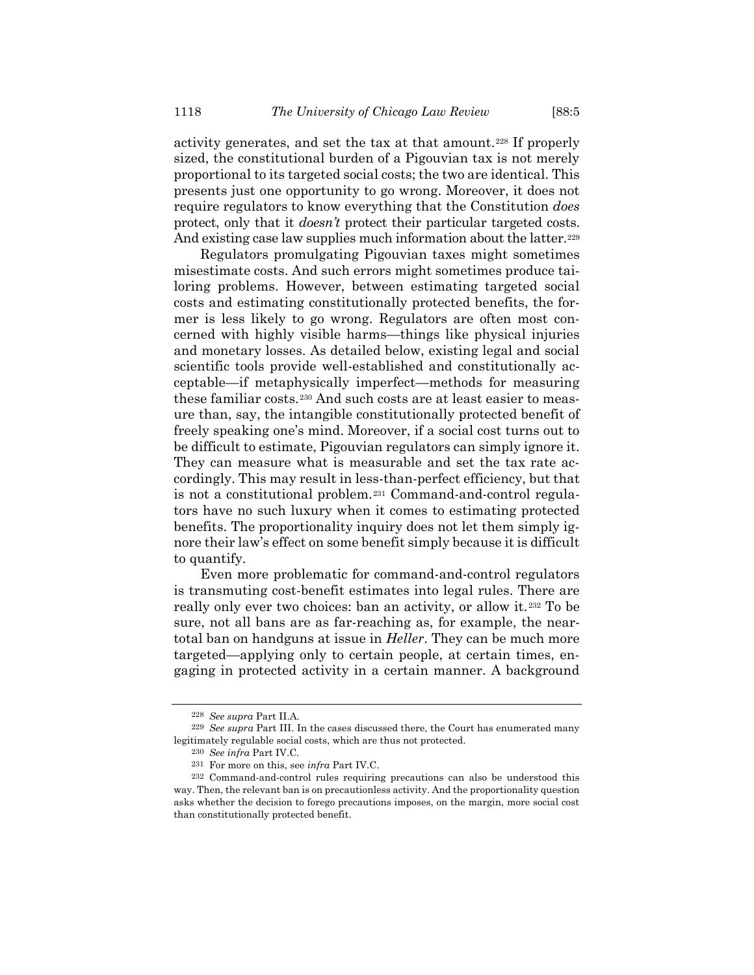activity generates, and set the tax at that amount.<sup>228</sup> If properly sized, the constitutional burden of a Pigouvian tax is not merely proportional to its targeted social costs; the two are identical. This presents just one opportunity to go wrong. Moreover, it does not require regulators to know everything that the Constitution *does* protect, only that it *doesn't* protect their particular targeted costs. And existing case law supplies much information about the latter.<sup>229</sup>

Regulators promulgating Pigouvian taxes might sometimes misestimate costs. And such errors might sometimes produce tailoring problems. However, between estimating targeted social costs and estimating constitutionally protected benefits, the former is less likely to go wrong. Regulators are often most concerned with highly visible harms—things like physical injuries and monetary losses. As detailed below, existing legal and social scientific tools provide well-established and constitutionally acceptable—if metaphysically imperfect—methods for measuring these familiar costs.<sup>230</sup> And such costs are at least easier to measure than, say, the intangible constitutionally protected benefit of freely speaking one's mind. Moreover, if a social cost turns out to be difficult to estimate, Pigouvian regulators can simply ignore it. They can measure what is measurable and set the tax rate accordingly. This may result in less-than-perfect efficiency, but that is not a constitutional problem.<sup>231</sup> Command-and-control regulators have no such luxury when it comes to estimating protected benefits. The proportionality inquiry does not let them simply ignore their law's effect on some benefit simply because it is difficult to quantify.

Even more problematic for command-and-control regulators is transmuting cost-benefit estimates into legal rules. There are really only ever two choices: ban an activity, or allow it.<sup>232</sup> To be sure, not all bans are as far-reaching as, for example, the neartotal ban on handguns at issue in *Heller*. They can be much more targeted—applying only to certain people, at certain times, engaging in protected activity in a certain manner. A background

<sup>228</sup> *See supra* Part II.A.

<sup>229</sup> *See supra* Part III. In the cases discussed there, the Court has enumerated many legitimately regulable social costs, which are thus not protected.

<sup>230</sup> *See infra* Part IV.C.

<sup>231</sup> For more on this, see *infra* Part IV.C.

<sup>232</sup> Command-and-control rules requiring precautions can also be understood this way. Then, the relevant ban is on precautionless activity. And the proportionality question asks whether the decision to forego precautions imposes, on the margin, more social cost than constitutionally protected benefit.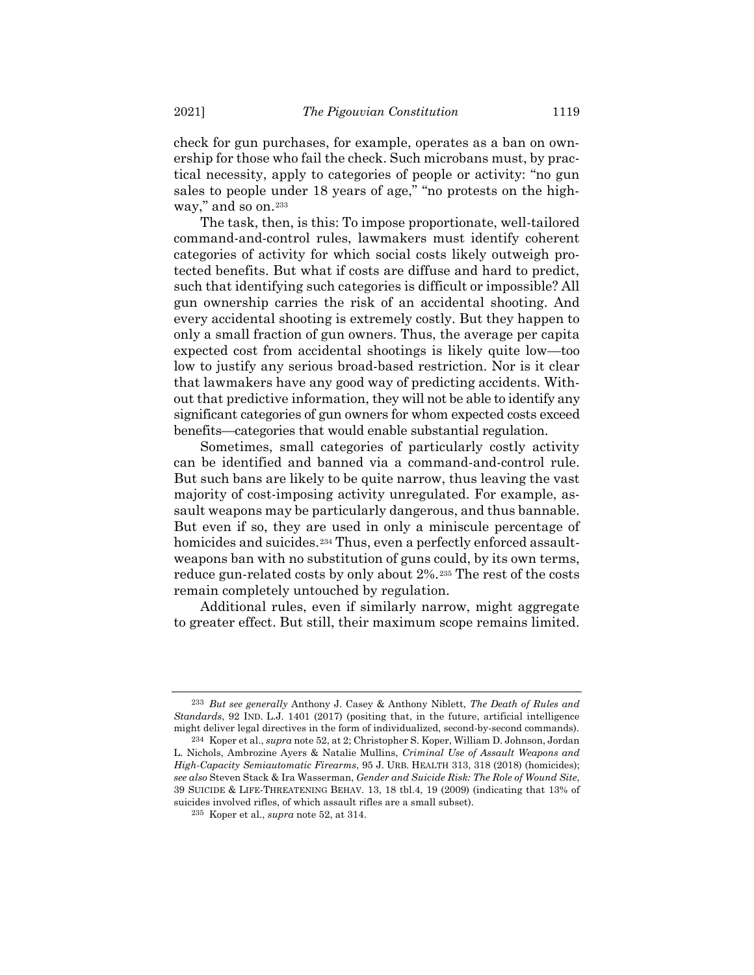check for gun purchases, for example, operates as a ban on ownership for those who fail the check. Such microbans must, by practical necessity, apply to categories of people or activity: "no gun sales to people under 18 years of age," "no protests on the highway," and so on.<sup>233</sup>

The task, then, is this: To impose proportionate, well-tailored command-and-control rules, lawmakers must identify coherent categories of activity for which social costs likely outweigh protected benefits. But what if costs are diffuse and hard to predict, such that identifying such categories is difficult or impossible? All gun ownership carries the risk of an accidental shooting. And every accidental shooting is extremely costly. But they happen to only a small fraction of gun owners. Thus, the average per capita expected cost from accidental shootings is likely quite low—too low to justify any serious broad-based restriction. Nor is it clear that lawmakers have any good way of predicting accidents. Without that predictive information, they will not be able to identify any significant categories of gun owners for whom expected costs exceed benefits—categories that would enable substantial regulation.

Sometimes, small categories of particularly costly activity can be identified and banned via a command-and-control rule. But such bans are likely to be quite narrow, thus leaving the vast majority of cost-imposing activity unregulated. For example, assault weapons may be particularly dangerous, and thus bannable. But even if so, they are used in only a miniscule percentage of homicides and suicides.<sup>234</sup> Thus, even a perfectly enforced assaultweapons ban with no substitution of guns could, by its own terms, reduce gun-related costs by only about 2%.<sup>235</sup> The rest of the costs remain completely untouched by regulation.

Additional rules, even if similarly narrow, might aggregate to greater effect. But still, their maximum scope remains limited.

<sup>233</sup> *But see generally* Anthony J. Casey & Anthony Niblett, *The Death of Rules and Standards*, 92 IND. L.J. 1401 (2017) (positing that, in the future, artificial intelligence might deliver legal directives in the form of individualized, second-by-second commands).

<sup>234</sup> Koper et al., *supra* not[e 52,](#page-11-0) at 2; Christopher S. Koper, William D. Johnson, Jordan L. Nichols, Ambrozine Ayers & Natalie Mullins, *Criminal Use of Assault Weapons and High-Capacity Semiautomatic Firearms*, 95 J. URB. HEALTH 313, 318 (2018) (homicides); *see also* Steven Stack & Ira Wasserman, *Gender and Suicide Risk: The Role of Wound Site*, 39 SUICIDE & LIFE-THREATENING BEHAV. 13, 18 tbl.4, 19 (2009) (indicating that 13% of suicides involved rifles, of which assault rifles are a small subset).

<sup>235</sup> Koper et al., *supra* note [52,](#page-11-0) at 314.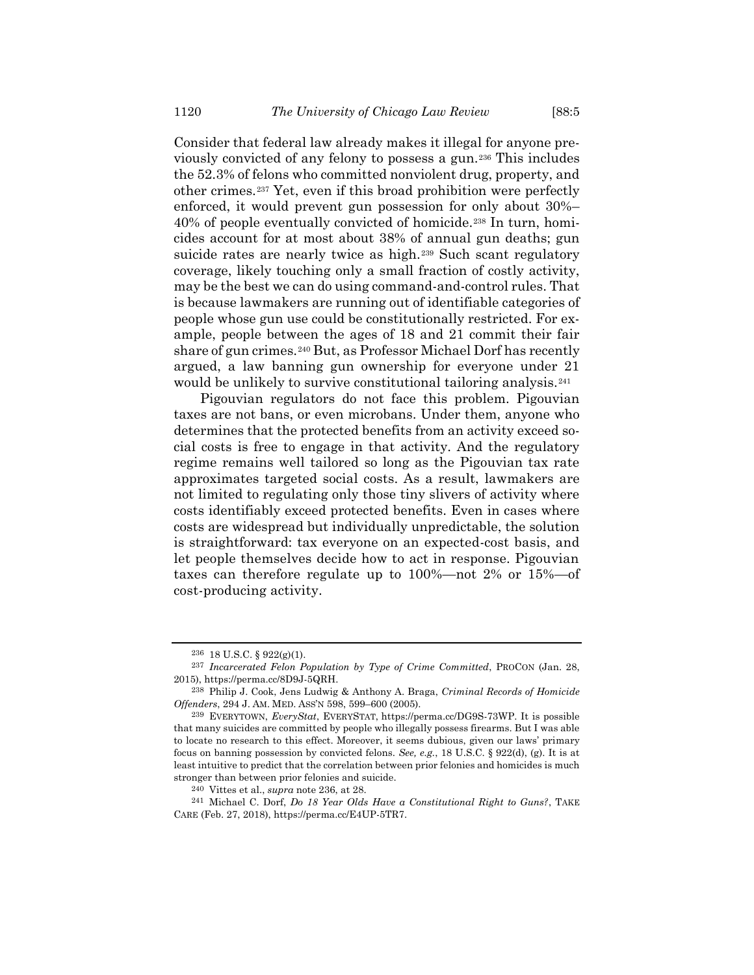<span id="page-39-0"></span>Consider that federal law already makes it illegal for anyone previously convicted of any felony to possess a gun.<sup>236</sup> This includes the 52.3% of felons who committed nonviolent drug, property, and other crimes.<sup>237</sup> Yet, even if this broad prohibition were perfectly enforced, it would prevent gun possession for only about 30%– 40% of people eventually convicted of homicide.<sup>238</sup> In turn, homicides account for at most about 38% of annual gun deaths; gun suicide rates are nearly twice as high.<sup>239</sup> Such scant regulatory coverage, likely touching only a small fraction of costly activity, may be the best we can do using command-and-control rules. That is because lawmakers are running out of identifiable categories of people whose gun use could be constitutionally restricted. For example, people between the ages of 18 and 21 commit their fair share of gun crimes.<sup>240</sup> But, as Professor Michael Dorf has recently argued, a law banning gun ownership for everyone under 21 would be unlikely to survive constitutional tailoring analysis.<sup>241</sup>

Pigouvian regulators do not face this problem. Pigouvian taxes are not bans, or even microbans. Under them, anyone who determines that the protected benefits from an activity exceed social costs is free to engage in that activity. And the regulatory regime remains well tailored so long as the Pigouvian tax rate approximates targeted social costs. As a result, lawmakers are not limited to regulating only those tiny slivers of activity where costs identifiably exceed protected benefits. Even in cases where costs are widespread but individually unpredictable, the solution is straightforward: tax everyone on an expected-cost basis, and let people themselves decide how to act in response. Pigouvian taxes can therefore regulate up to 100%—not 2% or 15%—of cost-producing activity.

<sup>236</sup> 18 U.S.C. § 922(g)(1).

<sup>237</sup> *Incarcerated Felon Population by Type of Crime Committed*, PROCON (Jan. 28, 2015), https://perma.cc/8D9J-5QRH.

<sup>238</sup> Philip J. Cook, Jens Ludwig & Anthony A. Braga, *Criminal Records of Homicide Offenders*, 294 J. AM. MED. ASS'N 598, 599–600 (2005).

<sup>239</sup> EVERYTOWN, *EveryStat*, EVERYSTAT, https://perma.cc/DG9S-73WP. It is possible that many suicides are committed by people who illegally possess firearms. But I was able to locate no research to this effect. Moreover, it seems dubious, given our laws' primary focus on banning possession by convicted felons. *See, e.g.*, 18 U.S.C. § 922(d), (g). It is at least intuitive to predict that the correlation between prior felonies and homicides is much stronger than between prior felonies and suicide.

<sup>240</sup> Vittes et al., *supra* note [236,](#page-39-0) at 28.

<sup>241</sup> Michael C. Dorf, *Do 18 Year Olds Have a Constitutional Right to Guns?*, TAKE CARE (Feb. 27, 2018)[, https://perma.cc/E4UP-5TR7.](https://perma.cc/E4UP-5TR7)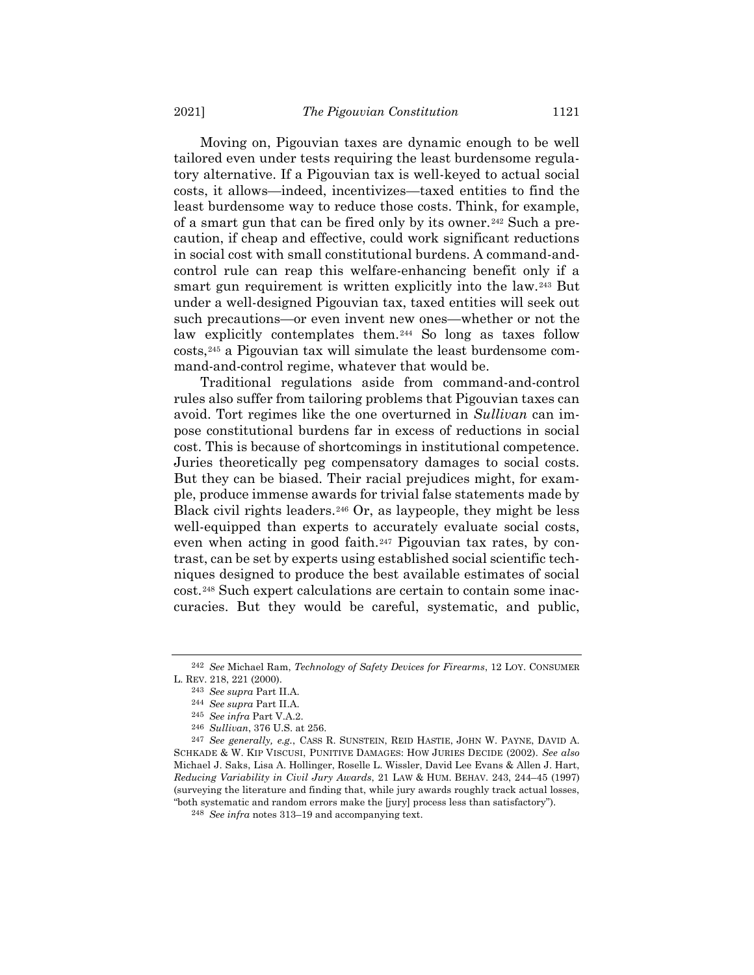Moving on, Pigouvian taxes are dynamic enough to be well tailored even under tests requiring the least burdensome regulatory alternative. If a Pigouvian tax is well-keyed to actual social costs, it allows—indeed, incentivizes—taxed entities to find the least burdensome way to reduce those costs. Think, for example, of a smart gun that can be fired only by its owner.<sup>242</sup> Such a precaution, if cheap and effective, could work significant reductions in social cost with small constitutional burdens. A command-andcontrol rule can reap this welfare-enhancing benefit only if a smart gun requirement is written explicitly into the law.<sup>243</sup> But under a well-designed Pigouvian tax, taxed entities will seek out such precautions—or even invent new ones—whether or not the law explicitly contemplates them.<sup>244</sup> So long as taxes follow costs,<sup>245</sup> a Pigouvian tax will simulate the least burdensome command-and-control regime, whatever that would be.

Traditional regulations aside from command-and-control rules also suffer from tailoring problems that Pigouvian taxes can avoid. Tort regimes like the one overturned in *Sullivan* can impose constitutional burdens far in excess of reductions in social cost. This is because of shortcomings in institutional competence. Juries theoretically peg compensatory damages to social costs. But they can be biased. Their racial prejudices might, for example, produce immense awards for trivial false statements made by Black civil rights leaders.<sup>246</sup> Or, as laypeople, they might be less well-equipped than experts to accurately evaluate social costs, even when acting in good faith.<sup>247</sup> Pigouvian tax rates, by contrast, can be set by experts using established social scientific techniques designed to produce the best available estimates of social cost.<sup>248</sup> Such expert calculations are certain to contain some inaccuracies. But they would be careful, systematic, and public,

<sup>242</sup> *See* Michael Ram, *Technology of Safety Devices for Firearms*, 12 LOY. CONSUMER L. REV. 218, 221 (2000).

<sup>243</sup> *See supra* Part II.A.

<sup>244</sup> *See supra* Part II.A.

<sup>245</sup> *See infra* Part V.A.2.

<sup>246</sup> *Sullivan*, 376 U.S. at 256.

<sup>247</sup> *See generally, e.g.*, CASS R. SUNSTEIN, REID HASTIE, JOHN W. PAYNE, DAVID A. SCHKADE & W. KIP VISCUSI, PUNITIVE DAMAGES: HOW JURIES DECIDE (2002). *See also* Michael J. Saks, Lisa A. Hollinger, Roselle L. Wissler, David Lee Evans & Allen J. Hart, *Reducing Variability in Civil Jury Awards*, 21 LAW & HUM. BEHAV. 243, 244–45 (1997) (surveying the literature and finding that, while jury awards roughly track actual losses, "both systematic and random errors make the [jury] process less than satisfactory").

<sup>248</sup> *See infra* notes [313](#page-49-0)–19 and accompanying text.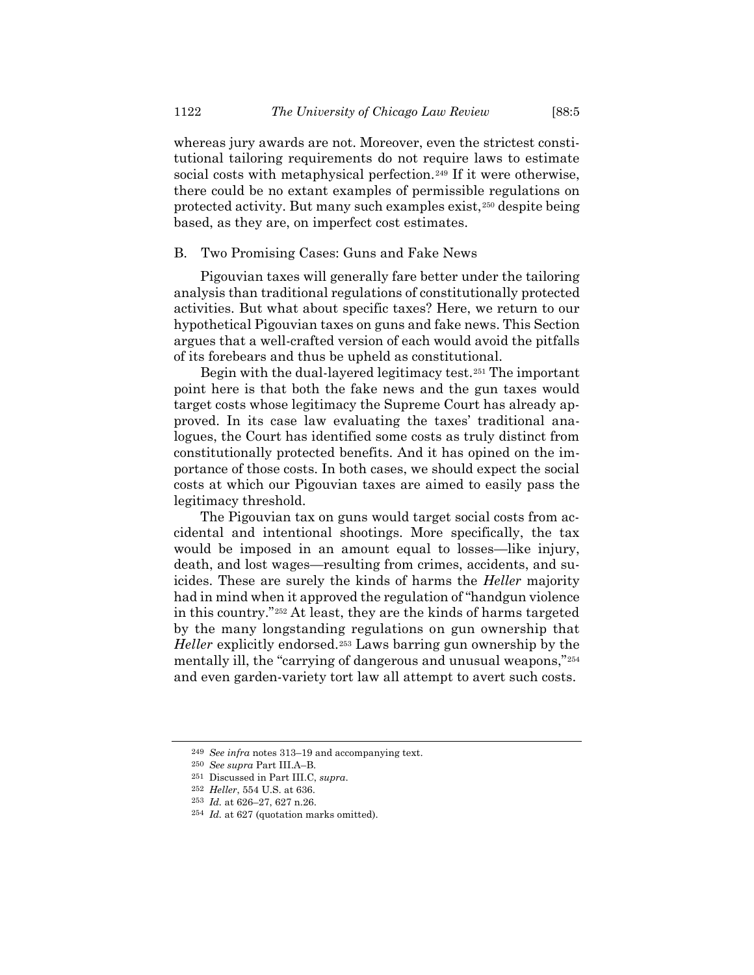whereas jury awards are not. Moreover, even the strictest constitutional tailoring requirements do not require laws to estimate social costs with metaphysical perfection.<sup>249</sup> If it were otherwise, there could be no extant examples of permissible regulations on protected activity. But many such examples exist,<sup>250</sup> despite being based, as they are, on imperfect cost estimates.

#### B. Two Promising Cases: Guns and Fake News

Pigouvian taxes will generally fare better under the tailoring analysis than traditional regulations of constitutionally protected activities. But what about specific taxes? Here, we return to our hypothetical Pigouvian taxes on guns and fake news. This Section argues that a well-crafted version of each would avoid the pitfalls of its forebears and thus be upheld as constitutional.

Begin with the dual-layered legitimacy test.<sup>251</sup> The important point here is that both the fake news and the gun taxes would target costs whose legitimacy the Supreme Court has already approved. In its case law evaluating the taxes' traditional analogues, the Court has identified some costs as truly distinct from constitutionally protected benefits. And it has opined on the importance of those costs. In both cases, we should expect the social costs at which our Pigouvian taxes are aimed to easily pass the legitimacy threshold.

The Pigouvian tax on guns would target social costs from accidental and intentional shootings. More specifically, the tax would be imposed in an amount equal to losses—like injury, death, and lost wages—resulting from crimes, accidents, and suicides. These are surely the kinds of harms the *Heller* majority had in mind when it approved the regulation of "handgun violence in this country."*25F* <sup>252</sup> At least, they are the kinds of harms targeted by the many longstanding regulations on gun ownership that *Heller* explicitly endorsed.<sup>253</sup> Laws barring gun ownership by the mentally ill, the "carrying of dangerous and unusual weapons,"<sup>254</sup> and even garden-variety tort law all attempt to avert such costs.

<sup>249</sup> *See infra* notes [313](#page-49-0)–19 and accompanying text.

<sup>250</sup> *See supra* Part III.A–B.

<sup>251</sup> Discussed in Part III.C, *supra*.

<sup>252</sup> *Heller*, 554 U.S. at 636.

<sup>253</sup> *Id.* at 626–27, 627 n.26.

<sup>254</sup> *Id.* at 627 (quotation marks omitted).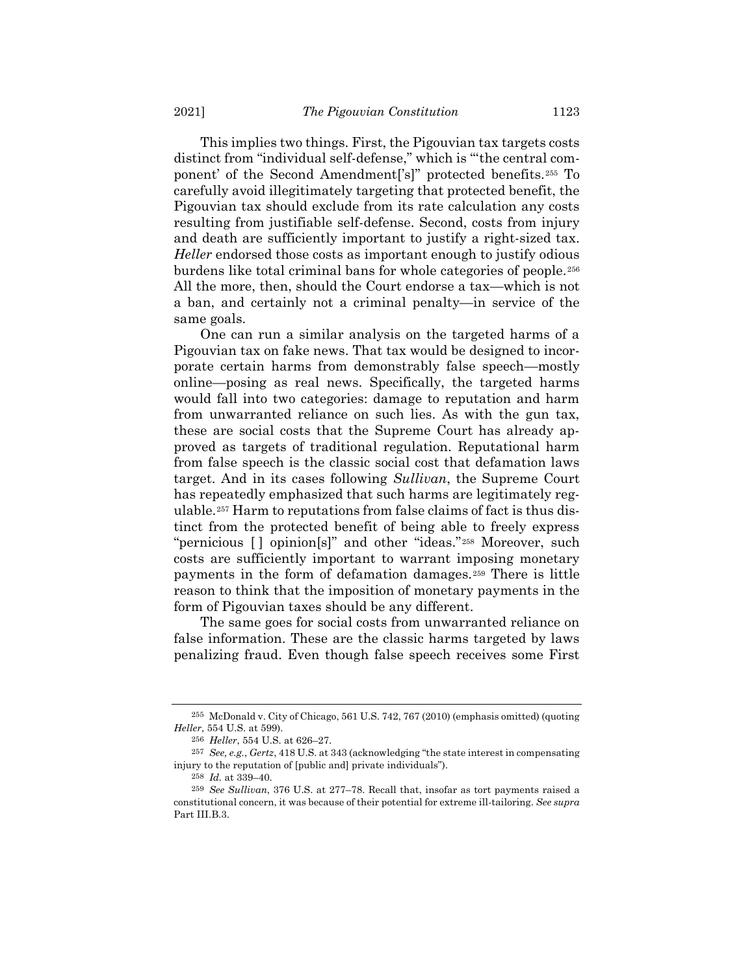This implies two things. First, the Pigouvian tax targets costs distinct from "individual self-defense," which is "'the central component' of the Second Amendment['s]" protected benefits.*25F* <sup>255</sup> To carefully avoid illegitimately targeting that protected benefit, the Pigouvian tax should exclude from its rate calculation any costs resulting from justifiable self-defense. Second, costs from injury and death are sufficiently important to justify a right-sized tax. *Heller* endorsed those costs as important enough to justify odious burdens like total criminal bans for whole categories of people.<sup>256</sup> All the more, then, should the Court endorse a tax—which is not a ban, and certainly not a criminal penalty—in service of the same goals.

One can run a similar analysis on the targeted harms of a Pigouvian tax on fake news. That tax would be designed to incorporate certain harms from demonstrably false speech—mostly online—posing as real news. Specifically, the targeted harms would fall into two categories: damage to reputation and harm from unwarranted reliance on such lies. As with the gun tax, these are social costs that the Supreme Court has already approved as targets of traditional regulation. Reputational harm from false speech is the classic social cost that defamation laws target. And in its cases following *Sullivan*, the Supreme Court has repeatedly emphasized that such harms are legitimately regulable.<sup>257</sup> Harm to reputations from false claims of fact is thus distinct from the protected benefit of being able to freely express "pernicious [] opinion[s]" and other "ideas."<sup>258</sup> Moreover, such costs are sufficiently important to warrant imposing monetary payments in the form of defamation damages.<sup>259</sup> There is little reason to think that the imposition of monetary payments in the form of Pigouvian taxes should be any different.

The same goes for social costs from unwarranted reliance on false information. These are the classic harms targeted by laws penalizing fraud. Even though false speech receives some First

<sup>255</sup> McDonald v. City of Chicago, 561 U.S. 742, 767 (2010) (emphasis omitted) (quoting *Heller*, 554 U.S. at 599).

<sup>256</sup> *Heller*, 554 U.S. at 626–27.

<sup>257</sup> *See, e.g.*, *Gertz*, 418 U.S. at 343 (acknowledging "the state interest in compensating injury to the reputation of [public and] private individuals").

<sup>258</sup> *Id.* at 339–40.

<sup>259</sup> *See Sullivan*, 376 U.S. at 277–78. Recall that, insofar as tort payments raised a constitutional concern, it was because of their potential for extreme ill-tailoring. *See supra* Part III.B.3.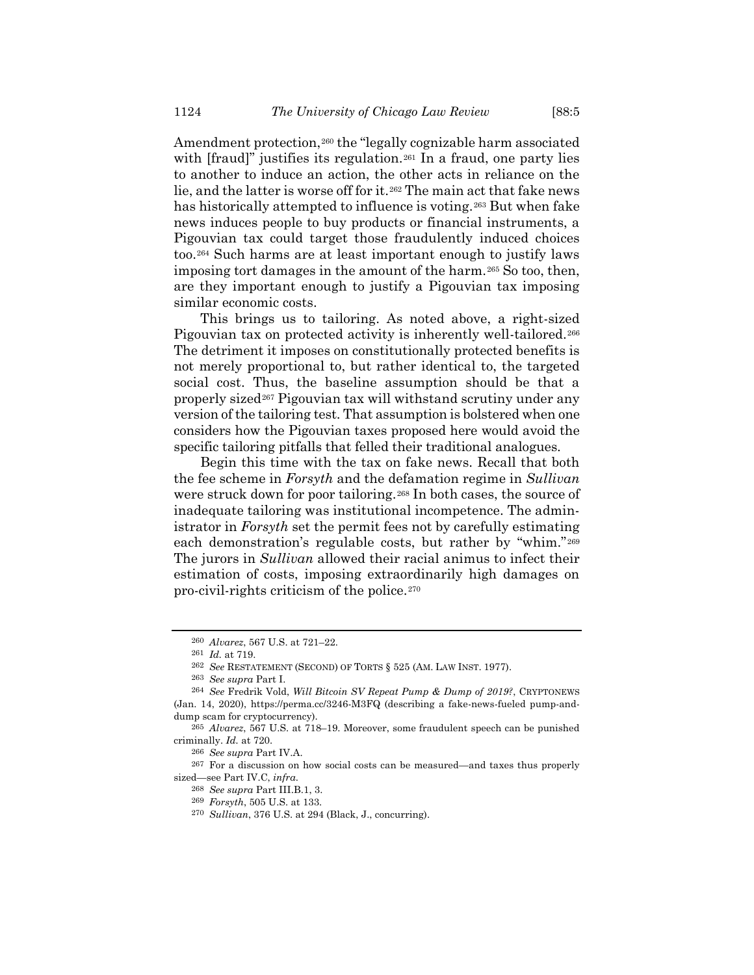Amendment protection,<sup>260</sup> the "legally cognizable harm associated with [fraud]" justifies its regulation.<sup>261</sup> In a fraud, one party lies to another to induce an action, the other acts in reliance on the lie, and the latter is worse off for it.<sup>262</sup> The main act that fake news has historically attempted to influence is voting.<sup>263</sup> But when fake news induces people to buy products or financial instruments, a Pigouvian tax could target those fraudulently induced choices too.<sup>264</sup> Such harms are at least important enough to justify laws imposing tort damages in the amount of the harm.<sup>265</sup> So too, then, are they important enough to justify a Pigouvian tax imposing similar economic costs.

This brings us to tailoring. As noted above, a right-sized Pigouvian tax on protected activity is inherently well-tailored.<sup>266</sup> The detriment it imposes on constitutionally protected benefits is not merely proportional to, but rather identical to, the targeted social cost. Thus, the baseline assumption should be that a properly sized<sup>267</sup> Pigouvian tax will withstand scrutiny under any version of the tailoring test. That assumption is bolstered when one considers how the Pigouvian taxes proposed here would avoid the specific tailoring pitfalls that felled their traditional analogues.

Begin this time with the tax on fake news. Recall that both the fee scheme in *Forsyth* and the defamation regime in *Sullivan* were struck down for poor tailoring.<sup>268</sup> In both cases, the source of inadequate tailoring was institutional incompetence. The administrator in *Forsyth* set the permit fees not by carefully estimating each demonstration's regulable costs, but rather by "whim."<sup>269</sup> The jurors in *Sullivan* allowed their racial animus to infect their estimation of costs, imposing extraordinarily high damages on pro-civil-rights criticism of the police.<sup>270</sup>

<sup>260</sup> *Alvarez*, 567 U.S. at 721–22.

<sup>261</sup> *Id.* at 719.

<sup>262</sup> *See* RESTATEMENT (SECOND) OF TORTS § 525 (AM. LAW INST. 1977).

<sup>263</sup> *See supra* Part I.

<sup>264</sup> *See* Fredrik Vold, *Will Bitcoin SV Repeat Pump & Dump of 2019?*, CRYPTONEWS (Jan. 14, 2020), https://perma.cc/3246-M3FQ (describing a fake-news-fueled pump-anddump scam for cryptocurrency).

<sup>265</sup> *Alvarez*, 567 U.S. at 718–19. Moreover, some fraudulent speech can be punished criminally. *Id.* at 720.

<sup>266</sup> *See supra* Part IV.A.

<sup>267</sup> For a discussion on how social costs can be measured—and taxes thus properly sized—see Part IV.C, *infra*.

<sup>268</sup> *See supra* Part III.B.1, 3.

<sup>269</sup> *Forsyth*, 505 U.S. at 133.

<sup>270</sup> *Sullivan*, 376 U.S. at 294 (Black, J., concurring).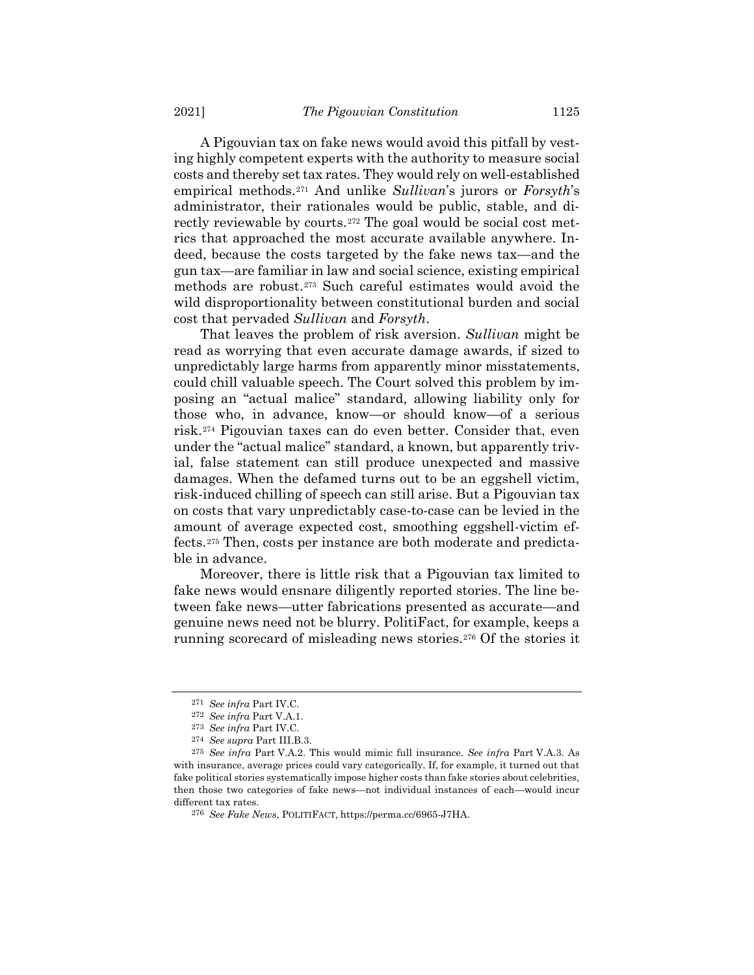A Pigouvian tax on fake news would avoid this pitfall by vesting highly competent experts with the authority to measure social costs and thereby set tax rates. They would rely on well-established empirical methods.<sup>271</sup> And unlike *Sullivan*'s jurors or *Forsyth*'s administrator, their rationales would be public, stable, and directly reviewable by courts.<sup>272</sup> The goal would be social cost metrics that approached the most accurate available anywhere. Indeed, because the costs targeted by the fake news tax—and the gun tax—are familiar in law and social science, existing empirical methods are robust.<sup>273</sup> Such careful estimates would avoid the wild disproportionality between constitutional burden and social cost that pervaded *Sullivan* and *Forsyth*.

That leaves the problem of risk aversion. *Sullivan* might be read as worrying that even accurate damage awards, if sized to unpredictably large harms from apparently minor misstatements, could chill valuable speech. The Court solved this problem by imposing an "actual malice" standard, allowing liability only for those who, in advance, know—or should know—of a serious risk.<sup>274</sup> Pigouvian taxes can do even better. Consider that, even under the "actual malice" standard, a known, but apparently trivial, false statement can still produce unexpected and massive damages. When the defamed turns out to be an eggshell victim, risk-induced chilling of speech can still arise. But a Pigouvian tax on costs that vary unpredictably case-to-case can be levied in the amount of average expected cost, smoothing eggshell-victim effects.<sup>275</sup> Then, costs per instance are both moderate and predictable in advance.

Moreover, there is little risk that a Pigouvian tax limited to fake news would ensnare diligently reported stories. The line between fake news—utter fabrications presented as accurate—and genuine news need not be blurry. PolitiFact, for example, keeps a running scorecard of misleading news stories.<sup>276</sup> Of the stories it

<sup>271</sup> *See infra* Part IV.C.

<sup>272</sup> *See infra* Part V.A.1.

<sup>273</sup> *See infra* Part IV.C.

<sup>274</sup> *See supra* Part III.B.3.

<sup>275</sup> *See infra* Part V.A.2. This would mimic full insurance. *See infra* Part V.A.3. As with insurance, average prices could vary categorically. If, for example, it turned out that fake political stories systematically impose higher costs than fake stories about celebrities, then those two categories of fake news—not individual instances of each—would incur different tax rates.

<sup>276</sup> *See Fake News*, POLITIFACT, https://perma.cc/6965-J7HA.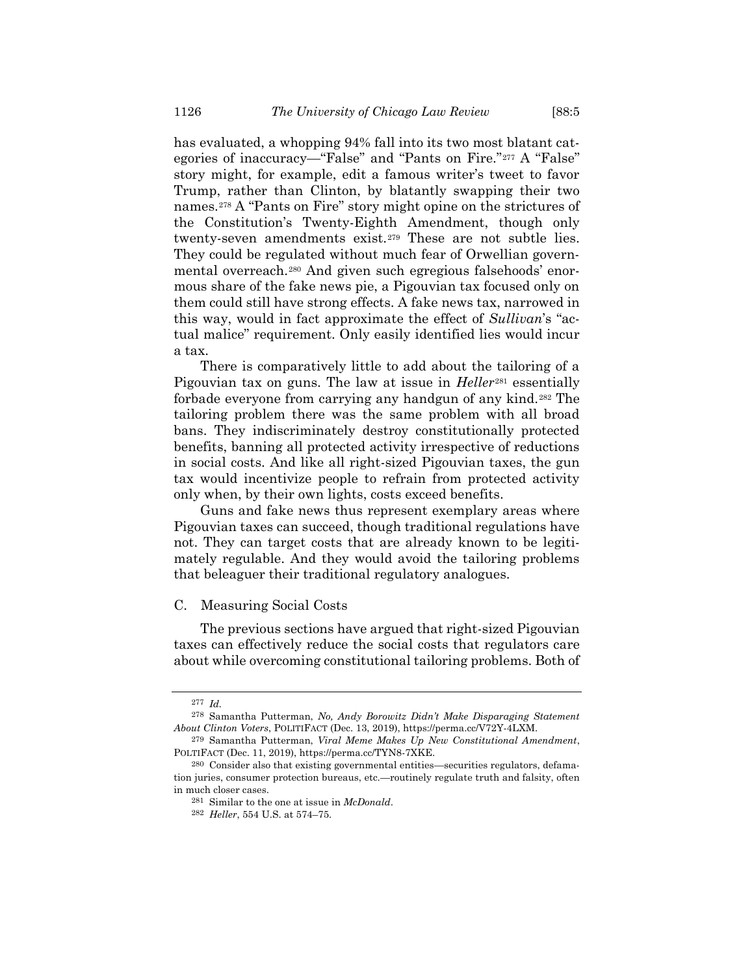has evaluated, a whopping 94% fall into its two most blatant categories of inaccuracy—"False" and "Pants on Fire."*27F* <sup>277</sup> A "False" story might, for example, edit a famous writer's tweet to favor Trump, rather than Clinton, by blatantly swapping their two names.<sup>278</sup> A "Pants on Fire" story might opine on the strictures of the Constitution's Twenty-Eighth Amendment, though only twenty-seven amendments exist.<sup>279</sup> These are not subtle lies. They could be regulated without much fear of Orwellian governmental overreach.<sup>280</sup> And given such egregious falsehoods' enormous share of the fake news pie, a Pigouvian tax focused only on them could still have strong effects. A fake news tax, narrowed in this way, would in fact approximate the effect of *Sullivan*'s "actual malice" requirement. Only easily identified lies would incur a tax.

There is comparatively little to add about the tailoring of a Pigouvian tax on guns. The law at issue in *Heller*<sup>281</sup> essentially forbade everyone from carrying any handgun of any kind.<sup>282</sup> The tailoring problem there was the same problem with all broad bans. They indiscriminately destroy constitutionally protected benefits, banning all protected activity irrespective of reductions in social costs. And like all right-sized Pigouvian taxes, the gun tax would incentivize people to refrain from protected activity only when, by their own lights, costs exceed benefits.

Guns and fake news thus represent exemplary areas where Pigouvian taxes can succeed, though traditional regulations have not. They can target costs that are already known to be legitimately regulable. And they would avoid the tailoring problems that beleaguer their traditional regulatory analogues.

### C. Measuring Social Costs

The previous sections have argued that right-sized Pigouvian taxes can effectively reduce the social costs that regulators care about while overcoming constitutional tailoring problems. Both of

<sup>277</sup> *Id.*

<sup>278</sup> Samantha Putterman, *No, Andy Borowitz Didn't Make Disparaging Statement About Clinton Voters*, POLITIFACT (Dec. 13, 2019), https://perma.cc/V72Y-4LXM.

<sup>279</sup> Samantha Putterman, *Viral Meme Makes Up New Constitutional Amendment*, POLTIFACT (Dec. 11, 2019), https://perma.cc/TYN8-7XKE.

<sup>280</sup> Consider also that existing governmental entities—securities regulators, defamation juries, consumer protection bureaus, etc.—routinely regulate truth and falsity, often in much closer cases.

<sup>281</sup> Similar to the one at issue in *McDonald*.

<sup>282</sup> *Heller*, 554 U.S. at 574–75.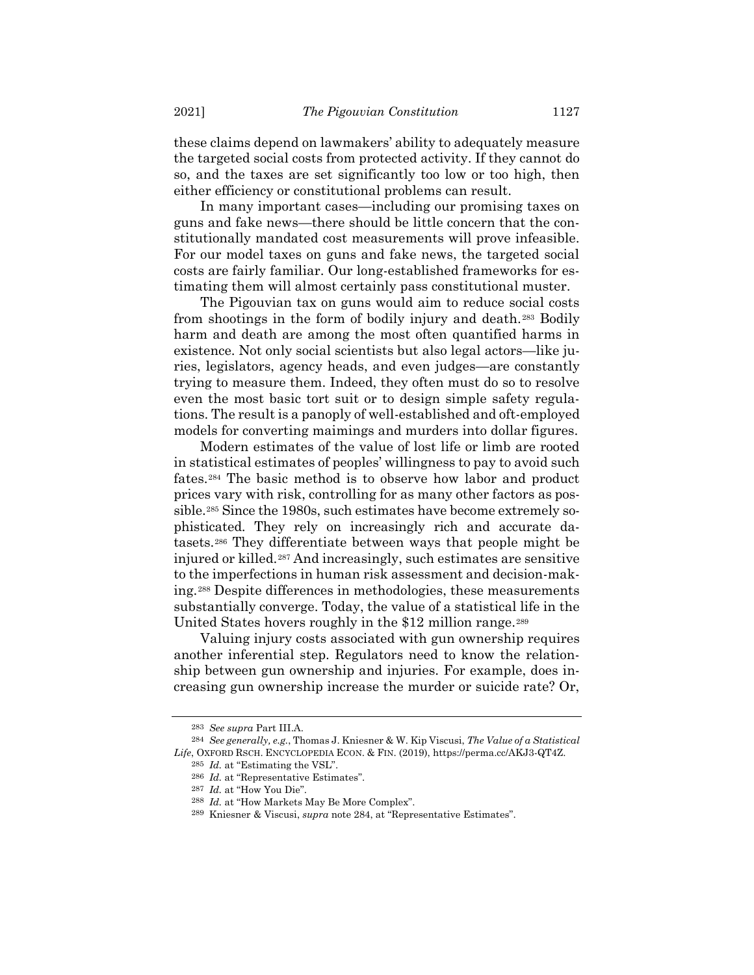these claims depend on lawmakers' ability to adequately measure the targeted social costs from protected activity. If they cannot do so, and the taxes are set significantly too low or too high, then either efficiency or constitutional problems can result.

In many important cases—including our promising taxes on guns and fake news—there should be little concern that the constitutionally mandated cost measurements will prove infeasible. For our model taxes on guns and fake news, the targeted social costs are fairly familiar. Our long-established frameworks for estimating them will almost certainly pass constitutional muster.

The Pigouvian tax on guns would aim to reduce social costs from shootings in the form of bodily injury and death.<sup>283</sup> Bodily harm and death are among the most often quantified harms in existence. Not only social scientists but also legal actors—like juries, legislators, agency heads, and even judges—are constantly trying to measure them. Indeed, they often must do so to resolve even the most basic tort suit or to design simple safety regulations. The result is a panoply of well-established and oft-employed models for converting maimings and murders into dollar figures.

<span id="page-46-0"></span>Modern estimates of the value of lost life or limb are rooted in statistical estimates of peoples' willingness to pay to avoid such fates.<sup>284</sup> The basic method is to observe how labor and product prices vary with risk, controlling for as many other factors as possible.<sup>285</sup> Since the 1980s, such estimates have become extremely sophisticated. They rely on increasingly rich and accurate datasets.<sup>286</sup> They differentiate between ways that people might be injured or killed.<sup>287</sup> And increasingly, such estimates are sensitive to the imperfections in human risk assessment and decision-making.*28F* <sup>288</sup> Despite differences in methodologies, these measurements substantially converge. Today, the value of a statistical life in the United States hovers roughly in the \$12 million range.<sup>289</sup>

Valuing injury costs associated with gun ownership requires another inferential step. Regulators need to know the relationship between gun ownership and injuries. For example, does increasing gun ownership increase the murder or suicide rate? Or,

<sup>283</sup> *See supra* Part III.A.

<sup>284</sup> *See generally, e.g.*, Thomas J. Kniesner & W. Kip Viscusi, *The Value of a Statistical Life*, OXFORD RSCH. ENCYCLOPEDIA ECON. & FIN. (2019), https://perma.cc/AKJ3-QT4Z.

<sup>285</sup> *Id.* at "Estimating the VSL".

<sup>286</sup> *Id.* at "Representative Estimates".

<sup>287</sup> *Id.* at "How You Die".

<sup>288</sup> *Id.* at "How Markets May Be More Complex".

<sup>289</sup> Kniesner & Viscusi, *supra* not[e 284](#page-46-0), at "Representative Estimates".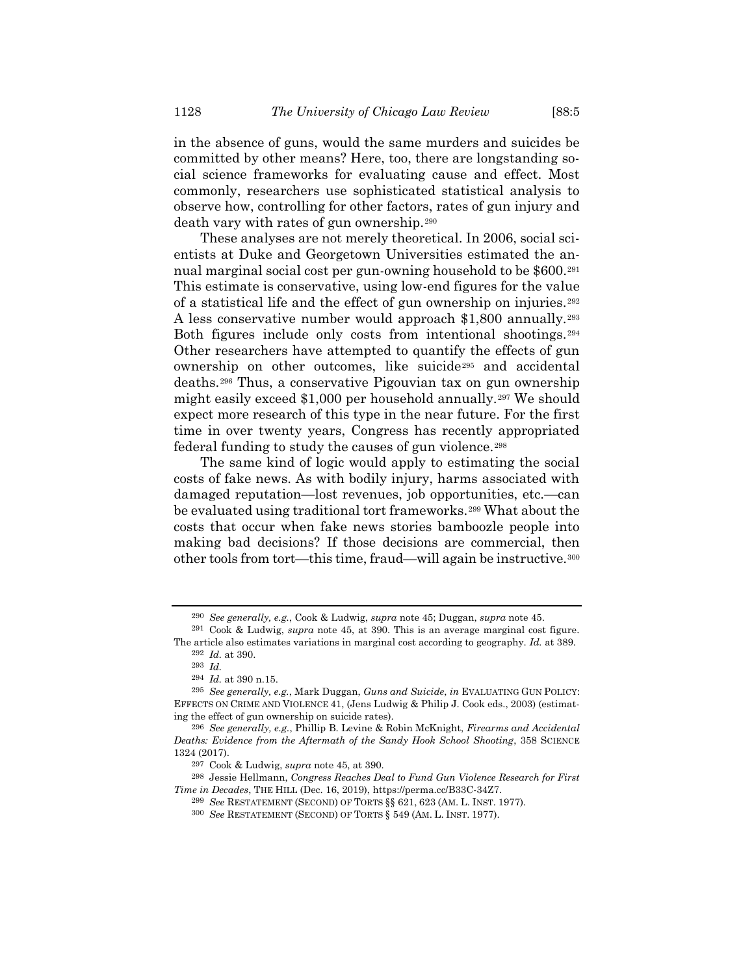in the absence of guns, would the same murders and suicides be committed by other means? Here, too, there are longstanding social science frameworks for evaluating cause and effect. Most commonly, researchers use sophisticated statistical analysis to observe how, controlling for other factors, rates of gun injury and death vary with rates of gun ownership.<sup>290</sup>

These analyses are not merely theoretical. In 2006, social scientists at Duke and Georgetown Universities estimated the annual marginal social cost per gun-owning household to be \$600.<sup>291</sup> This estimate is conservative, using low-end figures for the value of a statistical life and the effect of gun ownership on injuries.<sup>292</sup> A less conservative number would approach \$1,800 annually.<sup>293</sup> Both figures include only costs from intentional shootings.<sup>294</sup> Other researchers have attempted to quantify the effects of gun ownership on other outcomes, like suicide<sup>295</sup> and accidental deaths.<sup>296</sup> Thus, a conservative Pigouvian tax on gun ownership might easily exceed \$1,000 per household annually.<sup>297</sup> We should expect more research of this type in the near future. For the first time in over twenty years, Congress has recently appropriated federal funding to study the causes of gun violence.<sup>298</sup>

The same kind of logic would apply to estimating the social costs of fake news. As with bodily injury, harms associated with damaged reputation—lost revenues, job opportunities, etc.—can be evaluated using traditional tort frameworks.<sup>299</sup> What about the costs that occur when fake news stories bamboozle people into making bad decisions? If those decisions are commercial, then other tools from tort—this time, fraud—will again be instructive.<sup>300</sup>

<sup>290</sup> *See generally, e.g.*, Cook & Ludwig, *supra* note [45;](#page-10-0) Duggan, *supra* note [45.](#page-10-0)

<sup>291</sup> Cook & Ludwig, *supra* note [45,](#page-10-0) at 390. This is an average marginal cost figure. The article also estimates variations in marginal cost according to geography. *Id.* at 389. 292 *Id.* at 390.

<sup>293</sup> *Id.*

<sup>294</sup> *Id.* at 390 n.15.

<sup>295</sup> *See generally, e.g.*, Mark Duggan, *Guns and Suicide*, *in* EVALUATING GUN POLICY: EFFECTS ON CRIME AND VIOLENCE 41, (Jens Ludwig & Philip J. Cook eds., 2003) (estimating the effect of gun ownership on suicide rates).

<sup>296</sup> *See generally, e.g.*, Phillip B. Levine & Robin McKnight, *Firearms and Accidental Deaths: Evidence from the Aftermath of the Sandy Hook School Shooting*, 358 SCIENCE 1324 (2017).

<sup>297</sup> Cook & Ludwig, *supra* not[e 45,](#page-10-0) at 390.

<sup>298</sup> Jessie Hellmann, *Congress Reaches Deal to Fund Gun Violence Research for First Time in Decades*, THE HILL (Dec. 16, 2019), [https://perma.cc/B33C-34Z7.](https://perma.cc/B33C-34Z7)

<sup>299</sup> *See* RESTATEMENT (SECOND) OF TORTS §§ 621, 623 (AM. L. INST. 1977).

<sup>300</sup> *See* RESTATEMENT (SECOND) OF TORTS § 549 (AM. L. INST. 1977).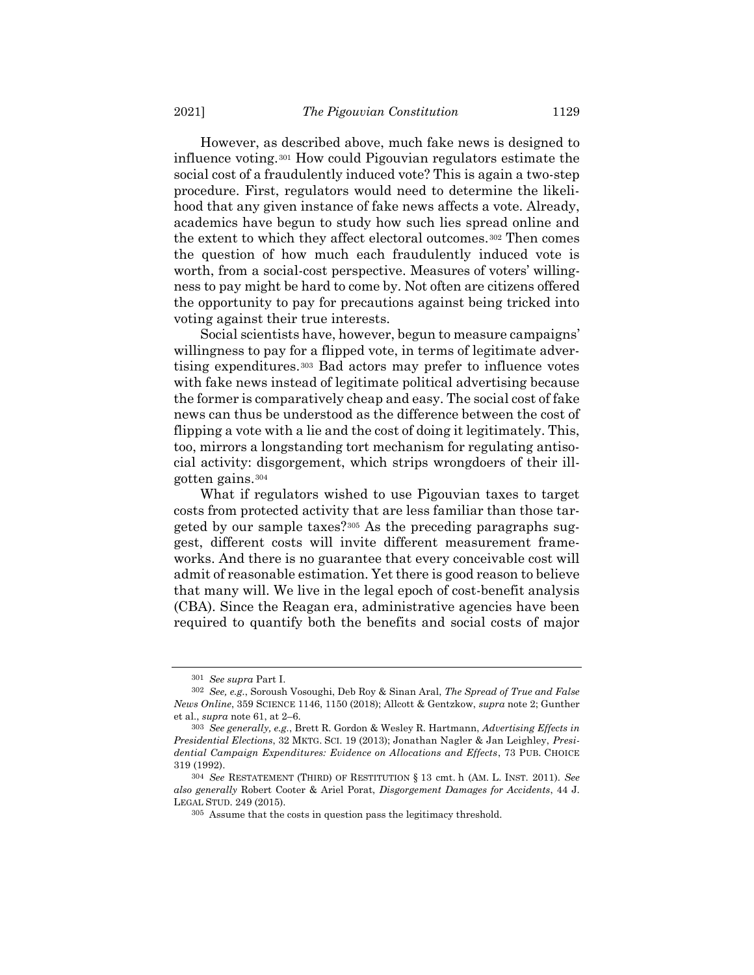However, as described above, much fake news is designed to influence voting.<sup>301</sup> How could Pigouvian regulators estimate the social cost of a fraudulently induced vote? This is again a two-step procedure. First, regulators would need to determine the likelihood that any given instance of fake news affects a vote. Already, academics have begun to study how such lies spread online and the extent to which they affect electoral outcomes.<sup>302</sup> Then comes the question of how much each fraudulently induced vote is worth, from a social-cost perspective. Measures of voters' willingness to pay might be hard to come by. Not often are citizens offered the opportunity to pay for precautions against being tricked into voting against their true interests.

Social scientists have, however, begun to measure campaigns' willingness to pay for a flipped vote, in terms of legitimate advertising expenditures.<sup>303</sup> Bad actors may prefer to influence votes with fake news instead of legitimate political advertising because the former is comparatively cheap and easy. The social cost of fake news can thus be understood as the difference between the cost of flipping a vote with a lie and the cost of doing it legitimately. This, too, mirrors a longstanding tort mechanism for regulating antisocial activity: disgorgement, which strips wrongdoers of their illgotten gains.<sup>304</sup>

What if regulators wished to use Pigouvian taxes to target costs from protected activity that are less familiar than those targeted by our sample taxes?<sup>305</sup> As the preceding paragraphs suggest, different costs will invite different measurement frameworks. And there is no guarantee that every conceivable cost will admit of reasonable estimation. Yet there is good reason to believe that many will. We live in the legal epoch of cost-benefit analysis (CBA). Since the Reagan era, administrative agencies have been required to quantify both the benefits and social costs of major

<sup>301</sup> *See supra* Part I.

<sup>302</sup> *See, e.g.*, Soroush Vosoughi, Deb Roy & Sinan Aral, *The Spread of True and False News Online*, 359 SCIENCE 1146, 1150 (2018); Allcott & Gentzkow, *supra* not[e 2;](#page-1-0) Gunther et al., *supra* not[e 61,](#page-12-0) at 2–6.

<sup>303</sup> *See generally, e.g.*, Brett R. Gordon & Wesley R. Hartmann, *Advertising Effects in Presidential Elections*, 32 MKTG. SCI. 19 (2013); Jonathan Nagler & Jan Leighley, *Presidential Campaign Expenditures: Evidence on Allocations and Effects*, 73 PUB. CHOICE 319 (1992).

<sup>304</sup> *See* RESTATEMENT (THIRD) OF RESTITUTION § 13 cmt. h (AM. L. INST. 2011). *See also generally* Robert Cooter & Ariel Porat, *Disgorgement Damages for Accidents*, 44 J. LEGAL STUD. 249 (2015).

<sup>305</sup> Assume that the costs in question pass the legitimacy threshold.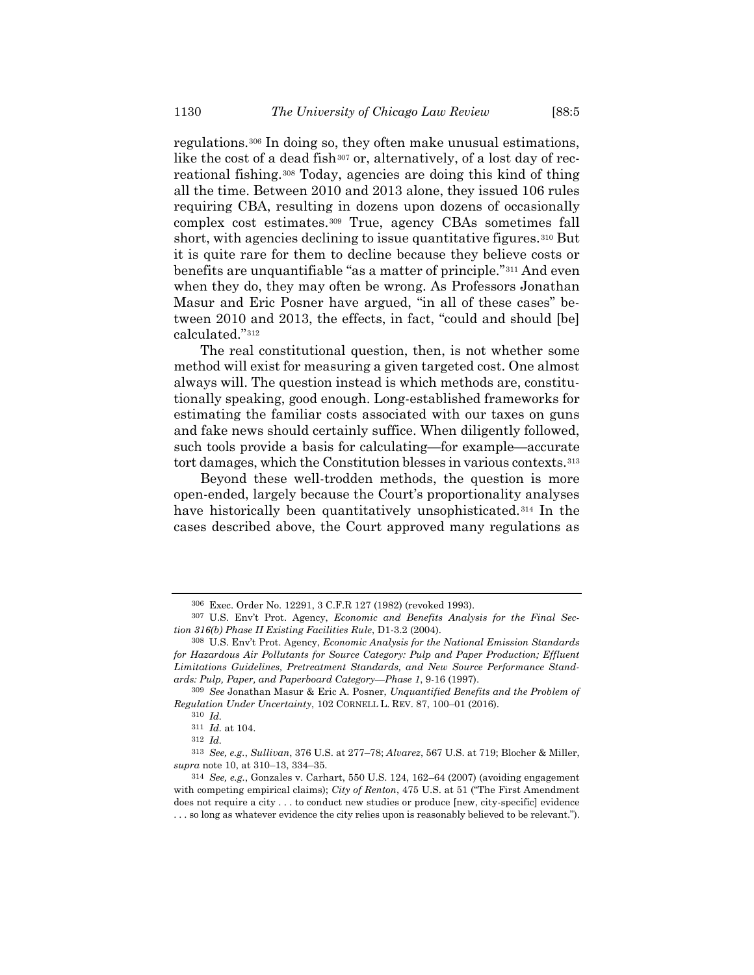<span id="page-49-1"></span>regulations.<sup>306</sup> In doing so, they often make unusual estimations, like the cost of a dead fish<sup>307</sup> or, alternatively, of a lost day of recreational fishing.<sup>308</sup> Today, agencies are doing this kind of thing all the time. Between 2010 and 2013 alone, they issued 106 rules requiring CBA, resulting in dozens upon dozens of occasionally complex cost estimates.<sup>309</sup> True, agency CBAs sometimes fall short, with agencies declining to issue quantitative figures.<sup>310</sup> But it is quite rare for them to decline because they believe costs or benefits are unquantifiable "as a matter of principle."<sup>311</sup> And even when they do, they may often be wrong. As Professors Jonathan Masur and Eric Posner have argued, "in all of these cases" between 2010 and 2013, the effects, in fact, "could and should [be] calculated."<sup>312</sup>

The real constitutional question, then, is not whether some method will exist for measuring a given targeted cost. One almost always will. The question instead is which methods are, constitutionally speaking, good enough. Long-established frameworks for estimating the familiar costs associated with our taxes on guns and fake news should certainly suffice. When diligently followed, such tools provide a basis for calculating—for example—accurate tort damages, which the Constitution blesses in various contexts.<sup>313</sup>

<span id="page-49-0"></span>Beyond these well-trodden methods, the question is more open-ended, largely because the Court's proportionality analyses have historically been quantitatively unsophisticated.<sup>314</sup> In the cases described above, the Court approved many regulations as

<sup>306</sup> Exec. Order No. 12291, 3 C.F.R 127 (1982) (revoked 1993).

<sup>307</sup> U.S. Env't Prot. Agency, *Economic and Benefits Analysis for the Final Section 316(b) Phase II Existing Facilities Rule*, D1-3.2 (2004).

<sup>308</sup> U.S. Env't Prot. Agency, *Economic Analysis for the National Emission Standards for Hazardous Air Pollutants for Source Category: Pulp and Paper Production; Effluent Limitations Guidelines, Pretreatment Standards, and New Source Performance Standards: Pulp, Paper, and Paperboard Category—Phase 1*, 9-16 (1997).

<sup>309</sup> *See* Jonathan Masur & Eric A. Posner, *Unquantified Benefits and the Problem of Regulation Under Uncertainty*, 102 CORNELL L. REV. 87, 100–01 (2016).

<sup>310</sup> *Id.*

<sup>311</sup> *Id.* at 104.

<sup>312</sup> *Id.*

<sup>313</sup> *See, e.g.*, *Sullivan*, 376 U.S. at 277–78; *Alvarez*, 567 U.S. at 719; Blocher & Miller, *supra* not[e 10,](#page-3-0) at 310–13, 334–35.

<sup>314</sup> *See, e.g.*, Gonzales v. Carhart, 550 U.S. 124, 162–64 (2007) (avoiding engagement with competing empirical claims); *City of Renton*, 475 U.S. at 51 ("The First Amendment does not require a city . . . to conduct new studies or produce [new, city-specific] evidence . . . so long as whatever evidence the city relies upon is reasonably believed to be relevant.").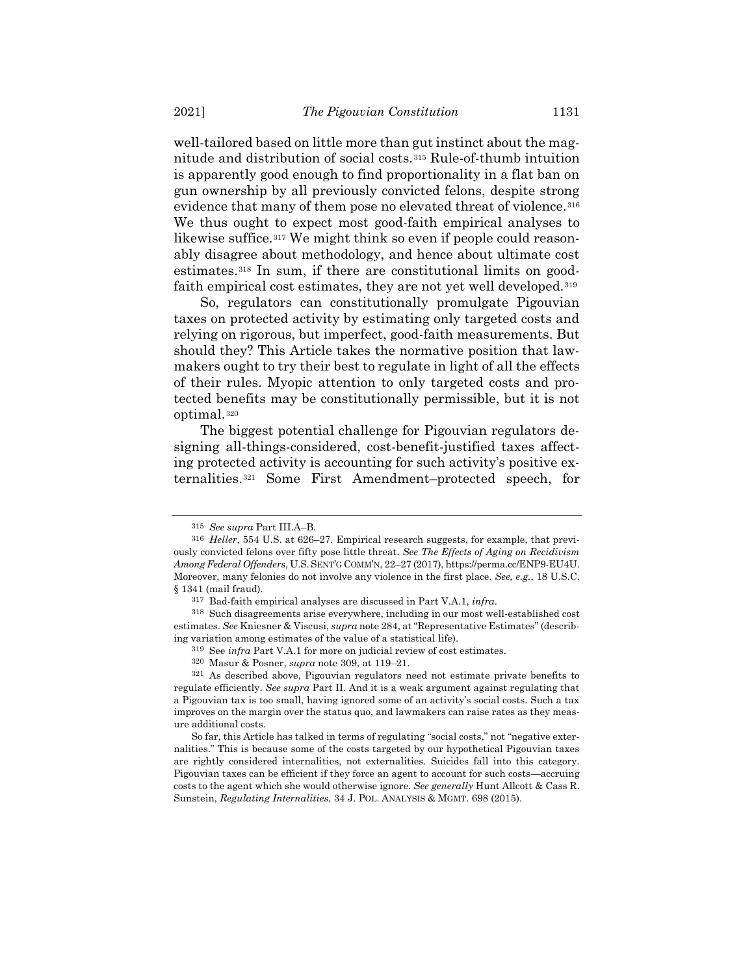<span id="page-50-0"></span>well-tailored based on little more than gut instinct about the magnitude and distribution of social costs.<sup>315</sup> Rule-of-thumb intuition is apparently good enough to find proportionality in a flat ban on gun ownership by all previously convicted felons, despite strong evidence that many of them pose no elevated threat of violence.<sup>316</sup> We thus ought to expect most good-faith empirical analyses to likewise suffice.<sup>317</sup> We might think so even if people could reasonably disagree about methodology, and hence about ultimate cost estimates.<sup>318</sup> In sum, if there are constitutional limits on goodfaith empirical cost estimates, they are not yet well developed.<sup>319</sup>

So, regulators can constitutionally promulgate Pigouvian taxes on protected activity by estimating only targeted costs and relying on rigorous, but imperfect, good-faith measurements. But should they? This Article takes the normative position that lawmakers ought to try their best to regulate in light of all the effects of their rules. Myopic attention to only targeted costs and protected benefits may be constitutionally permissible, but it is not optimal.<sup>320</sup>

The biggest potential challenge for Pigouvian regulators designing all-things-considered, cost-benefit-justified taxes affecting protected activity is accounting for such activity's positive externalities.<sup>321</sup> Some First Amendment–protected speech, for

<sup>315</sup> *See supra* Part III.A–B.

<sup>316</sup> *Heller*, 554 U.S. at 626–27. Empirical research suggests, for example, that previously convicted felons over fifty pose little threat. *See The Effects of Aging on Recidivism Among Federal Offenders*, U.S.SENT'G COMM'N, 22–27 (2017), https://perma.cc/ENP9-EU4U. Moreover, many felonies do not involve any violence in the first place. *See, e.g.*, 18 U.S.C. § 1341 (mail fraud).

<sup>317</sup> Bad-faith empirical analyses are discussed in Part V.A.1, *infra*.

<sup>318</sup> Such disagreements arise everywhere, including in our most well-established cost estimates. *See* Kniesner & Viscusi, *supra* not[e 284](#page-46-0), at "Representative Estimates" (describing variation among estimates of the value of a statistical life).

<sup>319</sup> See *infra* Part V.A.1 for more on judicial review of cost estimates.

<sup>320</sup> Masur & Posner, *supra* not[e 309,](#page-49-1) at 119–21.

<sup>321</sup> As described above, Pigouvian regulators need not estimate private benefits to regulate efficiently. *See supra* Part II. And it is a weak argument against regulating that a Pigouvian tax is too small, having ignored some of an activity's social costs. Such a tax improves on the margin over the status quo, and lawmakers can raise rates as they measure additional costs.

So far, this Article has talked in terms of regulating "social costs," not "negative externalities." This is because some of the costs targeted by our hypothetical Pigouvian taxes are rightly considered internalities, not externalities. Suicides fall into this category. Pigouvian taxes can be efficient if they force an agent to account for such costs—accruing costs to the agent which she would otherwise ignore. *See generally* Hunt Allcott & Cass R. Sunstein, *Regulating Internalities*, 34 J. POL. ANALYSIS & MGMT. 698 (2015).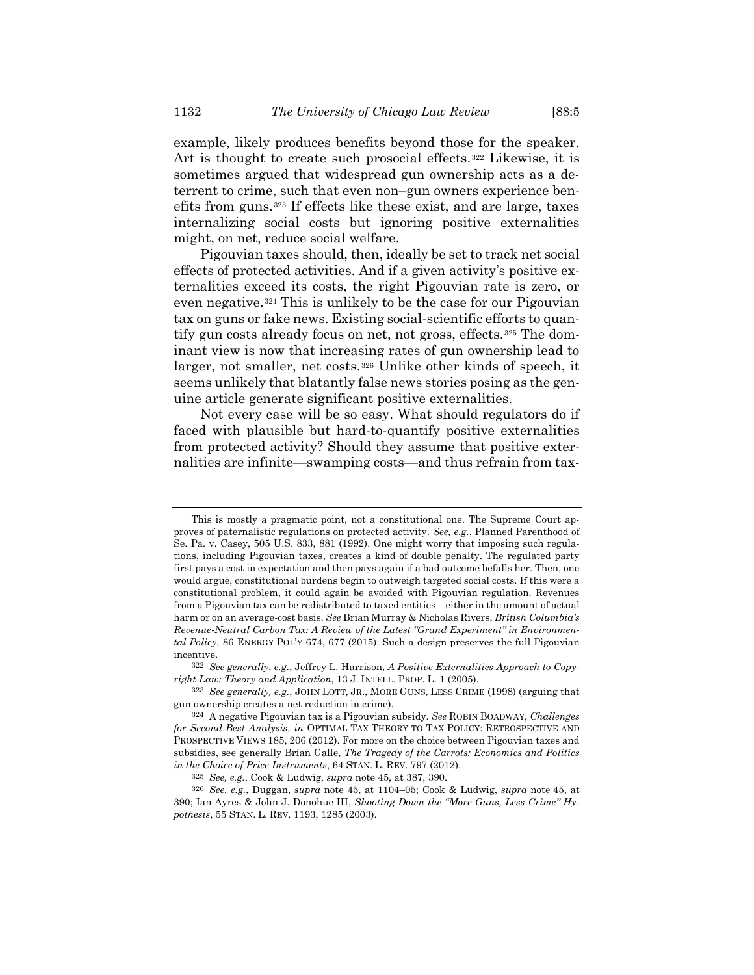example, likely produces benefits beyond those for the speaker. Art is thought to create such prosocial effects.<sup>322</sup> Likewise, it is sometimes argued that widespread gun ownership acts as a deterrent to crime, such that even non–gun owners experience benefits from guns.<sup>323</sup> If effects like these exist, and are large, taxes internalizing social costs but ignoring positive externalities might, on net, reduce social welfare.

Pigouvian taxes should, then, ideally be set to track net social effects of protected activities. And if a given activity's positive externalities exceed its costs, the right Pigouvian rate is zero, or even negative.<sup>324</sup> This is unlikely to be the case for our Pigouvian tax on guns or fake news. Existing social-scientific efforts to quantify gun costs already focus on net, not gross, effects.<sup>325</sup> The dominant view is now that increasing rates of gun ownership lead to larger, not smaller, net costs.<sup>326</sup> Unlike other kinds of speech, it seems unlikely that blatantly false news stories posing as the genuine article generate significant positive externalities.

Not every case will be so easy. What should regulators do if faced with plausible but hard-to-quantify positive externalities from protected activity? Should they assume that positive externalities are infinite—swamping costs—and thus refrain from tax-

This is mostly a pragmatic point, not a constitutional one. The Supreme Court approves of paternalistic regulations on protected activity. *See, e.g.*, Planned Parenthood of Se. Pa. v. Casey, 505 U.S. 833, 881 (1992). One might worry that imposing such regulations, including Pigouvian taxes, creates a kind of double penalty. The regulated party first pays a cost in expectation and then pays again if a bad outcome befalls her. Then, one would argue, constitutional burdens begin to outweigh targeted social costs. If this were a constitutional problem, it could again be avoided with Pigouvian regulation. Revenues from a Pigouvian tax can be redistributed to taxed entities—either in the amount of actual harm or on an average-cost basis. *See* Brian Murray & Nicholas Rivers, *British Columbia's Revenue-Neutral Carbon Tax: A Review of the Latest "Grand Experiment" in Environmental Policy*, 86 ENERGY POL'Y 674, 677 (2015). Such a design preserves the full Pigouvian incentive.

<sup>322</sup> *See generally, e.g.*, Jeffrey L. Harrison, *A Positive Externalities Approach to Copyright Law: Theory and Application*, 13 J. INTELL. PROP. L. 1 (2005).

<sup>323</sup> *See generally, e.g.*, JOHN LOTT, JR., MORE GUNS, LESS CRIME (1998) (arguing that gun ownership creates a net reduction in crime).

<sup>324</sup> A negative Pigouvian tax is a Pigouvian subsidy. *See* ROBIN BOADWAY, *Challenges for Second-Best Analysis*, *in* OPTIMAL TAX THEORY TO TAX POLICY: RETROSPECTIVE AND PROSPECTIVE VIEWS 185, 206 (2012). For more on the choice between Pigouvian taxes and subsidies, see generally Brian Galle, *The Tragedy of the Carrots: Economics and Politics in the Choice of Price Instruments*, 64 STAN. L. REV. 797 (2012).

<sup>325</sup> *See, e.g.*, Cook & Ludwig, *supra* note [45,](#page-10-0) at 387, 390.

<sup>326</sup> *See, e.g.*, Duggan, *supra* note [45,](#page-10-0) at 1104–05; Cook & Ludwig, *supra* note [45,](#page-10-0) at 390; Ian Ayres & John J. Donohue III, *Shooting Down the "More Guns, Less Crime" Hypothesis*, 55 STAN. L. REV. 1193, 1285 (2003).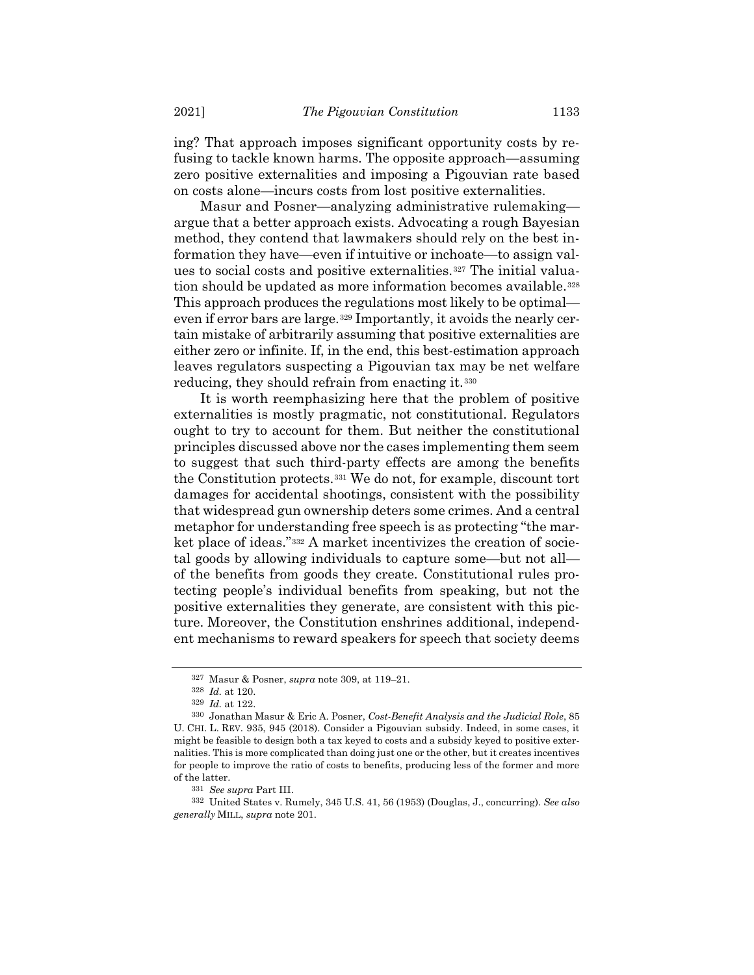ing? That approach imposes significant opportunity costs by refusing to tackle known harms. The opposite approach—assuming zero positive externalities and imposing a Pigouvian rate based on costs alone—incurs costs from lost positive externalities.

Masur and Posner—analyzing administrative rulemaking argue that a better approach exists. Advocating a rough Bayesian method, they contend that lawmakers should rely on the best information they have—even if intuitive or inchoate—to assign values to social costs and positive externalities.<sup>327</sup> The initial valuation should be updated as more information becomes available.<sup>328</sup> This approach produces the regulations most likely to be optimal even if error bars are large.<sup>329</sup> Importantly, it avoids the nearly certain mistake of arbitrarily assuming that positive externalities are either zero or infinite. If, in the end, this best-estimation approach leaves regulators suspecting a Pigouvian tax may be net welfare reducing, they should refrain from enacting it.<sup>330</sup>

<span id="page-52-0"></span>It is worth reemphasizing here that the problem of positive externalities is mostly pragmatic, not constitutional. Regulators ought to try to account for them. But neither the constitutional principles discussed above nor the cases implementing them seem to suggest that such third-party effects are among the benefits the Constitution protects.<sup>331</sup> We do not, for example, discount tort damages for accidental shootings, consistent with the possibility that widespread gun ownership deters some crimes. And a central metaphor for understanding free speech is as protecting "the market place of ideas."<sup>332</sup> A market incentivizes the creation of societal goods by allowing individuals to capture some—but not all of the benefits from goods they create. Constitutional rules protecting people's individual benefits from speaking, but not the positive externalities they generate, are consistent with this picture. Moreover, the Constitution enshrines additional, independent mechanisms to reward speakers for speech that society deems

<sup>327</sup> Masur & Posner, *supra* not[e 309,](#page-49-1) at 119–21.

<sup>328</sup> *Id.* at 120.

<sup>329</sup> *Id.* at 122.

<sup>330</sup> Jonathan Masur & Eric A. Posner, *Cost-Benefit Analysis and the Judicial Role*, 85 U. CHI. L. REV. 935, 945 (2018). Consider a Pigouvian subsidy. Indeed, in some cases, it might be feasible to design both a tax keyed to costs and a subsidy keyed to positive externalities. This is more complicated than doing just one or the other, but it creates incentives for people to improve the ratio of costs to benefits, producing less of the former and more of the latter.

<sup>331</sup> *See supra* Part III.

<sup>332</sup> United States v. Rumely, 345 U.S. 41, 56 (1953) (Douglas, J., concurring). *See also generally* MILL, *supra* note [201.](#page-31-0)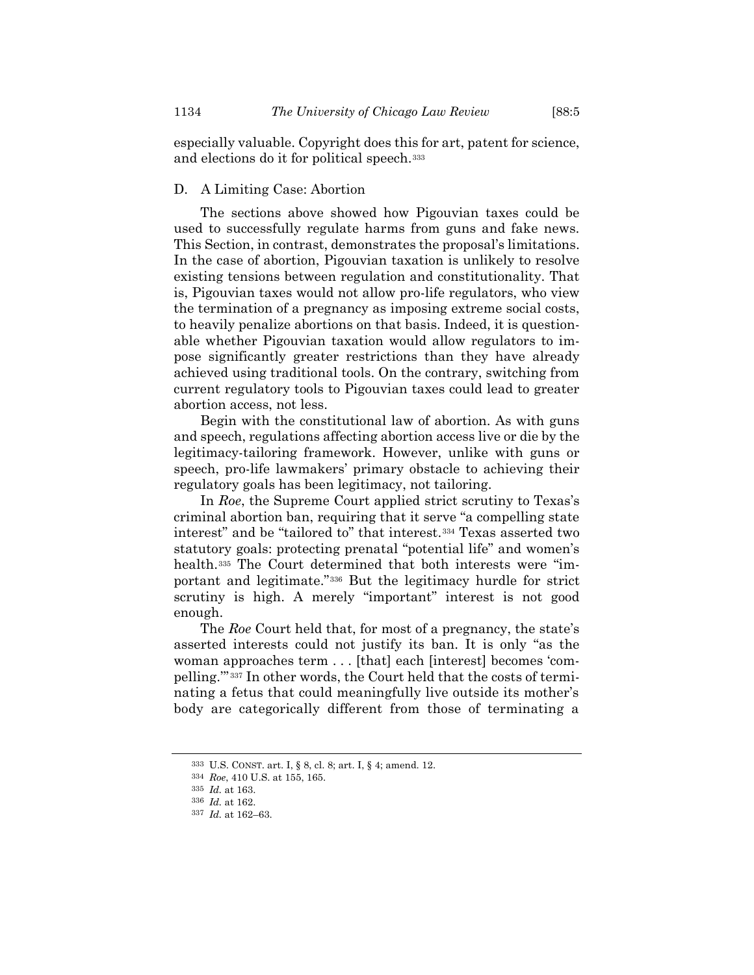especially valuable. Copyright does this for art, patent for science, and elections do it for political speech.<sup>333</sup>

## D. A Limiting Case: Abortion

The sections above showed how Pigouvian taxes could be used to successfully regulate harms from guns and fake news. This Section, in contrast, demonstrates the proposal's limitations. In the case of abortion, Pigouvian taxation is unlikely to resolve existing tensions between regulation and constitutionality. That is, Pigouvian taxes would not allow pro-life regulators, who view the termination of a pregnancy as imposing extreme social costs, to heavily penalize abortions on that basis. Indeed, it is questionable whether Pigouvian taxation would allow regulators to impose significantly greater restrictions than they have already achieved using traditional tools. On the contrary, switching from current regulatory tools to Pigouvian taxes could lead to greater abortion access, not less.

Begin with the constitutional law of abortion. As with guns and speech, regulations affecting abortion access live or die by the legitimacy-tailoring framework. However, unlike with guns or speech, pro-life lawmakers' primary obstacle to achieving their regulatory goals has been legitimacy, not tailoring.

In *Roe*, the Supreme Court applied strict scrutiny to Texas's criminal abortion ban, requiring that it serve "a compelling state interest" and be "tailored to" that interest.*34F* <sup>334</sup> Texas asserted two statutory goals: protecting prenatal "potential life" and women's health.<sup>335</sup> The Court determined that both interests were "important and legitimate.<sup>"336</sup> But the legitimacy hurdle for strict scrutiny is high. A merely "important" interest is not good enough.

The *Roe* Court held that, for most of a pregnancy, the state's asserted interests could not justify its ban. It is only "as the woman approaches term . . . [that] each [interest] becomes 'compelling."<sup>337</sup> In other words, the Court held that the costs of terminating a fetus that could meaningfully live outside its mother's body are categorically different from those of terminating a

<sup>333</sup> U.S. CONST. art. I, § 8, cl. 8; art. I, § 4; amend. 12.

<sup>334</sup> *Roe*, 410 U.S. at 155, 165.

<sup>335</sup> *Id.* at 163.

<sup>336</sup> *Id.* at 162.

<sup>337</sup> *Id.* at 162–63.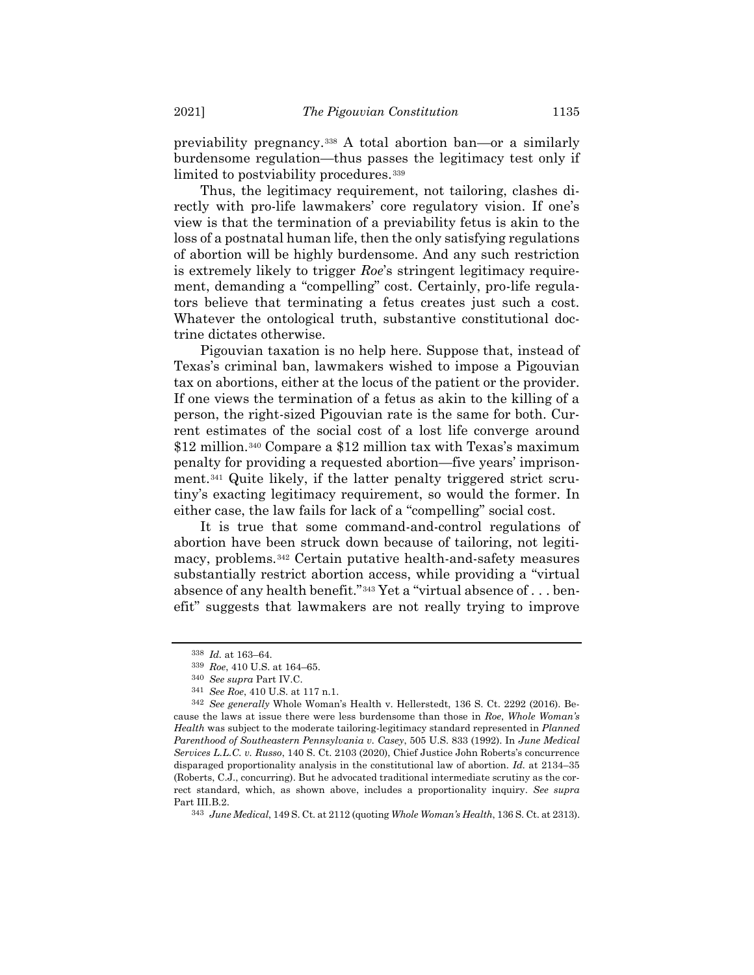previability pregnancy.<sup>338</sup> A total abortion ban—or a similarly burdensome regulation—thus passes the legitimacy test only if limited to postviability procedures.<sup>339</sup>

Thus, the legitimacy requirement, not tailoring, clashes directly with pro-life lawmakers' core regulatory vision. If one's view is that the termination of a previability fetus is akin to the loss of a postnatal human life, then the only satisfying regulations of abortion will be highly burdensome. And any such restriction is extremely likely to trigger *Roe*'s stringent legitimacy requirement, demanding a "compelling" cost. Certainly, pro-life regulators believe that terminating a fetus creates just such a cost. Whatever the ontological truth, substantive constitutional doctrine dictates otherwise.

Pigouvian taxation is no help here. Suppose that, instead of Texas's criminal ban, lawmakers wished to impose a Pigouvian tax on abortions, either at the locus of the patient or the provider. If one views the termination of a fetus as akin to the killing of a person, the right-sized Pigouvian rate is the same for both. Current estimates of the social cost of a lost life converge around \$12 million.<sup>340</sup> Compare a \$12 million tax with Texas's maximum penalty for providing a requested abortion—five years' imprisonment.<sup>341</sup> Quite likely, if the latter penalty triggered strict scrutiny's exacting legitimacy requirement, so would the former. In either case, the law fails for lack of a "compelling" social cost.

It is true that some command-and-control regulations of abortion have been struck down because of tailoring, not legitimacy, problems.<sup>342</sup> Certain putative health-and-safety measures substantially restrict abortion access, while providing a "virtual absence of any health benefit."<sup>343</sup> Yet a "virtual absence of . . . benefit" suggests that lawmakers are not really trying to improve

<sup>338</sup> *Id.* at 163–64.

<sup>339</sup> *Roe*, 410 U.S. at 164–65.

<sup>340</sup> *See supra* Part IV.C.

<sup>341</sup> *See Roe*, 410 U.S. at 117 n.1.

<sup>342</sup> *See generally* Whole Woman's Health v. Hellerstedt, 136 S. Ct. 2292 (2016). Because the laws at issue there were less burdensome than those in *Roe*, *Whole Woman's Health* was subject to the moderate tailoring-legitimacy standard represented in *Planned Parenthood of Southeastern Pennsylvania v. Casey*, 505 U.S. 833 (1992). In *June Medical Services L.L.C. v. Russo*, 140 S. Ct. 2103 (2020), Chief Justice John Roberts's concurrence disparaged proportionality analysis in the constitutional law of abortion. *Id.* at 2134–35 (Roberts, C.J., concurring). But he advocated traditional intermediate scrutiny as the correct standard, which, as shown above, includes a proportionality inquiry. *See supra* Part III.B.2.

<sup>343</sup> *June Medical*, 149 S. Ct. at 2112 (quoting *Whole Woman's Health*, 136 S. Ct. at 2313).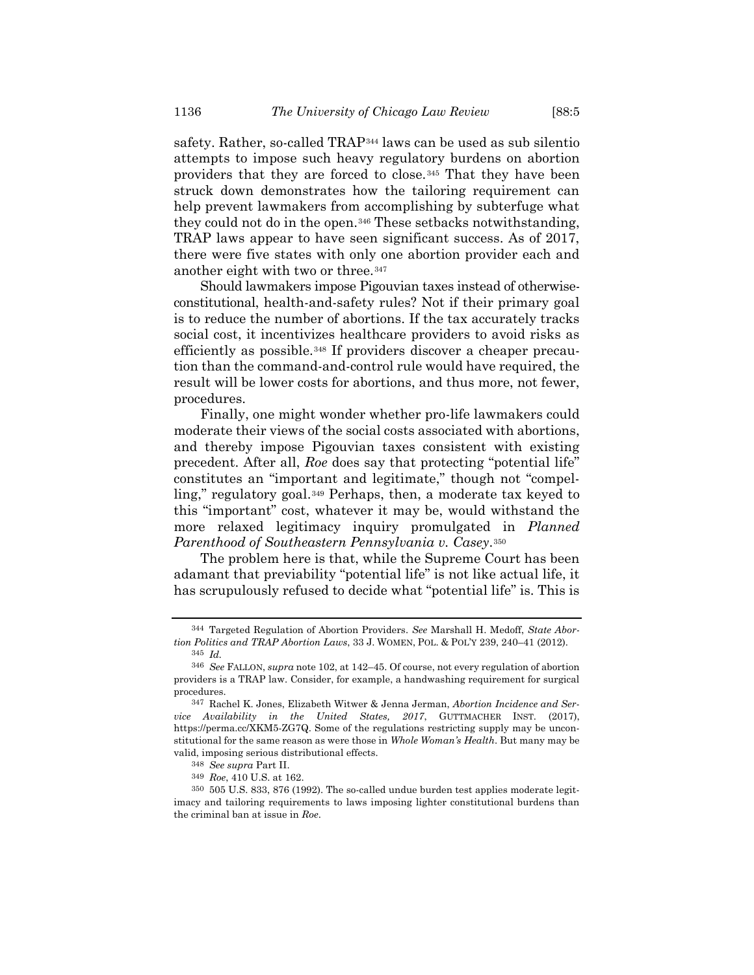safety. Rather, so-called TRAP<sup>344</sup> laws can be used as sub silentio attempts to impose such heavy regulatory burdens on abortion providers that they are forced to close.<sup>345</sup> That they have been struck down demonstrates how the tailoring requirement can help prevent lawmakers from accomplishing by subterfuge what they could not do in the open.<sup>346</sup> These setbacks notwithstanding, TRAP laws appear to have seen significant success. As of 2017, there were five states with only one abortion provider each and another eight with two or three.<sup>347</sup>

<span id="page-55-0"></span>Should lawmakers impose Pigouvian taxes instead of otherwiseconstitutional, health-and-safety rules? Not if their primary goal is to reduce the number of abortions. If the tax accurately tracks social cost, it incentivizes healthcare providers to avoid risks as efficiently as possible.<sup>348</sup> If providers discover a cheaper precaution than the command-and-control rule would have required, the result will be lower costs for abortions, and thus more, not fewer, procedures.

Finally, one might wonder whether pro-life lawmakers could moderate their views of the social costs associated with abortions, and thereby impose Pigouvian taxes consistent with existing precedent. After all, *Roe* does say that protecting "potential life" constitutes an "important and legitimate," though not "compelling," regulatory goal.<sup>349</sup> Perhaps, then, a moderate tax keyed to this "important" cost, whatever it may be, would withstand the more relaxed legitimacy inquiry promulgated in *Planned Parenthood of Southeastern Pennsylvania v. Casey.*<sup>350</sup>

The problem here is that, while the Supreme Court has been adamant that previability "potential life" is not like actual life, it has scrupulously refused to decide what "potential life" is. This is

<sup>344</sup> Targeted Regulation of Abortion Providers. *See* Marshall H. Medoff, *State Abortion Politics and TRAP Abortion Laws*, 33 J. WOMEN, POL. & POL'Y 239, 240–41 (2012). 345 *Id.*

<sup>346</sup> *See* FALLON, *supra* not[e 102,](#page-19-0) at 142–45. Of course, not every regulation of abortion providers is a TRAP law. Consider, for example, a handwashing requirement for surgical

procedures. 347 Rachel K. Jones, Elizabeth Witwer & Jenna Jerman, *Abortion Incidence and Service Availability in the United States, 2017*, GUTTMACHER INST. (2017), https://perma.cc/XKM5-ZG7Q. Some of the regulations restricting supply may be unconstitutional for the same reason as were those in *Whole Woman's Health*. But many may be valid, imposing serious distributional effects.

<sup>348</sup> *See supra* Part II.

<sup>349</sup> *Roe*, 410 U.S. at 162.

<sup>350</sup> 505 U.S. 833, 876 (1992). The so-called undue burden test applies moderate legitimacy and tailoring requirements to laws imposing lighter constitutional burdens than the criminal ban at issue in *Roe*.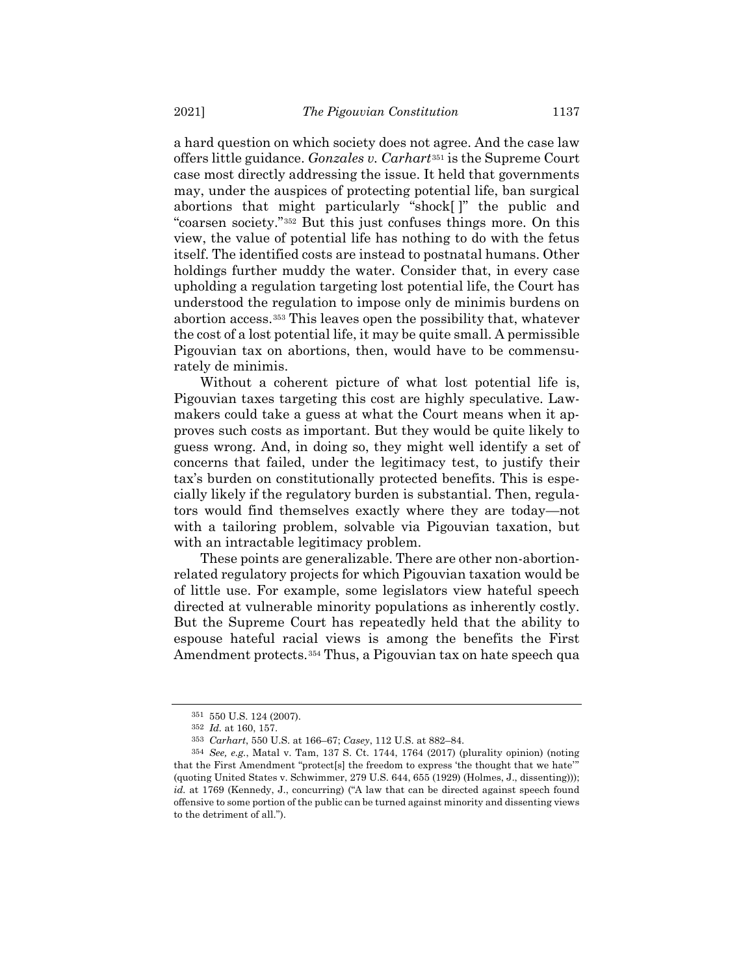a hard question on which society does not agree. And the case law offers little guidance. *Gonzales v. Carhart*<sup>351</sup> is the Supreme Court case most directly addressing the issue. It held that governments may, under the auspices of protecting potential life, ban surgical abortions that might particularly "shock[ ]" the public and "coarsen society."<sup>352</sup> But this just confuses things more. On this view, the value of potential life has nothing to do with the fetus itself. The identified costs are instead to postnatal humans. Other holdings further muddy the water. Consider that, in every case upholding a regulation targeting lost potential life, the Court has understood the regulation to impose only de minimis burdens on abortion access.<sup>353</sup> This leaves open the possibility that, whatever the cost of a lost potential life, it may be quite small. A permissible Pigouvian tax on abortions, then, would have to be commensurately de minimis.

Without a coherent picture of what lost potential life is, Pigouvian taxes targeting this cost are highly speculative. Lawmakers could take a guess at what the Court means when it approves such costs as important. But they would be quite likely to guess wrong. And, in doing so, they might well identify a set of concerns that failed, under the legitimacy test, to justify their tax's burden on constitutionally protected benefits. This is especially likely if the regulatory burden is substantial. Then, regulators would find themselves exactly where they are today—not with a tailoring problem, solvable via Pigouvian taxation, but with an intractable legitimacy problem.

These points are generalizable. There are other non-abortionrelated regulatory projects for which Pigouvian taxation would be of little use. For example, some legislators view hateful speech directed at vulnerable minority populations as inherently costly. But the Supreme Court has repeatedly held that the ability to espouse hateful racial views is among the benefits the First Amendment protects.<sup>354</sup> Thus, a Pigouvian tax on hate speech qua

<sup>351</sup> 550 U.S. 124 (2007).

<sup>352</sup> *Id.* at 160, 157.

<sup>353</sup> *Carhart*, 550 U.S. at 166–67; *Casey*, 112 U.S. at 882–84.

<sup>354</sup> *See, e.g.*, Matal v. Tam, 137 S. Ct. 1744, 1764 (2017) (plurality opinion) (noting that the First Amendment "protect[s] the freedom to express 'the thought that we hate'" (quoting United States v. Schwimmer, 279 U.S. 644, 655 (1929) (Holmes, J., dissenting))); *id.* at 1769 (Kennedy, J., concurring) ("A law that can be directed against speech found offensive to some portion of the public can be turned against minority and dissenting views to the detriment of all.").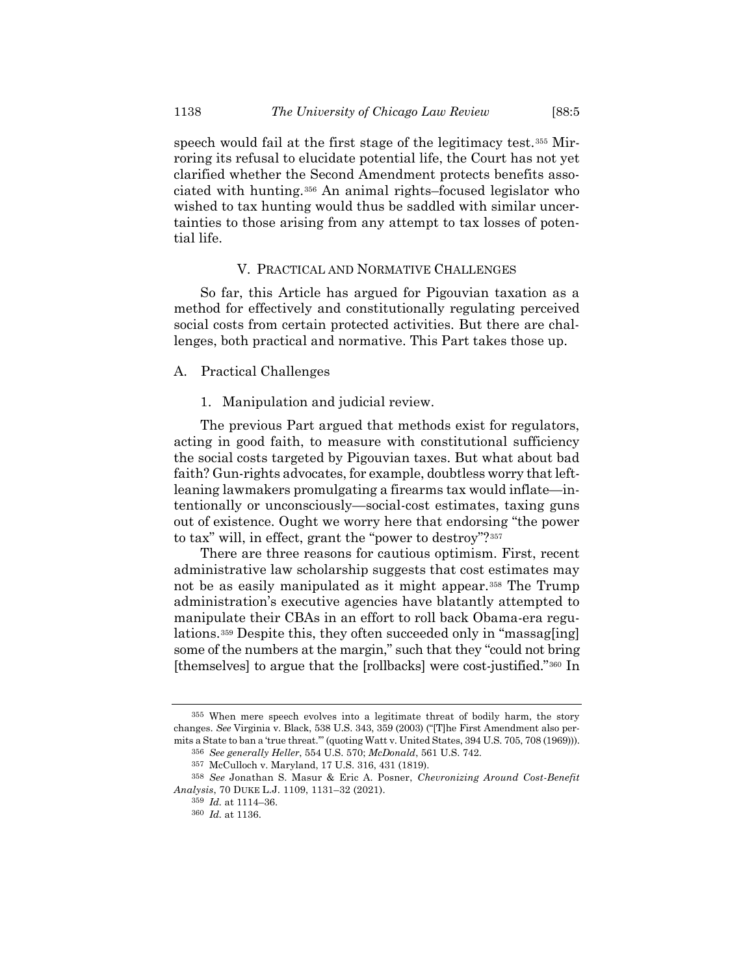speech would fail at the first stage of the legitimacy test.<sup>355</sup> Mirroring its refusal to elucidate potential life, the Court has not yet clarified whether the Second Amendment protects benefits associated with hunting.<sup>356</sup> An animal rights–focused legislator who wished to tax hunting would thus be saddled with similar uncertainties to those arising from any attempt to tax losses of potential life.

# V. PRACTICAL AND NORMATIVE CHALLENGES

So far, this Article has argued for Pigouvian taxation as a method for effectively and constitutionally regulating perceived social costs from certain protected activities. But there are challenges, both practical and normative. This Part takes those up.

### A. Practical Challenges

1. Manipulation and judicial review.

The previous Part argued that methods exist for regulators, acting in good faith, to measure with constitutional sufficiency the social costs targeted by Pigouvian taxes. But what about bad faith? Gun-rights advocates, for example, doubtless worry that leftleaning lawmakers promulgating a firearms tax would inflate—intentionally or unconsciously—social-cost estimates, taxing guns out of existence. Ought we worry here that endorsing "the power to tax" will, in effect, grant the "power to destroy"?<sup>357</sup>

<span id="page-57-0"></span>There are three reasons for cautious optimism. First, recent administrative law scholarship suggests that cost estimates may not be as easily manipulated as it might appear.<sup>358</sup> The Trump administration's executive agencies have blatantly attempted to manipulate their CBAs in an effort to roll back Obama-era regulations.<sup>359</sup> Despite this, they often succeeded only in "massag[ing] some of the numbers at the margin," such that they "could not bring [themselves] to argue that the [rollbacks] were cost-justified."<sup>360</sup> In

<sup>355</sup> When mere speech evolves into a legitimate threat of bodily harm, the story changes. *See* Virginia v. Black, 538 U.S. 343, 359 (2003) ("[T]he First Amendment also permits a State to ban a 'true threat.'" (quoting Watt v. United States, 394 U.S. 705, 708 (1969))).

<sup>356</sup> *See generally Heller*, 554 U.S. 570; *McDonald*, 561 U.S. 742.

<sup>357</sup> McCulloch v. Maryland, 17 U.S. 316, 431 (1819).

<sup>358</sup> *See* Jonathan S. Masur & Eric A. Posner, *Chevronizing Around Cost-Benefit Analysis*, 70 DUKE L.J. 1109, 1131–32 (2021).

<sup>359</sup> *Id.* at 1114–36.

<sup>360</sup> *Id.* at 1136.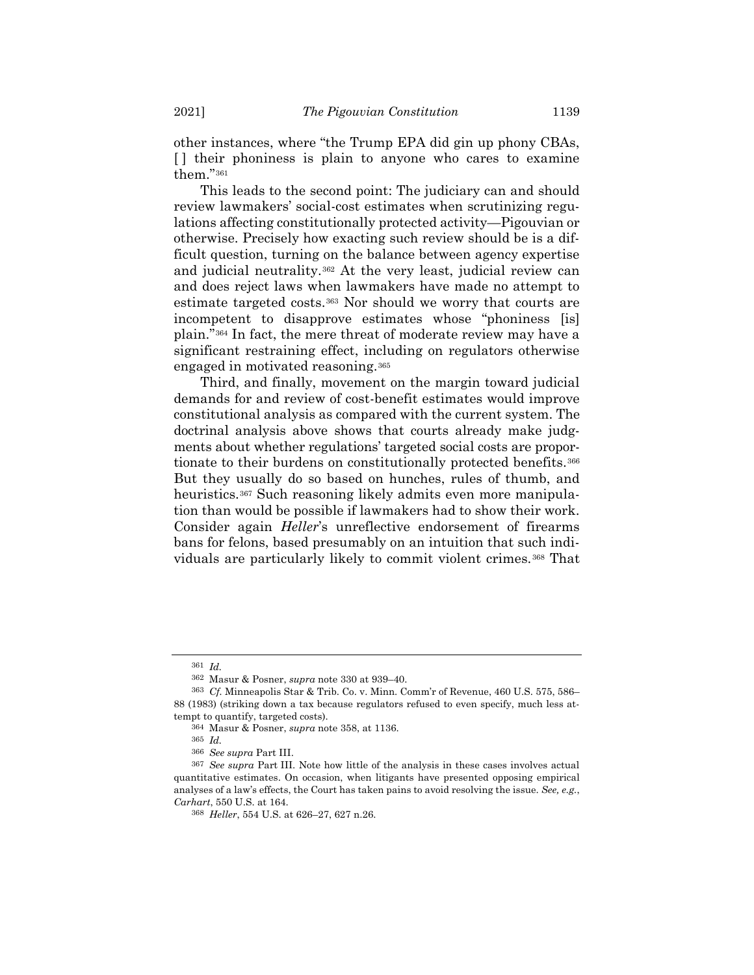other instances, where "the Trump EPA did gin up phony CBAs, [ ] their phoniness is plain to anyone who cares to examine them."<sup>361</sup>

This leads to the second point: The judiciary can and should review lawmakers' social-cost estimates when scrutinizing regulations affecting constitutionally protected activity—Pigouvian or otherwise. Precisely how exacting such review should be is a difficult question, turning on the balance between agency expertise and judicial neutrality.<sup>362</sup> At the very least, judicial review can and does reject laws when lawmakers have made no attempt to estimate targeted costs.<sup>363</sup> Nor should we worry that courts are incompetent to disapprove estimates whose "phoniness [is] plain."<sup>364</sup> In fact, the mere threat of moderate review may have a significant restraining effect, including on regulators otherwise engaged in motivated reasoning.<sup>365</sup>

Third, and finally, movement on the margin toward judicial demands for and review of cost-benefit estimates would improve constitutional analysis as compared with the current system. The doctrinal analysis above shows that courts already make judgments about whether regulations' targeted social costs are proportionate to their burdens on constitutionally protected benefits.<sup>366</sup> But they usually do so based on hunches, rules of thumb, and heuristics.<sup>367</sup> Such reasoning likely admits even more manipulation than would be possible if lawmakers had to show their work. Consider again *Heller*'s unreflective endorsement of firearms bans for felons, based presumably on an intuition that such individuals are particularly likely to commit violent crimes.<sup>368</sup> That

<sup>361</sup> *Id.*

<sup>362</sup> Masur & Posner, *supra* not[e 330](#page-52-0) at 939–40.

<sup>363</sup> *Cf.* Minneapolis Star & Trib. Co. v. Minn. Comm'r of Revenue, 460 U.S. 575, 586– 88 (1983) (striking down a tax because regulators refused to even specify, much less attempt to quantify, targeted costs).

<sup>364</sup> Masur & Posner, *supra* not[e 358,](#page-57-0) at 1136.

<sup>365</sup> *Id.*

<sup>366</sup> *See supra* Part III.

<sup>367</sup> *See supra* Part III. Note how little of the analysis in these cases involves actual quantitative estimates. On occasion, when litigants have presented opposing empirical analyses of a law's effects, the Court has taken pains to avoid resolving the issue. *See, e.g.*, *Carhart*, 550 U.S. at 164.

<sup>368</sup> *Heller*, 554 U.S. at 626–27, 627 n.26.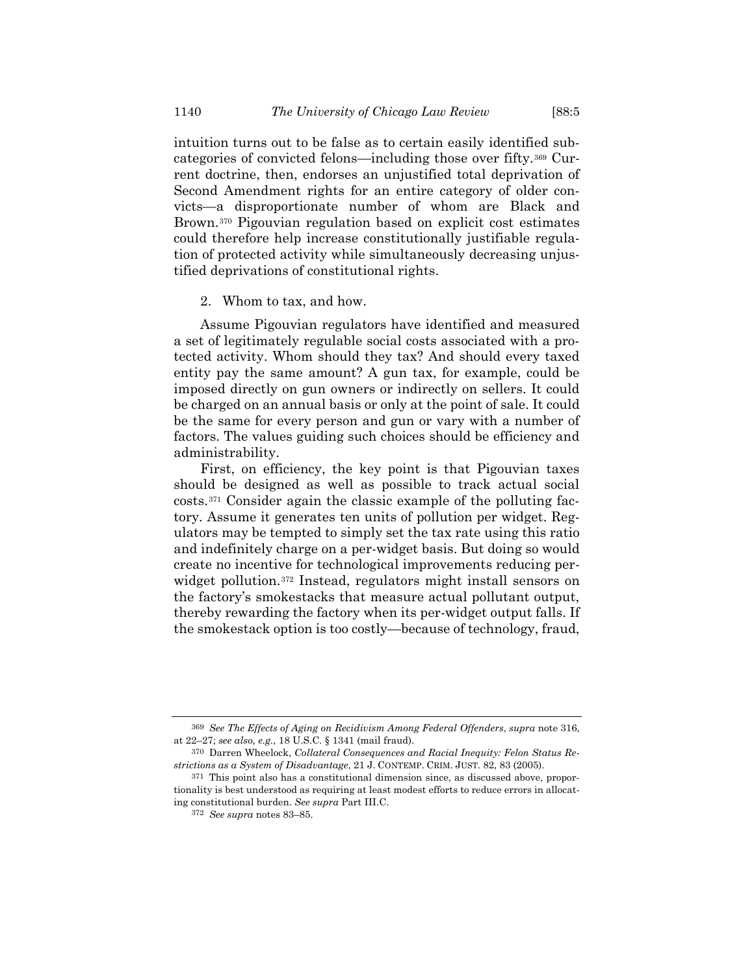intuition turns out to be false as to certain easily identified subcategories of convicted felons—including those over fifty.<sup>369</sup> Current doctrine, then, endorses an unjustified total deprivation of Second Amendment rights for an entire category of older convicts—a disproportionate number of whom are Black and Brown.<sup>370</sup> Pigouvian regulation based on explicit cost estimates could therefore help increase constitutionally justifiable regulation of protected activity while simultaneously decreasing unjustified deprivations of constitutional rights.

2. Whom to tax, and how.

Assume Pigouvian regulators have identified and measured a set of legitimately regulable social costs associated with a protected activity. Whom should they tax? And should every taxed entity pay the same amount? A gun tax, for example, could be imposed directly on gun owners or indirectly on sellers. It could be charged on an annual basis or only at the point of sale. It could be the same for every person and gun or vary with a number of factors. The values guiding such choices should be efficiency and administrability.

First, on efficiency, the key point is that Pigouvian taxes should be designed as well as possible to track actual social costs.<sup>371</sup> Consider again the classic example of the polluting factory. Assume it generates ten units of pollution per widget. Regulators may be tempted to simply set the tax rate using this ratio and indefinitely charge on a per-widget basis. But doing so would create no incentive for technological improvements reducing perwidget pollution.<sup>372</sup> Instead, regulators might install sensors on the factory's smokestacks that measure actual pollutant output, thereby rewarding the factory when its per-widget output falls. If the smokestack option is too costly—because of technology, fraud,

<sup>369</sup> *See The Effects of Aging on Recidivism Among Federal Offenders*, *supra* not[e 316,](#page-50-0)  at 22–27; *see also, e.g.*, 18 U.S.C. § 1341 (mail fraud).

<sup>370</sup> Darren Wheelock, *Collateral Consequences and Racial Inequity: Felon Status Restrictions as a System of Disadvantage*, 21 J. CONTEMP. CRIM. JUST. 82, 83 (2005).

<sup>371</sup> This point also has a constitutional dimension since, as discussed above, proportionality is best understood as requiring at least modest efforts to reduce errors in allocating constitutional burden. *See supra* Part III.C.

<sup>372</sup> *See supra* notes [83](#page-15-0)–[85.](#page-15-1)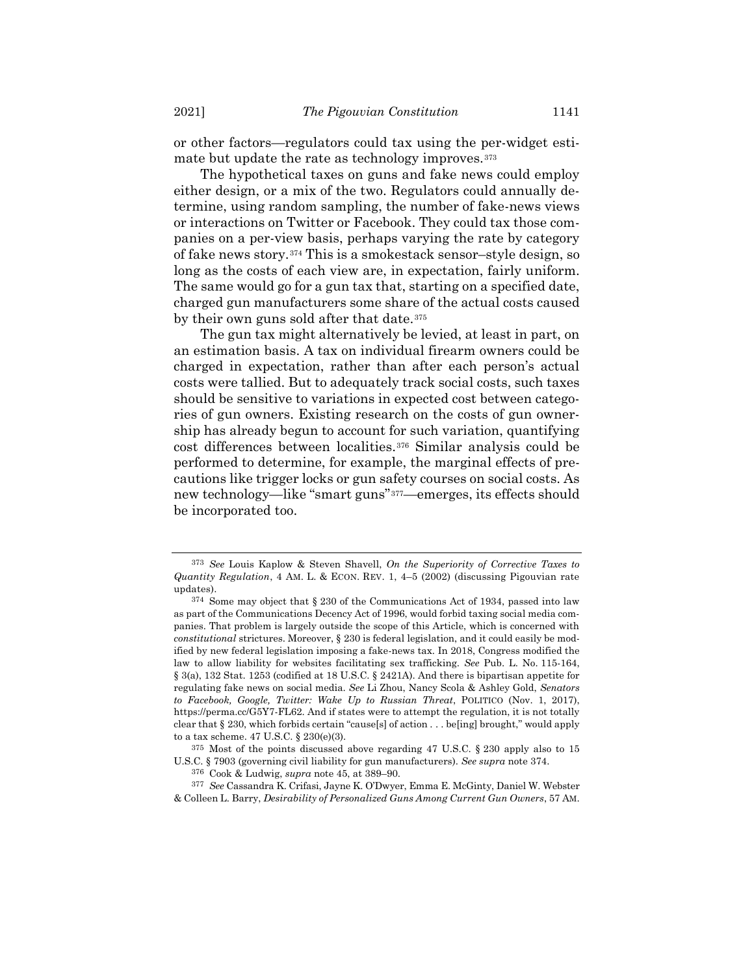or other factors—regulators could tax using the per-widget estimate but update the rate as technology improves.<sup>373</sup>

<span id="page-60-0"></span>The hypothetical taxes on guns and fake news could employ either design, or a mix of the two. Regulators could annually determine, using random sampling, the number of fake-news views or interactions on Twitter or Facebook. They could tax those companies on a per-view basis, perhaps varying the rate by category of fake news story.<sup>374</sup> This is a smokestack sensor-style design, so long as the costs of each view are, in expectation, fairly uniform. The same would go for a gun tax that, starting on a specified date, charged gun manufacturers some share of the actual costs caused by their own guns sold after that date.<sup>375</sup>

The gun tax might alternatively be levied, at least in part, on an estimation basis. A tax on individual firearm owners could be charged in expectation, rather than after each person's actual costs were tallied. But to adequately track social costs, such taxes should be sensitive to variations in expected cost between categories of gun owners. Existing research on the costs of gun ownership has already begun to account for such variation, quantifying cost differences between localities.<sup>376</sup> Similar analysis could be performed to determine, for example, the marginal effects of precautions like trigger locks or gun safety courses on social costs. As new technology—like "smart guns"*37F* <sup>377</sup>—emerges, its effects should be incorporated too.

<sup>373</sup> *See* Louis Kaplow & Steven Shavell, *On the Superiority of Corrective Taxes to Quantity Regulation*, 4 AM. L. & ECON. REV. 1, 4–5 (2002) (discussing Pigouvian rate updates).

<sup>374</sup> Some may object that § 230 of the Communications Act of 1934, passed into law as part of the Communications Decency Act of 1996, would forbid taxing social media companies. That problem is largely outside the scope of this Article, which is concerned with *constitutional* strictures. Moreover, § 230 is federal legislation, and it could easily be modified by new federal legislation imposing a fake-news tax. In 2018, Congress modified the law to allow liability for websites facilitating sex trafficking. *See* Pub. L. No. 115-164, § 3(a), 132 Stat. 1253 (codified at 18 U.S.C. § 2421A). And there is bipartisan appetite for regulating fake news on social media. *See* Li Zhou, Nancy Scola & Ashley Gold, *Senators to Facebook, Google, Twitter: Wake Up to Russian Threat*, POLITICO (Nov. 1, 2017), https://perma.cc/G5Y7-FL62. And if states were to attempt the regulation, it is not totally clear that § 230, which forbids certain "cause[s] of action . . . be[ing] brought," would apply to a tax scheme. 47 U.S.C. § 230(e)(3).

<sup>375</sup> Most of the points discussed above regarding 47 U.S.C. § 230 apply also to 15 U.S.C. § 7903 (governing civil liability for gun manufacturers). *See supra* note [374.](#page-60-0)

<sup>376</sup> Cook & Ludwig, *supra* not[e 45,](#page-10-0) at 389–90.

<sup>377</sup> *See* Cassandra K. Crifasi, Jayne K. O'Dwyer, Emma E. McGinty, Daniel W. Webster & Colleen L. Barry, *Desirability of Personalized Guns Among Current Gun Owners*, 57 AM.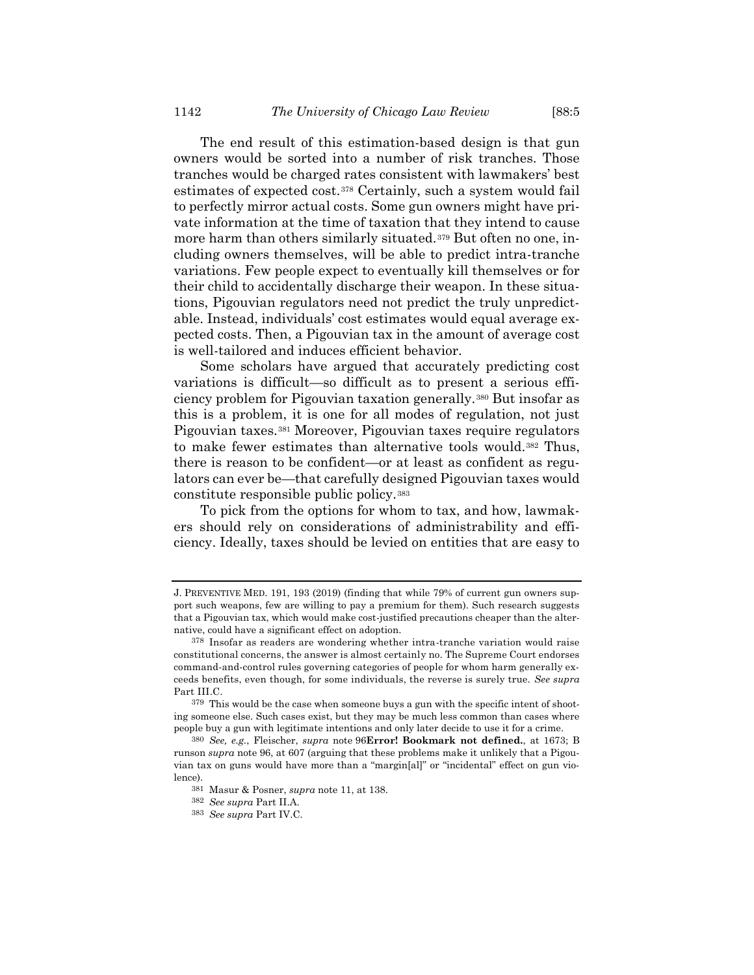The end result of this estimation-based design is that gun owners would be sorted into a number of risk tranches. Those tranches would be charged rates consistent with lawmakers' best estimates of expected cost.<sup>378</sup> Certainly, such a system would fail to perfectly mirror actual costs. Some gun owners might have private information at the time of taxation that they intend to cause more harm than others similarly situated.<sup>379</sup> But often no one, including owners themselves, will be able to predict intra-tranche variations. Few people expect to eventually kill themselves or for their child to accidentally discharge their weapon. In these situations, Pigouvian regulators need not predict the truly unpredictable. Instead, individuals' cost estimates would equal average expected costs. Then, a Pigouvian tax in the amount of average cost is well-tailored and induces efficient behavior.

Some scholars have argued that accurately predicting cost variations is difficult—so difficult as to present a serious efficiency problem for Pigouvian taxation generally.<sup>380</sup> But insofar as this is a problem, it is one for all modes of regulation, not just Pigouvian taxes.<sup>381</sup> Moreover, Pigouvian taxes require regulators to make fewer estimates than alternative tools would.<sup>382</sup> Thus, there is reason to be confident—or at least as confident as regulators can ever be—that carefully designed Pigouvian taxes would constitute responsible public policy.<sup>383</sup>

To pick from the options for whom to tax, and how, lawmakers should rely on considerations of administrability and efficiency. Ideally, taxes should be levied on entities that are easy to

J. PREVENTIVE MED. 191, 193 (2019) (finding that while 79% of current gun owners support such weapons, few are willing to pay a premium for them). Such research suggests that a Pigouvian tax, which would make cost-justified precautions cheaper than the alternative, could have a significant effect on adoption.

<sup>378</sup> Insofar as readers are wondering whether intra-tranche variation would raise constitutional concerns, the answer is almost certainly no. The Supreme Court endorses command-and-control rules governing categories of people for whom harm generally exceeds benefits, even though, for some individuals, the reverse is surely true. *See supra* Part III.C.

<sup>379</sup> This would be the case when someone buys a gun with the specific intent of shooting someone else. Such cases exist, but they may be much less common than cases where people buy a gun with legitimate intentions and only later decide to use it for a crime.

<sup>380</sup> *See, e.g.*, Fleischer, *supra* note [96](#page-17-0)**Error! Bookmark not defined.**, at 1673; B runson *supra* note [96,](#page-17-0) at 607 (arguing that these problems make it unlikely that a Pigouvian tax on guns would have more than a "margin[al]" or "incidental" effect on gun violence).

<sup>381</sup> Masur & Posner, *supra* not[e 11,](#page-3-1) at 138.

<sup>382</sup> *See supra* Part II.A.

<sup>383</sup> *See supra* Part IV.C.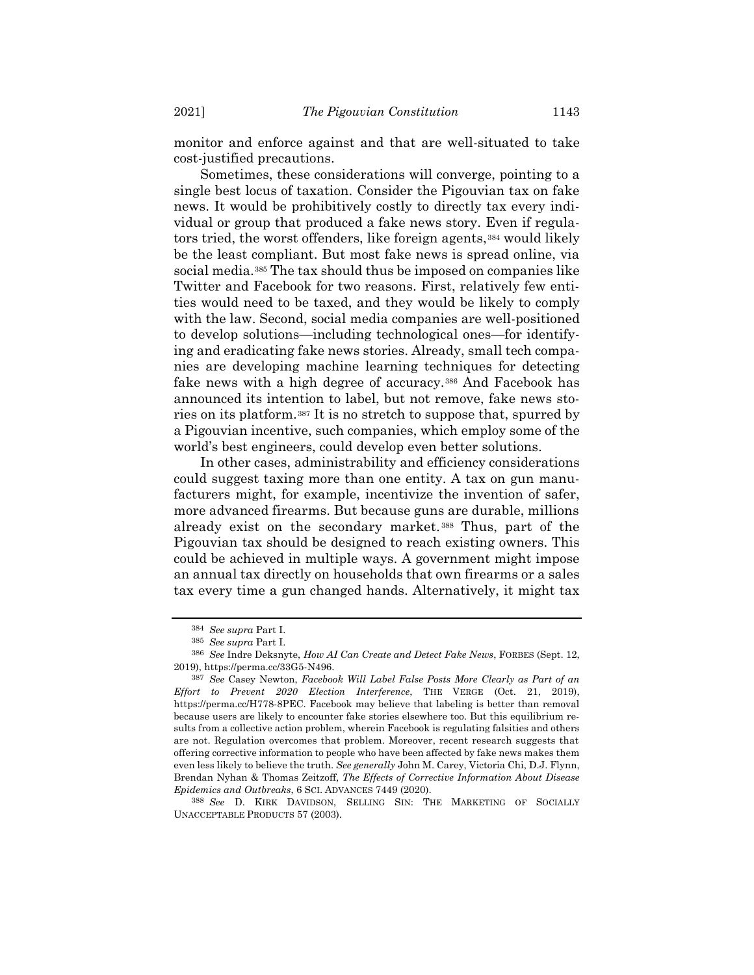monitor and enforce against and that are well-situated to take cost-justified precautions.

Sometimes, these considerations will converge, pointing to a single best locus of taxation. Consider the Pigouvian tax on fake news. It would be prohibitively costly to directly tax every individual or group that produced a fake news story. Even if regulators tried, the worst offenders, like foreign agents,<sup>384</sup> would likely be the least compliant. But most fake news is spread online, via social media.<sup>385</sup> The tax should thus be imposed on companies like Twitter and Facebook for two reasons. First, relatively few entities would need to be taxed, and they would be likely to comply with the law. Second, social media companies are well-positioned to develop solutions—including technological ones—for identifying and eradicating fake news stories. Already, small tech companies are developing machine learning techniques for detecting fake news with a high degree of accuracy.<sup>386</sup> And Facebook has announced its intention to label, but not remove, fake news stories on its platform.<sup>387</sup> It is no stretch to suppose that, spurred by a Pigouvian incentive, such companies, which employ some of the world's best engineers, could develop even better solutions.

In other cases, administrability and efficiency considerations could suggest taxing more than one entity. A tax on gun manufacturers might, for example, incentivize the invention of safer, more advanced firearms. But because guns are durable, millions already exist on the secondary market.<sup>388</sup> Thus, part of the Pigouvian tax should be designed to reach existing owners. This could be achieved in multiple ways. A government might impose an annual tax directly on households that own firearms or a sales tax every time a gun changed hands. Alternatively, it might tax

<sup>384</sup> *See supra* Part I.

<sup>385</sup> *See supra* Part I.

<sup>386</sup> *See* Indre Deksnyte, *How AI Can Create and Detect Fake News*, FORBES (Sept. 12, 2019), https://perma.cc/33G5-N496.

<sup>387</sup> *See* Casey Newton, *Facebook Will Label False Posts More Clearly as Part of an Effort to Prevent 2020 Election Interference*, THE VERGE (Oct. 21, 2019), https://perma.cc/H778-8PEC. Facebook may believe that labeling is better than removal because users are likely to encounter fake stories elsewhere too. But this equilibrium results from a collective action problem, wherein Facebook is regulating falsities and others are not. Regulation overcomes that problem. Moreover, recent research suggests that offering corrective information to people who have been affected by fake news makes them even less likely to believe the truth. *See generally* John M. Carey, Victoria Chi, D.J. Flynn, Brendan Nyhan & Thomas Zeitzoff, *The Effects of Corrective Information About Disease Epidemics and Outbreaks*, 6 SCI. ADVANCES 7449 (2020).

<sup>388</sup> *See* D. KIRK DAVIDSON, SELLING SIN: THE MARKETING OF SOCIALLY UNACCEPTABLE PRODUCTS 57 (2003).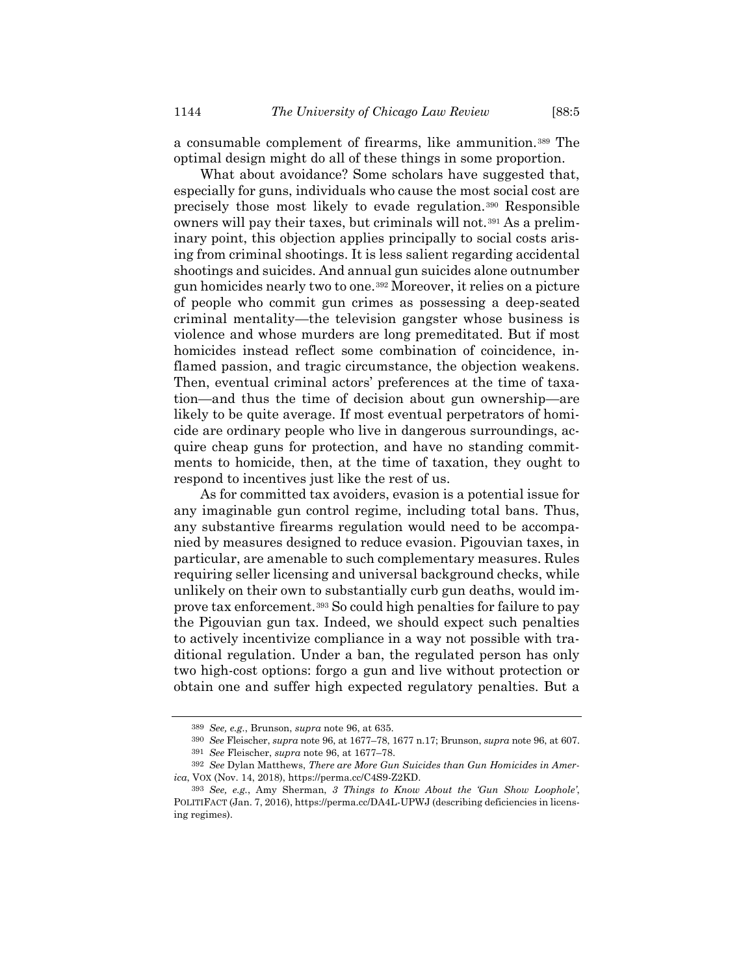a consumable complement of firearms, like ammunition.<sup>389</sup> The optimal design might do all of these things in some proportion.

What about avoidance? Some scholars have suggested that, especially for guns, individuals who cause the most social cost are precisely those most likely to evade regulation.<sup>390</sup> Responsible owners will pay their taxes, but criminals will not.<sup>391</sup> As a preliminary point, this objection applies principally to social costs arising from criminal shootings. It is less salient regarding accidental shootings and suicides. And annual gun suicides alone outnumber gun homicides nearly two to one.<sup>392</sup> Moreover, it relies on a picture of people who commit gun crimes as possessing a deep-seated criminal mentality—the television gangster whose business is violence and whose murders are long premeditated. But if most homicides instead reflect some combination of coincidence, inflamed passion, and tragic circumstance, the objection weakens. Then, eventual criminal actors' preferences at the time of taxation—and thus the time of decision about gun ownership—are likely to be quite average. If most eventual perpetrators of homicide are ordinary people who live in dangerous surroundings, acquire cheap guns for protection, and have no standing commitments to homicide, then, at the time of taxation, they ought to respond to incentives just like the rest of us.

As for committed tax avoiders, evasion is a potential issue for any imaginable gun control regime, including total bans. Thus, any substantive firearms regulation would need to be accompanied by measures designed to reduce evasion. Pigouvian taxes, in particular, are amenable to such complementary measures. Rules requiring seller licensing and universal background checks, while unlikely on their own to substantially curb gun deaths, would improve tax enforcement.<sup>393</sup> So could high penalties for failure to pay the Pigouvian gun tax. Indeed, we should expect such penalties to actively incentivize compliance in a way not possible with traditional regulation. Under a ban, the regulated person has only two high-cost options: forgo a gun and live without protection or obtain one and suffer high expected regulatory penalties. But a

<sup>389</sup> *See, e.g.*, Brunson, *supra* not[e 96,](#page-17-0) at 635.

<sup>390</sup> *See* Fleischer, *supra* note [96,](#page-17-0) at 1677–78, 1677 n.17; Brunson, *supra* not[e 96,](#page-17-0) at 607. 391 *See* Fleischer, *supra* not[e 96,](#page-17-0) at 1677–78.

<sup>392</sup> *See* Dylan Matthews, *There are More Gun Suicides than Gun Homicides in America*, VOX (Nov. 14, 2018), https://perma.cc/C4S9-Z2KD.

<sup>393</sup> *See, e.g.*, Amy Sherman, *3 Things to Know About the 'Gun Show Loophole'*, POLITIFACT (Jan. 7, 2016), https://perma.cc/DA4L-UPWJ (describing deficiencies in licensing regimes).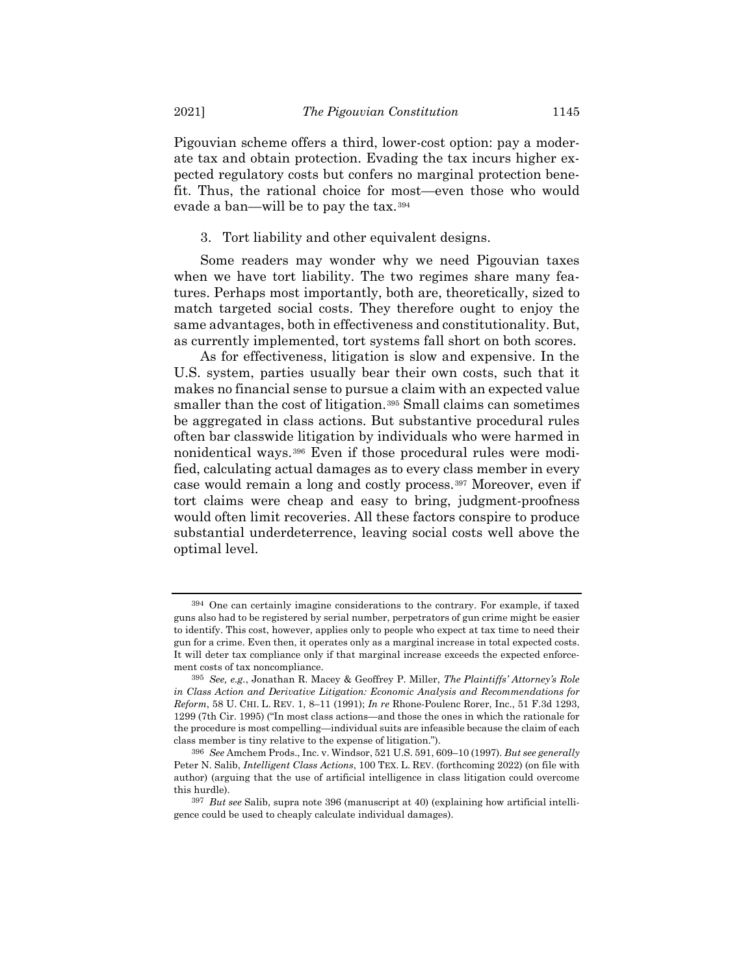Pigouvian scheme offers a third, lower-cost option: pay a moderate tax and obtain protection. Evading the tax incurs higher expected regulatory costs but confers no marginal protection benefit. Thus, the rational choice for most—even those who would evade a ban—will be to pay the tax.<sup>394</sup>

3. Tort liability and other equivalent designs.

Some readers may wonder why we need Pigouvian taxes when we have tort liability. The two regimes share many features. Perhaps most importantly, both are, theoretically, sized to match targeted social costs. They therefore ought to enjoy the same advantages, both in effectiveness and constitutionality. But, as currently implemented, tort systems fall short on both scores.

<span id="page-64-0"></span>As for effectiveness, litigation is slow and expensive. In the U.S. system, parties usually bear their own costs, such that it makes no financial sense to pursue a claim with an expected value smaller than the cost of litigation.<sup>395</sup> Small claims can sometimes be aggregated in class actions. But substantive procedural rules often bar classwide litigation by individuals who were harmed in nonidentical ways.<sup>396</sup> Even if those procedural rules were modified, calculating actual damages as to every class member in every case would remain a long and costly process.<sup>397</sup> Moreover, even if tort claims were cheap and easy to bring, judgment-proofness would often limit recoveries. All these factors conspire to produce substantial underdeterrence, leaving social costs well above the optimal level.

<sup>394</sup> One can certainly imagine considerations to the contrary. For example, if taxed guns also had to be registered by serial number, perpetrators of gun crime might be easier to identify. This cost, however, applies only to people who expect at tax time to need their gun for a crime. Even then, it operates only as a marginal increase in total expected costs. It will deter tax compliance only if that marginal increase exceeds the expected enforcement costs of tax noncompliance.

<sup>395</sup> *See, e.g.*, Jonathan R. Macey & Geoffrey P. Miller, *The Plaintiffs' Attorney's Role in Class Action and Derivative Litigation: Economic Analysis and Recommendations for Reform*, 58 U. CHI. L. REV. 1, 8–11 (1991); *In re* Rhone-Poulenc Rorer, Inc., 51 F.3d 1293, 1299 (7th Cir. 1995) ("In most class actions—and those the ones in which the rationale for the procedure is most compelling—individual suits are infeasible because the claim of each class member is tiny relative to the expense of litigation.").

<sup>396</sup> *See* Amchem Prods., Inc. v. Windsor, 521 U.S. 591, 609–10 (1997). *But see generally* Peter N. Salib, *Intelligent Class Actions*, 100 TEX. L. REV. (forthcoming 2022) (on file with author) (arguing that the use of artificial intelligence in class litigation could overcome this hurdle).

<sup>397</sup> *But see* Salib, supra note [396](#page-64-0) (manuscript at 40) (explaining how artificial intelligence could be used to cheaply calculate individual damages).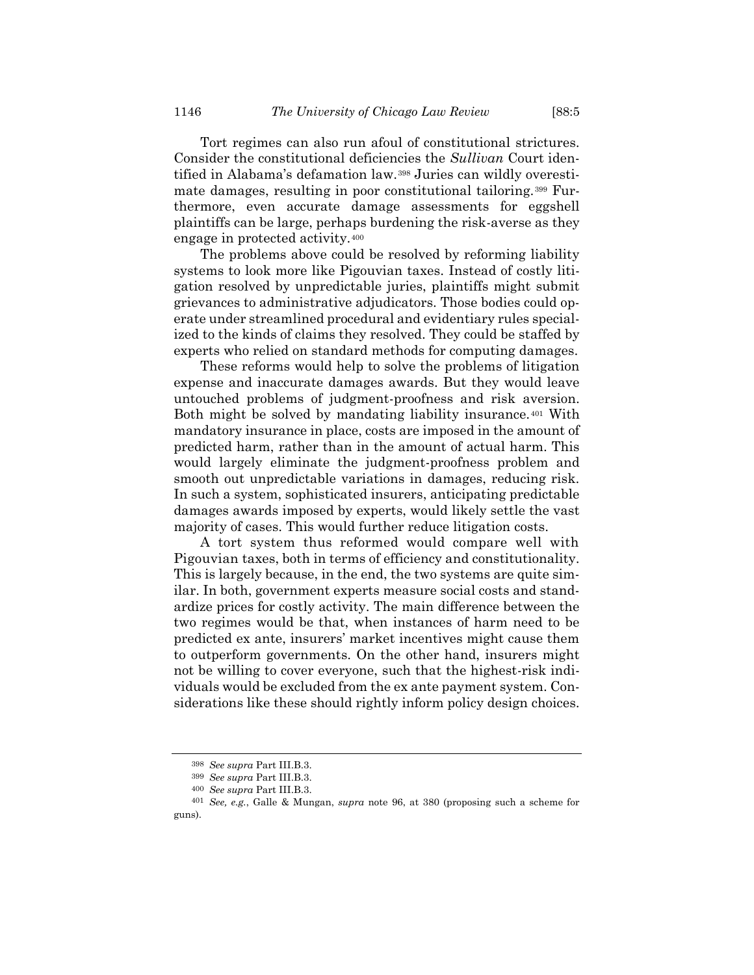Tort regimes can also run afoul of constitutional strictures. Consider the constitutional deficiencies the *Sullivan* Court identified in Alabama's defamation law.<sup>398</sup> Juries can wildly overestimate damages, resulting in poor constitutional tailoring.<sup>399</sup> Furthermore, even accurate damage assessments for eggshell plaintiffs can be large, perhaps burdening the risk-averse as they engage in protected activity.<sup>400</sup>

The problems above could be resolved by reforming liability systems to look more like Pigouvian taxes. Instead of costly litigation resolved by unpredictable juries, plaintiffs might submit grievances to administrative adjudicators. Those bodies could operate under streamlined procedural and evidentiary rules specialized to the kinds of claims they resolved. They could be staffed by experts who relied on standard methods for computing damages.

These reforms would help to solve the problems of litigation expense and inaccurate damages awards. But they would leave untouched problems of judgment-proofness and risk aversion. Both might be solved by mandating liability insurance.<sup>401</sup> With mandatory insurance in place, costs are imposed in the amount of predicted harm, rather than in the amount of actual harm. This would largely eliminate the judgment-proofness problem and smooth out unpredictable variations in damages, reducing risk. In such a system, sophisticated insurers, anticipating predictable damages awards imposed by experts, would likely settle the vast majority of cases. This would further reduce litigation costs.

A tort system thus reformed would compare well with Pigouvian taxes, both in terms of efficiency and constitutionality. This is largely because, in the end, the two systems are quite similar. In both, government experts measure social costs and standardize prices for costly activity. The main difference between the two regimes would be that, when instances of harm need to be predicted ex ante, insurers' market incentives might cause them to outperform governments. On the other hand, insurers might not be willing to cover everyone, such that the highest-risk individuals would be excluded from the ex ante payment system. Considerations like these should rightly inform policy design choices.

<sup>398</sup> *See supra* Part III.B.3.

<sup>399</sup> *See supra* Part III.B.3.

<sup>400</sup> *See supra* Part III.B.3.

<sup>401</sup> *See, e.g.*, Galle & Mungan, *supra* note [96,](#page-17-0) at 380 (proposing such a scheme for guns).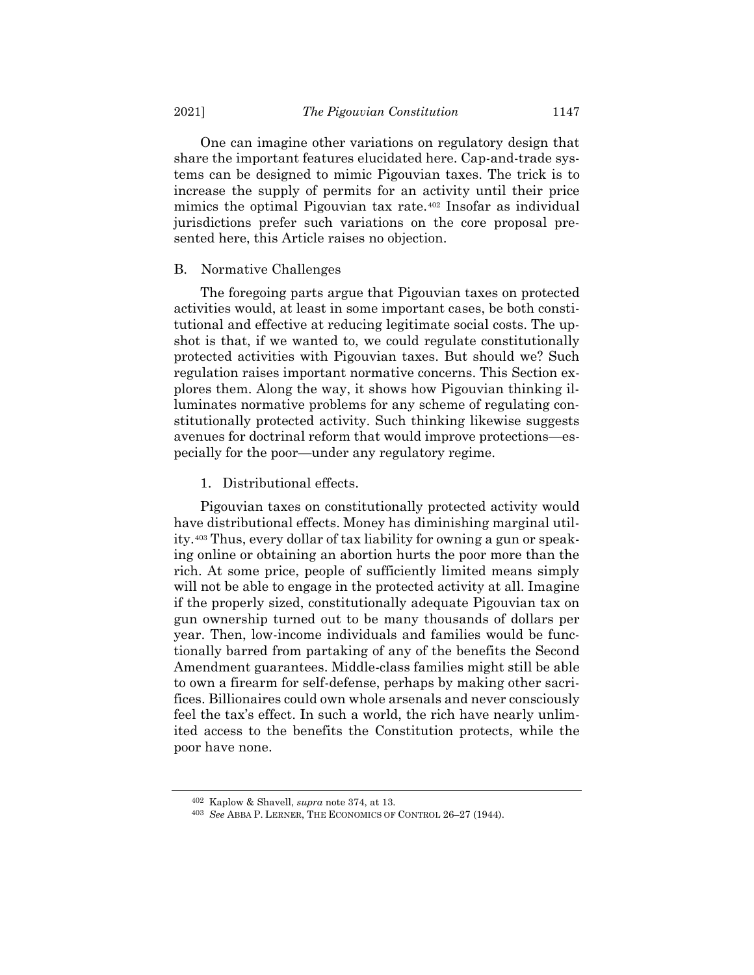One can imagine other variations on regulatory design that share the important features elucidated here. Cap-and-trade systems can be designed to mimic Pigouvian taxes. The trick is to increase the supply of permits for an activity until their price mimics the optimal Pigouvian tax rate.<sup>402</sup> Insofar as individual jurisdictions prefer such variations on the core proposal presented here, this Article raises no objection.

### B. Normative Challenges

The foregoing parts argue that Pigouvian taxes on protected activities would, at least in some important cases, be both constitutional and effective at reducing legitimate social costs. The upshot is that, if we wanted to, we could regulate constitutionally protected activities with Pigouvian taxes. But should we? Such regulation raises important normative concerns. This Section explores them. Along the way, it shows how Pigouvian thinking illuminates normative problems for any scheme of regulating constitutionally protected activity. Such thinking likewise suggests avenues for doctrinal reform that would improve protections—especially for the poor—under any regulatory regime.

#### 1. Distributional effects.

Pigouvian taxes on constitutionally protected activity would have distributional effects. Money has diminishing marginal utility.<sup>403</sup> Thus, every dollar of tax liability for owning a gun or speaking online or obtaining an abortion hurts the poor more than the rich. At some price, people of sufficiently limited means simply will not be able to engage in the protected activity at all. Imagine if the properly sized, constitutionally adequate Pigouvian tax on gun ownership turned out to be many thousands of dollars per year. Then, low-income individuals and families would be functionally barred from partaking of any of the benefits the Second Amendment guarantees. Middle-class families might still be able to own a firearm for self-defense, perhaps by making other sacrifices. Billionaires could own whole arsenals and never consciously feel the tax's effect. In such a world, the rich have nearly unlimited access to the benefits the Constitution protects, while the poor have none.

<sup>402</sup> Kaplow & Shavell, *supra* not[e 374,](#page-60-0) at 13.

<sup>403</sup> *See* ABBA P. LERNER, THE ECONOMICS OF CONTROL 26–27 (1944).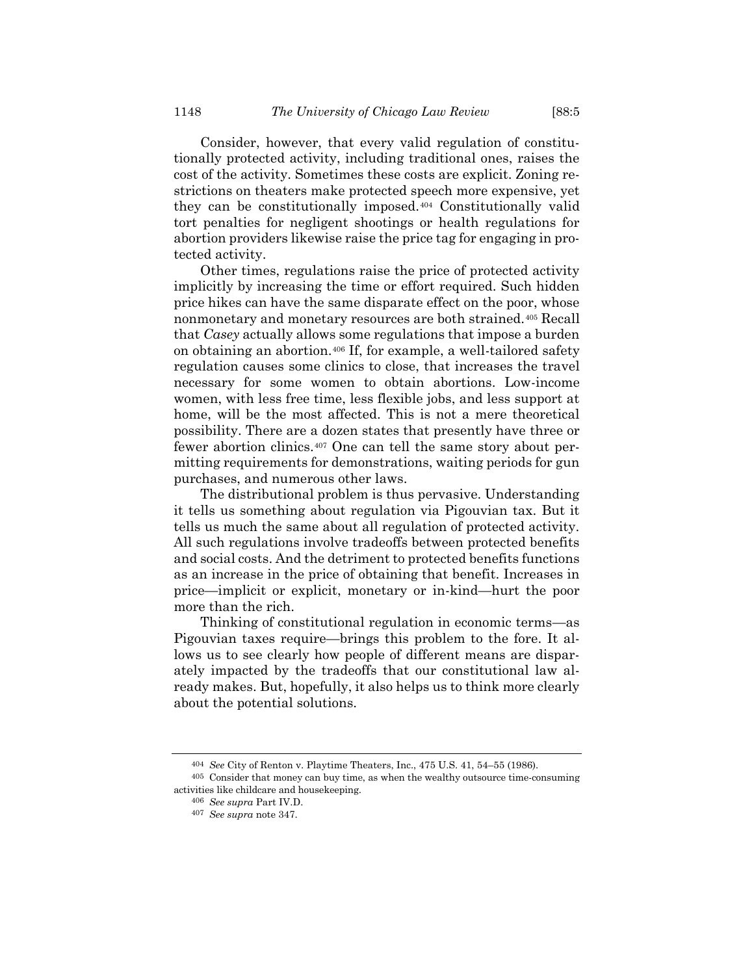Consider, however, that every valid regulation of constitutionally protected activity, including traditional ones, raises the cost of the activity. Sometimes these costs are explicit. Zoning restrictions on theaters make protected speech more expensive, yet they can be constitutionally imposed.<sup>404</sup> Constitutionally valid tort penalties for negligent shootings or health regulations for abortion providers likewise raise the price tag for engaging in protected activity.

Other times, regulations raise the price of protected activity implicitly by increasing the time or effort required. Such hidden price hikes can have the same disparate effect on the poor, whose nonmonetary and monetary resources are both strained.<sup>405</sup> Recall that *Casey* actually allows some regulations that impose a burden on obtaining an abortion.<sup>406</sup> If, for example, a well-tailored safety regulation causes some clinics to close, that increases the travel necessary for some women to obtain abortions. Low-income women, with less free time, less flexible jobs, and less support at home, will be the most affected. This is not a mere theoretical possibility. There are a dozen states that presently have three or fewer abortion clinics.<sup>407</sup> One can tell the same story about permitting requirements for demonstrations, waiting periods for gun purchases, and numerous other laws.

The distributional problem is thus pervasive. Understanding it tells us something about regulation via Pigouvian tax. But it tells us much the same about all regulation of protected activity. All such regulations involve tradeoffs between protected benefits and social costs. And the detriment to protected benefits functions as an increase in the price of obtaining that benefit. Increases in price—implicit or explicit, monetary or in-kind—hurt the poor more than the rich.

Thinking of constitutional regulation in economic terms—as Pigouvian taxes require—brings this problem to the fore. It allows us to see clearly how people of different means are disparately impacted by the tradeoffs that our constitutional law already makes. But, hopefully, it also helps us to think more clearly about the potential solutions.

<sup>404</sup> *See* City of Renton v. Playtime Theaters, Inc., 475 U.S. 41, 54–55 (1986).

<sup>405</sup> Consider that money can buy time, as when the wealthy outsource time-consuming activities like childcare and housekeeping.

<sup>406</sup> *See supra* Part IV.D.

<sup>407</sup> *See supra* note [347.](#page-55-0)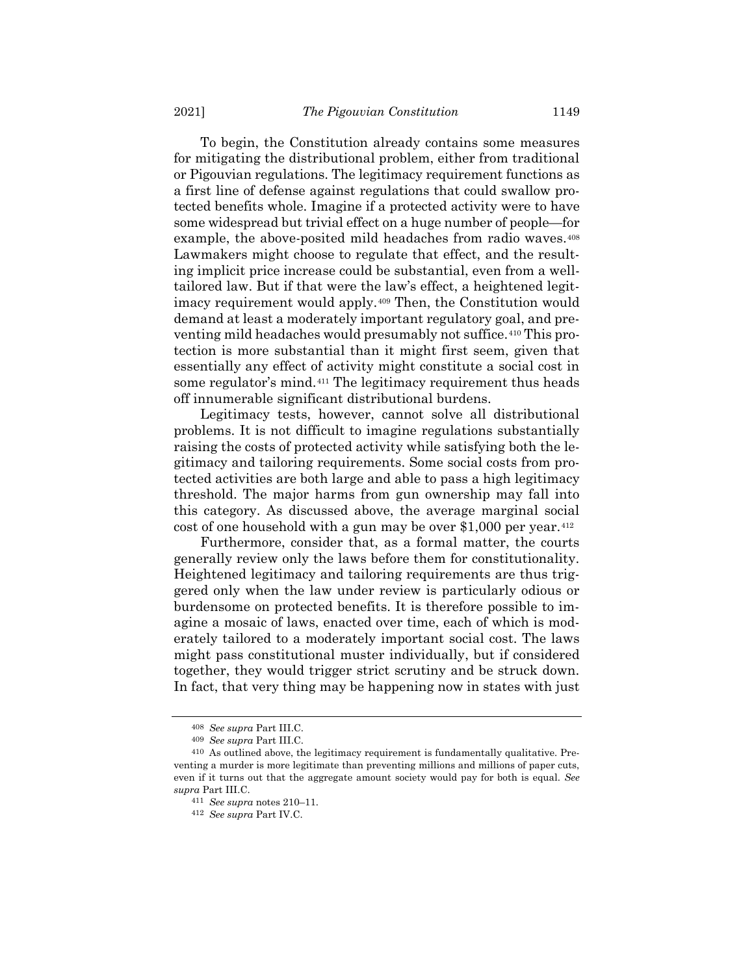To begin, the Constitution already contains some measures for mitigating the distributional problem, either from traditional or Pigouvian regulations. The legitimacy requirement functions as a first line of defense against regulations that could swallow protected benefits whole. Imagine if a protected activity were to have some widespread but trivial effect on a huge number of people—for example, the above-posited mild headaches from radio waves.<sup>408</sup> Lawmakers might choose to regulate that effect, and the resulting implicit price increase could be substantial, even from a welltailored law. But if that were the law's effect, a heightened legitimacy requirement would apply.<sup>409</sup> Then, the Constitution would demand at least a moderately important regulatory goal, and preventing mild headaches would presumably not suffice.<sup>410</sup> This protection is more substantial than it might first seem, given that essentially any effect of activity might constitute a social cost in some regulator's mind.<sup>411</sup> The legitimacy requirement thus heads off innumerable significant distributional burdens.

Legitimacy tests, however, cannot solve all distributional problems. It is not difficult to imagine regulations substantially raising the costs of protected activity while satisfying both the legitimacy and tailoring requirements. Some social costs from protected activities are both large and able to pass a high legitimacy threshold. The major harms from gun ownership may fall into this category. As discussed above, the average marginal social cost of one household with a gun may be over \$1,000 per year.<sup>412</sup>

Furthermore, consider that, as a formal matter, the courts generally review only the laws before them for constitutionality. Heightened legitimacy and tailoring requirements are thus triggered only when the law under review is particularly odious or burdensome on protected benefits. It is therefore possible to imagine a mosaic of laws, enacted over time, each of which is moderately tailored to a moderately important social cost. The laws might pass constitutional muster individually, but if considered together, they would trigger strict scrutiny and be struck down. In fact, that very thing may be happening now in states with just

<sup>408</sup> *See supra* Part III.C.

<sup>409</sup> *See supra* Part III.C.

<sup>410</sup> As outlined above, the legitimacy requirement is fundamentally qualitative. Preventing a murder is more legitimate than preventing millions and millions of paper cuts, even if it turns out that the aggregate amount society would pay for both is equal. *See supra* Part III.C.

<sup>411</sup> *See supra* notes [210](#page-33-0)–11.

<sup>412</sup> *See supra* Part IV.C.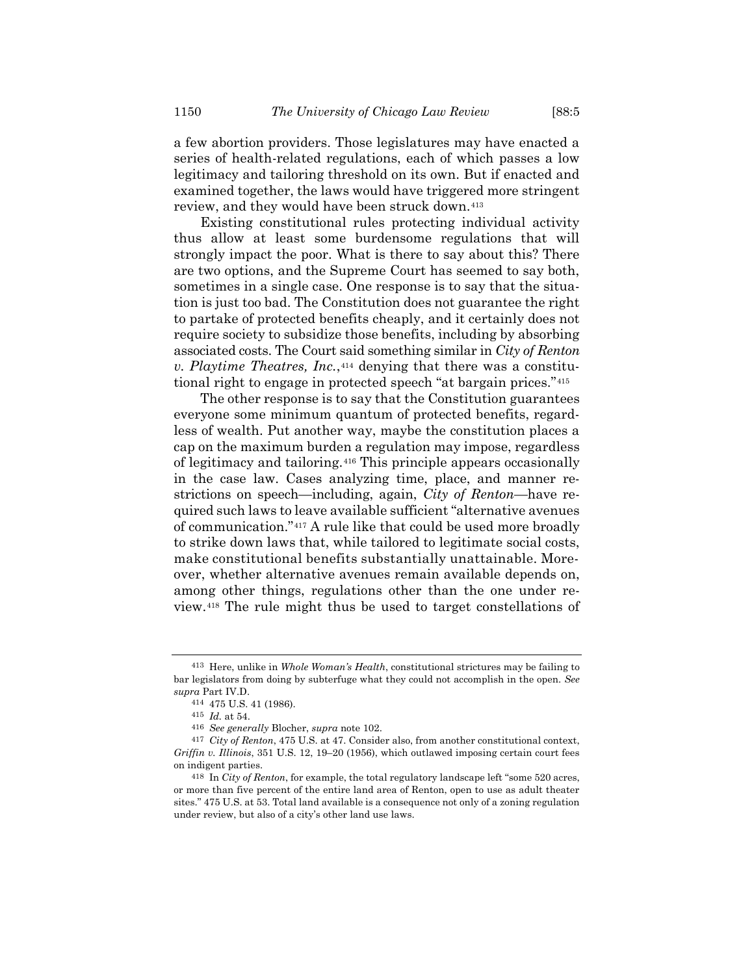a few abortion providers. Those legislatures may have enacted a series of health-related regulations, each of which passes a low legitimacy and tailoring threshold on its own. But if enacted and examined together, the laws would have triggered more stringent review, and they would have been struck down.<sup>413</sup>

Existing constitutional rules protecting individual activity thus allow at least some burdensome regulations that will strongly impact the poor. What is there to say about this? There are two options, and the Supreme Court has seemed to say both, sometimes in a single case. One response is to say that the situation is just too bad. The Constitution does not guarantee the right to partake of protected benefits cheaply, and it certainly does not require society to subsidize those benefits, including by absorbing associated costs. The Court said something similar in *City of Renton v. Playtime Theatres, Inc.*, <sup>414</sup> denying that there was a constitutional right to engage in protected speech "at bargain prices."<sup>415</sup>

The other response is to say that the Constitution guarantees everyone some minimum quantum of protected benefits, regardless of wealth. Put another way, maybe the constitution places a cap on the maximum burden a regulation may impose, regardless of legitimacy and tailoring.<sup>416</sup> This principle appears occasionally in the case law. Cases analyzing time, place, and manner restrictions on speech—including, again, *City of Renton*—have required such laws to leave available sufficient "alternative avenues of communication."<sup>417</sup> A rule like that could be used more broadly to strike down laws that, while tailored to legitimate social costs, make constitutional benefits substantially unattainable. Moreover, whether alternative avenues remain available depends on, among other things, regulations other than the one under review.<sup>418</sup> The rule might thus be used to target constellations of

<sup>413</sup> Here, unlike in *Whole Woman's Health*, constitutional strictures may be failing to bar legislators from doing by subterfuge what they could not accomplish in the open. *See supra* Part IV.D.

<sup>414</sup> 475 U.S. 41 (1986).

<sup>415</sup> *Id.* at 54.

<sup>416</sup> *See generally* Blocher, *supra* note [102.](#page-19-0)

<sup>417</sup> *City of Renton*, 475 U.S. at 47. Consider also, from another constitutional context, *Griffin v. Illinois*, 351 U.S. 12, 19–20 (1956), which outlawed imposing certain court fees on indigent parties.

<sup>418</sup> In *City of Renton*, for example, the total regulatory landscape left "some 520 acres, or more than five percent of the entire land area of Renton, open to use as adult theater sites." 475 U.S. at 53. Total land available is a consequence not only of a zoning regulation under review, but also of a city's other land use laws.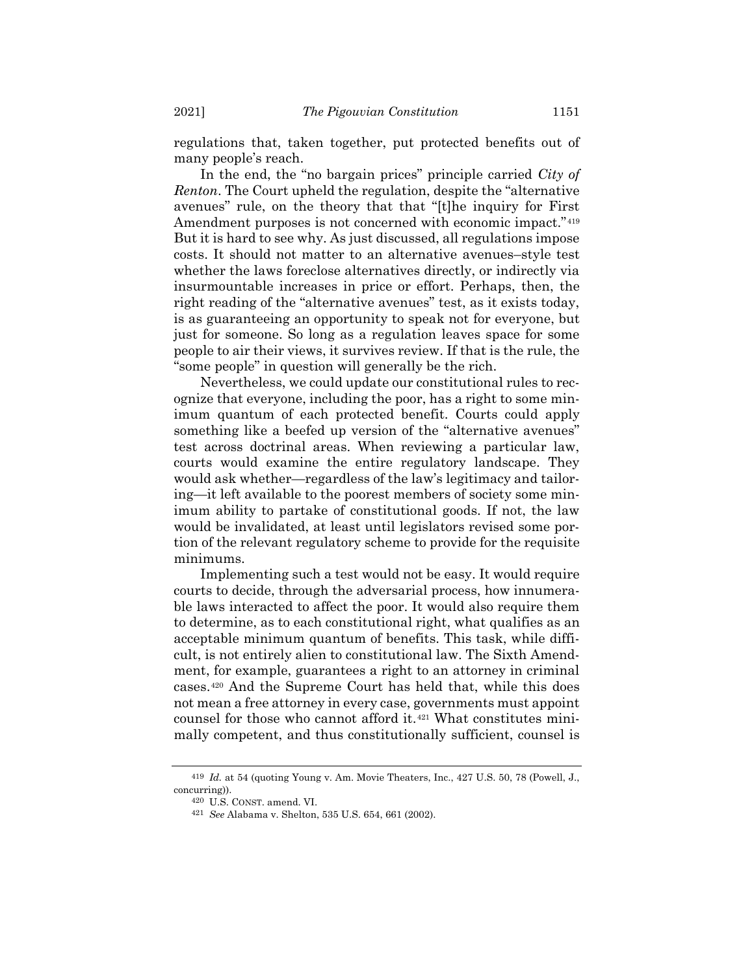regulations that, taken together, put protected benefits out of many people's reach.

In the end, the "no bargain prices" principle carried *City of Renton*. The Court upheld the regulation, despite the "alternative avenues" rule, on the theory that that "[t]he inquiry for First Amendment purposes is not concerned with economic impact."<sup>419</sup> But it is hard to see why. As just discussed, all regulations impose costs. It should not matter to an alternative avenues–style test whether the laws foreclose alternatives directly, or indirectly via insurmountable increases in price or effort. Perhaps, then, the right reading of the "alternative avenues" test, as it exists today, is as guaranteeing an opportunity to speak not for everyone, but just for someone. So long as a regulation leaves space for some people to air their views, it survives review. If that is the rule, the "some people" in question will generally be the rich.

Nevertheless, we could update our constitutional rules to recognize that everyone, including the poor, has a right to some minimum quantum of each protected benefit. Courts could apply something like a beefed up version of the "alternative avenues" test across doctrinal areas. When reviewing a particular law, courts would examine the entire regulatory landscape. They would ask whether—regardless of the law's legitimacy and tailoring—it left available to the poorest members of society some minimum ability to partake of constitutional goods. If not, the law would be invalidated, at least until legislators revised some portion of the relevant regulatory scheme to provide for the requisite minimums.

Implementing such a test would not be easy. It would require courts to decide, through the adversarial process, how innumerable laws interacted to affect the poor. It would also require them to determine, as to each constitutional right, what qualifies as an acceptable minimum quantum of benefits. This task, while difficult, is not entirely alien to constitutional law. The Sixth Amendment, for example, guarantees a right to an attorney in criminal cases.<sup>420</sup> And the Supreme Court has held that, while this does not mean a free attorney in every case, governments must appoint counsel for those who cannot afford it.<sup>421</sup> What constitutes minimally competent, and thus constitutionally sufficient, counsel is

<sup>419</sup> *Id.* at 54 (quoting Young v. Am. Movie Theaters, Inc., 427 U.S. 50, 78 (Powell, J., concurring)).

<sup>420</sup> U.S. CONST. amend. VI.

<sup>421</sup> *See* Alabama v. Shelton, 535 U.S. 654, 661 (2002).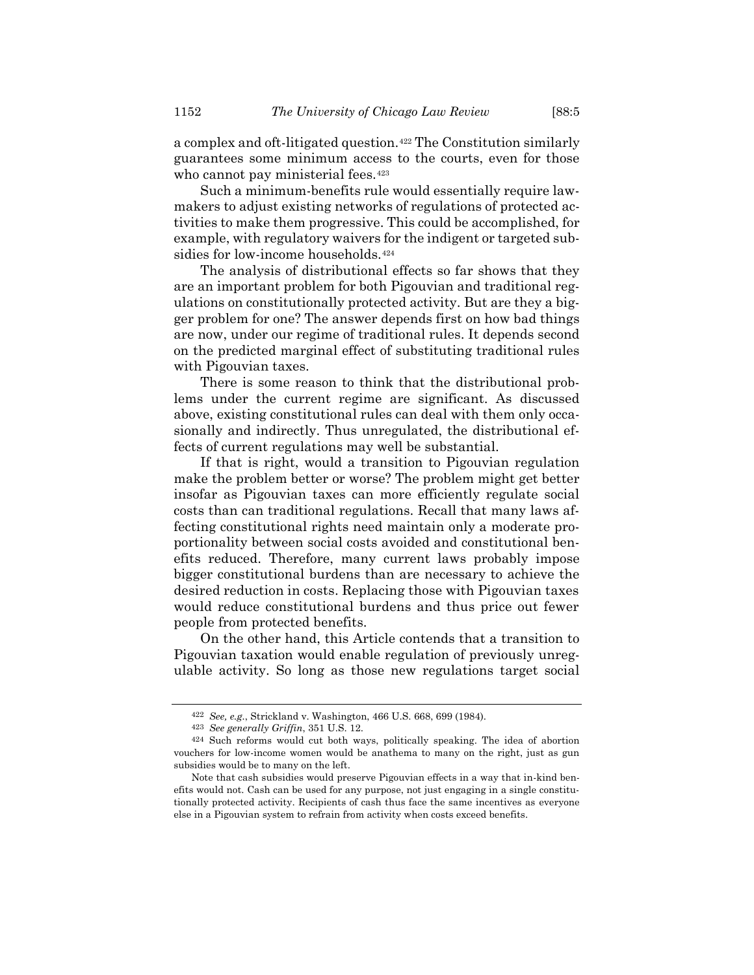a complex and oft-litigated question.<sup>422</sup> The Constitution similarly guarantees some minimum access to the courts, even for those who cannot pay ministerial fees.<sup>423</sup>

Such a minimum-benefits rule would essentially require lawmakers to adjust existing networks of regulations of protected activities to make them progressive. This could be accomplished, for example, with regulatory waivers for the indigent or targeted subsidies for low-income households.<sup>424</sup>

The analysis of distributional effects so far shows that they are an important problem for both Pigouvian and traditional regulations on constitutionally protected activity. But are they a bigger problem for one? The answer depends first on how bad things are now, under our regime of traditional rules. It depends second on the predicted marginal effect of substituting traditional rules with Pigouvian taxes.

There is some reason to think that the distributional problems under the current regime are significant. As discussed above, existing constitutional rules can deal with them only occasionally and indirectly. Thus unregulated, the distributional effects of current regulations may well be substantial.

If that is right, would a transition to Pigouvian regulation make the problem better or worse? The problem might get better insofar as Pigouvian taxes can more efficiently regulate social costs than can traditional regulations. Recall that many laws affecting constitutional rights need maintain only a moderate proportionality between social costs avoided and constitutional benefits reduced. Therefore, many current laws probably impose bigger constitutional burdens than are necessary to achieve the desired reduction in costs. Replacing those with Pigouvian taxes would reduce constitutional burdens and thus price out fewer people from protected benefits.

On the other hand, this Article contends that a transition to Pigouvian taxation would enable regulation of previously unregulable activity. So long as those new regulations target social

<sup>422</sup> *See, e.g.*, Strickland v. Washington, 466 U.S. 668, 699 (1984).

<sup>423</sup> *See generally Griffin*, 351 U.S. 12.

<sup>424</sup> Such reforms would cut both ways, politically speaking. The idea of abortion vouchers for low-income women would be anathema to many on the right, just as gun subsidies would be to many on the left.

Note that cash subsidies would preserve Pigouvian effects in a way that in-kind benefits would not. Cash can be used for any purpose, not just engaging in a single constitutionally protected activity. Recipients of cash thus face the same incentives as everyone else in a Pigouvian system to refrain from activity when costs exceed benefits.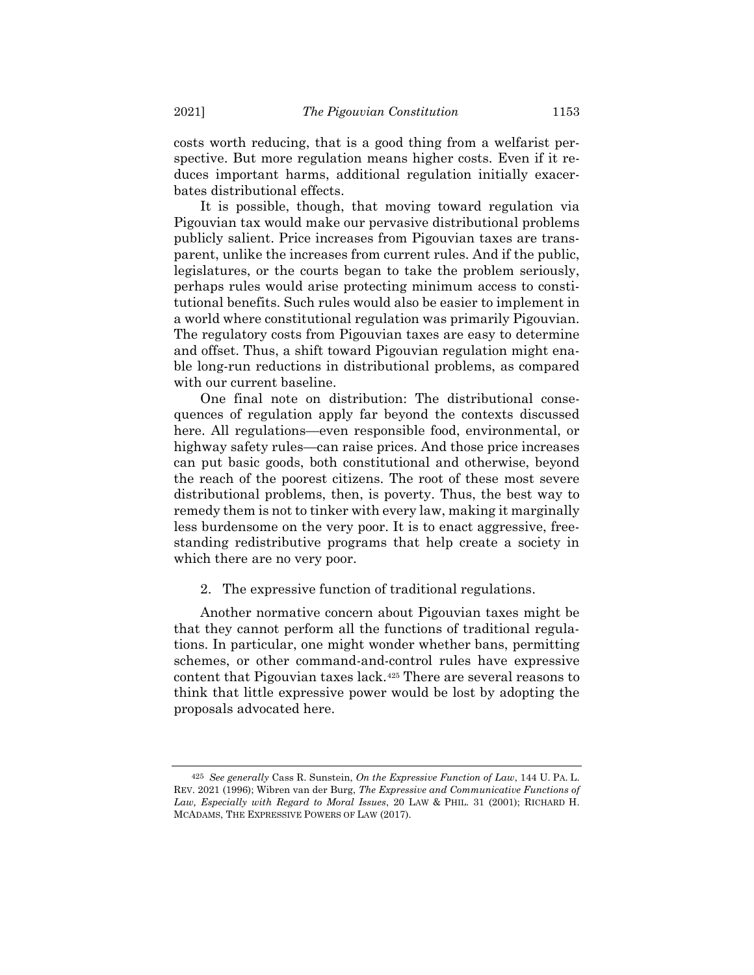costs worth reducing, that is a good thing from a welfarist perspective. But more regulation means higher costs. Even if it reduces important harms, additional regulation initially exacerbates distributional effects.

It is possible, though, that moving toward regulation via Pigouvian tax would make our pervasive distributional problems publicly salient. Price increases from Pigouvian taxes are transparent, unlike the increases from current rules. And if the public, legislatures, or the courts began to take the problem seriously, perhaps rules would arise protecting minimum access to constitutional benefits. Such rules would also be easier to implement in a world where constitutional regulation was primarily Pigouvian. The regulatory costs from Pigouvian taxes are easy to determine and offset. Thus, a shift toward Pigouvian regulation might enable long-run reductions in distributional problems, as compared with our current baseline.

One final note on distribution: The distributional consequences of regulation apply far beyond the contexts discussed here. All regulations—even responsible food, environmental, or highway safety rules—can raise prices. And those price increases can put basic goods, both constitutional and otherwise, beyond the reach of the poorest citizens. The root of these most severe distributional problems, then, is poverty. Thus, the best way to remedy them is not to tinker with every law, making it marginally less burdensome on the very poor. It is to enact aggressive, freestanding redistributive programs that help create a society in which there are no very poor.

## 2. The expressive function of traditional regulations.

<span id="page-72-0"></span>Another normative concern about Pigouvian taxes might be that they cannot perform all the functions of traditional regulations. In particular, one might wonder whether bans, permitting schemes, or other command-and-control rules have expressive content that Pigouvian taxes lack.<sup>425</sup> There are several reasons to think that little expressive power would be lost by adopting the proposals advocated here.

<sup>425</sup> *See generally* Cass R. Sunstein, *On the Expressive Function of Law*, 144 U. PA. L. REV. 2021 (1996); Wibren van der Burg, *The Expressive and Communicative Functions of Law, Especially with Regard to Moral Issues*, 20 LAW & PHIL. 31 (2001); RICHARD H. MCADAMS, THE EXPRESSIVE POWERS OF LAW (2017).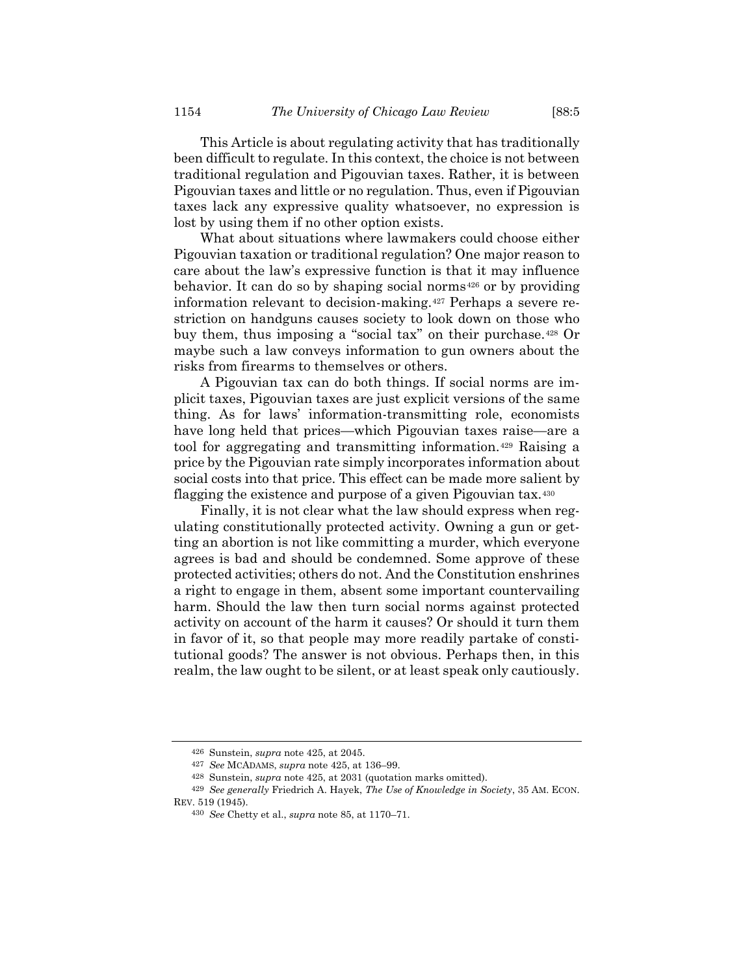This Article is about regulating activity that has traditionally been difficult to regulate. In this context, the choice is not between traditional regulation and Pigouvian taxes. Rather, it is between Pigouvian taxes and little or no regulation. Thus, even if Pigouvian taxes lack any expressive quality whatsoever, no expression is lost by using them if no other option exists.

What about situations where lawmakers could choose either Pigouvian taxation or traditional regulation? One major reason to care about the law's expressive function is that it may influence behavior. It can do so by shaping social norms<sup>426</sup> or by providing information relevant to decision-making.<sup>427</sup> Perhaps a severe restriction on handguns causes society to look down on those who buy them, thus imposing a "social tax" on their purchase.<sup>428</sup> Or maybe such a law conveys information to gun owners about the risks from firearms to themselves or others.

A Pigouvian tax can do both things. If social norms are implicit taxes, Pigouvian taxes are just explicit versions of the same thing. As for laws' information-transmitting role, economists have long held that prices—which Pigouvian taxes raise—are a tool for aggregating and transmitting information.<sup>429</sup> Raising a price by the Pigouvian rate simply incorporates information about social costs into that price. This effect can be made more salient by flagging the existence and purpose of a given Pigouvian tax.<sup>430</sup>

Finally, it is not clear what the law should express when regulating constitutionally protected activity. Owning a gun or getting an abortion is not like committing a murder, which everyone agrees is bad and should be condemned. Some approve of these protected activities; others do not. And the Constitution enshrines a right to engage in them, absent some important countervailing harm. Should the law then turn social norms against protected activity on account of the harm it causes? Or should it turn them in favor of it, so that people may more readily partake of constitutional goods? The answer is not obvious. Perhaps then, in this realm, the law ought to be silent, or at least speak only cautiously.

<sup>426</sup> Sunstein, *supra* note [425,](#page-72-0) at 2045.

<sup>427</sup> *See* MCADAMS, *supra* not[e 425,](#page-72-0) at 136–99.

<sup>428</sup> Sunstein, *supra* note [425,](#page-72-0) at 2031 (quotation marks omitted).

<sup>429</sup> *See generally* Friedrich A. Hayek, *The Use of Knowledge in Society*, 35 AM. ECON. REV. 519 (1945).

<sup>430</sup> *See* Chetty et al., *supra* not[e 85,](#page-15-0) at 1170–71.